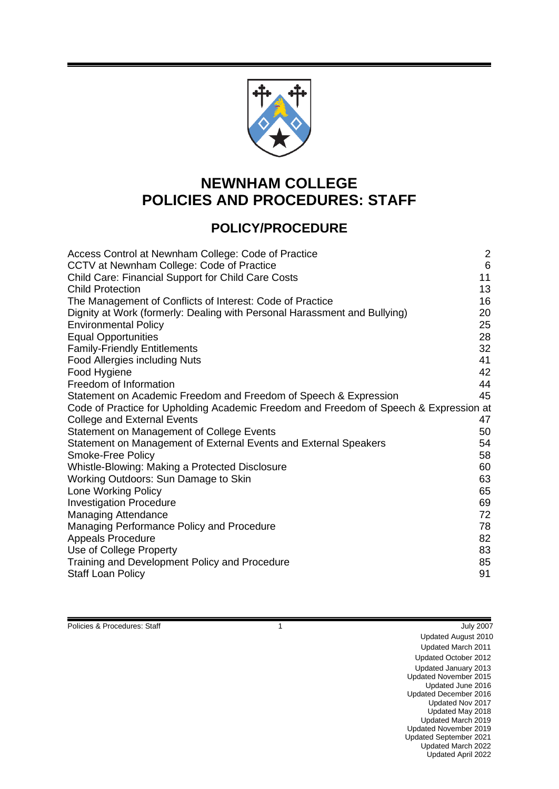

# **NEWNHAM COLLEGE POLICIES AND PROCEDURES: STAFF**

# **POLICY/PROCEDURE**

| $\overline{2}$<br>$6\phantom{1}6$<br>11<br>13<br>16<br>20<br>25                       |
|---------------------------------------------------------------------------------------|
| 28                                                                                    |
| 32<br>41                                                                              |
| 42                                                                                    |
| 44                                                                                    |
| 45                                                                                    |
| Code of Practice for Upholding Academic Freedom and Freedom of Speech & Expression at |
| 47                                                                                    |
| 50                                                                                    |
| 54                                                                                    |
| 58<br>60                                                                              |
| 63                                                                                    |
| 65                                                                                    |
| 69                                                                                    |
| 72                                                                                    |
| 78                                                                                    |
| 82                                                                                    |
| 83                                                                                    |
| 85                                                                                    |
| 91                                                                                    |
|                                                                                       |

Policies & Procedures: Staff **1 1** July 2007

Updated August 2010 Updated March 2011 Updated October 2012 Updated January 2013 Updated November 2015 Updated June 2016 Updated December 2016 Updated Nov 2017 Updated May 2018 Updated March 2019 Updated November 2019 Updated September 2021 Updated March 2022 Updated April 2022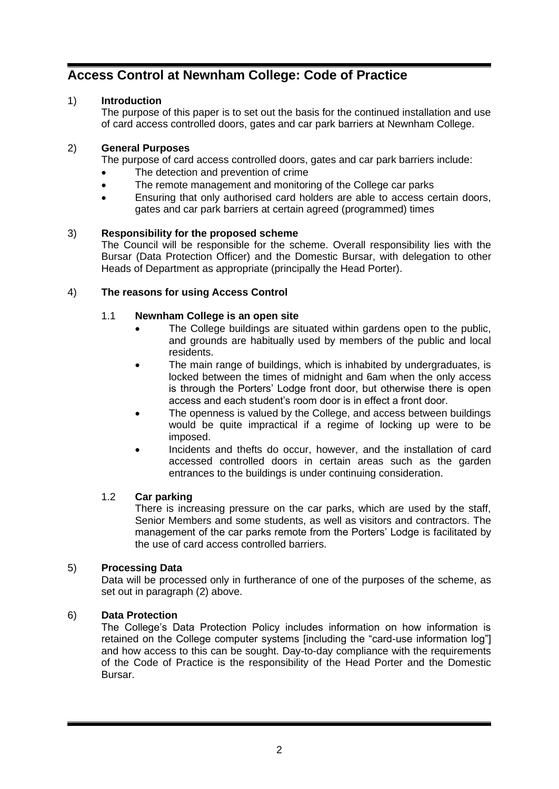# <span id="page-1-0"></span>**Access Control at Newnham College: Code of Practice**

# 1) **Introduction**

The purpose of this paper is to set out the basis for the continued installation and use of card access controlled doors, gates and car park barriers at Newnham College.

# <span id="page-1-1"></span>2) **General Purposes**

The purpose of card access controlled doors, gates and car park barriers include:

- The detection and prevention of crime
- The remote management and monitoring of the College car parks
- Ensuring that only authorised card holders are able to access certain doors, gates and car park barriers at certain agreed (programmed) times

# 3) **Responsibility for the proposed scheme**

The Council will be responsible for the scheme. Overall responsibility lies with the Bursar (Data Protection Officer) and the Domestic Bursar, with delegation to other Heads of Department as appropriate (principally the Head Porter).

## 4) **The reasons for using Access Control**

# 1.1 **Newnham College is an open site**

- The College buildings are situated within gardens open to the public, and grounds are habitually used by members of the public and local residents.
- The main range of buildings, which is inhabited by undergraduates, is locked between the times of midnight and 6am when the only access is through the Porters' Lodge front door, but otherwise there is open access and each student's room door is in effect a front door.
- The openness is valued by the College, and access between buildings would be quite impractical if a regime of locking up were to be imposed.
- Incidents and thefts do occur, however, and the installation of card accessed controlled doors in certain areas such as the garden entrances to the buildings is under continuing consideration.

## 1.2 **Car parking**

There is increasing pressure on the car parks, which are used by the staff, Senior Members and some students, as well as visitors and contractors. The management of the car parks remote from the Porters' Lodge is facilitated by the use of card access controlled barriers.

## 5) **Processing Data**

Data will be processed only in furtherance of one of the purposes of the scheme, as set out in paragraph [\(2\)](#page-1-1) above.

## 6) **Data Protection**

The College's Data Protection Policy includes information on how information is retained on the College computer systems [including the "card-use information log"] and how access to this can be sought. Day-to-day compliance with the requirements of the Code of Practice is the responsibility of the Head Porter and the Domestic Bursar.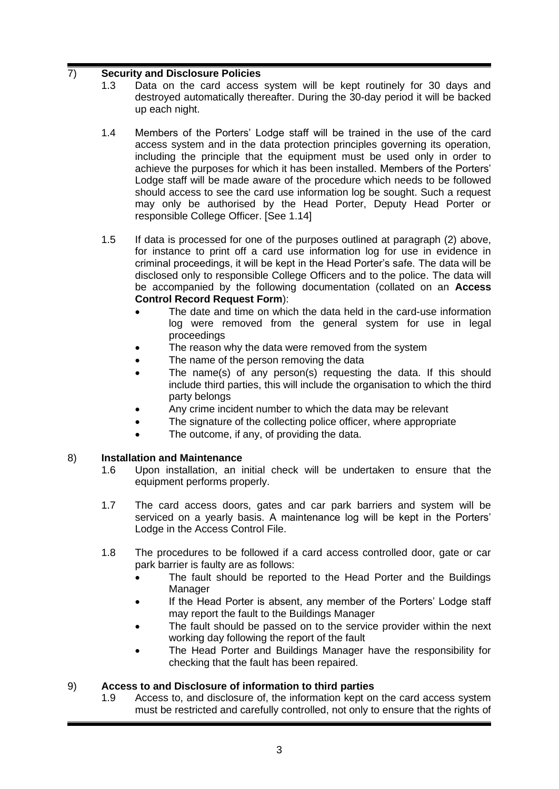# 7) **Security and Disclosure Policies**

- 1.3 Data on the card access system will be kept routinely for 30 days and destroyed automatically thereafter. During the 30-day period it will be backed up each night.
- 1.4 Members of the Porters' Lodge staff will be trained in the use of the card access system and in the data protection principles governing its operation, including the principle that the equipment must be used only in order to achieve the purposes for which it has been installed. Members of the Porters' Lodge staff will be made aware of the procedure which needs to be followed should access to see the card use information log be sought. Such a request may only be authorised by the Head Porter, Deputy Head Porter or responsible College Officer. [See [1.14\]](#page-3-0)
- 1.5 If data is processed for one of the purposes outlined at paragraph [\(2\)](#page-1-1) above, for instance to print off a card use information log for use in evidence in criminal proceedings, it will be kept in the Head Porter's safe. The data will be disclosed only to responsible College Officers and to the police. The data will be accompanied by the following documentation (collated on an **Access Control Record Request Form**):
	- The date and time on which the data held in the card-use information log were removed from the general system for use in legal proceedings
	- The reason why the data were removed from the system
	- The name of the person removing the data
	- The name(s) of any person(s) requesting the data. If this should include third parties, this will include the organisation to which the third party belongs
	- Any crime incident number to which the data may be relevant
	- The signature of the collecting police officer, where appropriate
	- The outcome, if any, of providing the data.

## 8) **Installation and Maintenance**

- 1.6 Upon installation, an initial check will be undertaken to ensure that the equipment performs properly.
- 1.7 The card access doors, gates and car park barriers and system will be serviced on a yearly basis. A maintenance log will be kept in the Porters' Lodge in the Access Control File.
- 1.8 The procedures to be followed if a card access controlled door, gate or car park barrier is faulty are as follows:
	- The fault should be reported to the Head Porter and the Buildings Manager
	- If the Head Porter is absent, any member of the Porters' Lodge staff may report the fault to the Buildings Manager
	- The fault should be passed on to the service provider within the next working day following the report of the fault
	- The Head Porter and Buildings Manager have the responsibility for checking that the fault has been repaired.

# 9) **Access to and Disclosure of information to third parties**

1.9 Access to, and disclosure of, the information kept on the card access system must be restricted and carefully controlled, not only to ensure that the rights of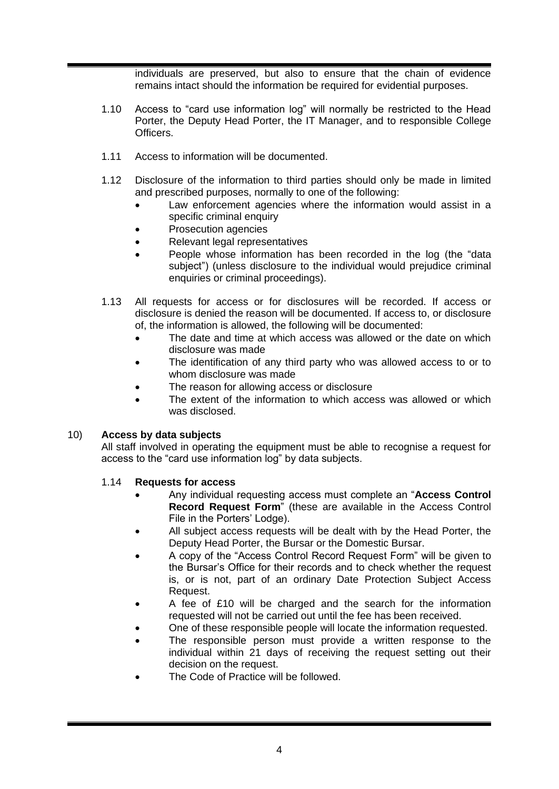individuals are preserved, but also to ensure that the chain of evidence remains intact should the information be required for evidential purposes.

- 1.10 Access to "card use information log" will normally be restricted to the Head Porter, the Deputy Head Porter, the IT Manager, and to responsible College Officers.
- 1.11 Access to information will be documented.
- 1.12 Disclosure of the information to third parties should only be made in limited and prescribed purposes, normally to one of the following:
	- Law enforcement agencies where the information would assist in a specific criminal enquiry
	- Prosecution agencies
	- Relevant legal representatives
	- People whose information has been recorded in the log (the "data subject") (unless disclosure to the individual would prejudice criminal enquiries or criminal proceedings).
- 1.13 All requests for access or for disclosures will be recorded. If access or disclosure is denied the reason will be documented. If access to, or disclosure of, the information is allowed, the following will be documented:
	- The date and time at which access was allowed or the date on which disclosure was made
	- The identification of any third party who was allowed access to or to whom disclosure was made
	- The reason for allowing access or disclosure
	- The extent of the information to which access was allowed or which was disclosed.

## 10) **Access by data subjects**

All staff involved in operating the equipment must be able to recognise a request for access to the "card use information log" by data subjects.

- <span id="page-3-0"></span>1.14 **Requests for access** 
	- Any individual requesting access must complete an "**Access Control Record Request Form**" (these are available in the Access Control File in the Porters' Lodge).
	- All subject access requests will be dealt with by the Head Porter, the Deputy Head Porter, the Bursar or the Domestic Bursar.
	- A copy of the "Access Control Record Request Form" will be given to the Bursar's Office for their records and to check whether the request is, or is not, part of an ordinary Date Protection Subject Access Request.
	- A fee of £10 will be charged and the search for the information requested will not be carried out until the fee has been received.
	- One of these responsible people will locate the information requested.
	- The responsible person must provide a written response to the individual within 21 days of receiving the request setting out their decision on the request.
	- The Code of Practice will be followed.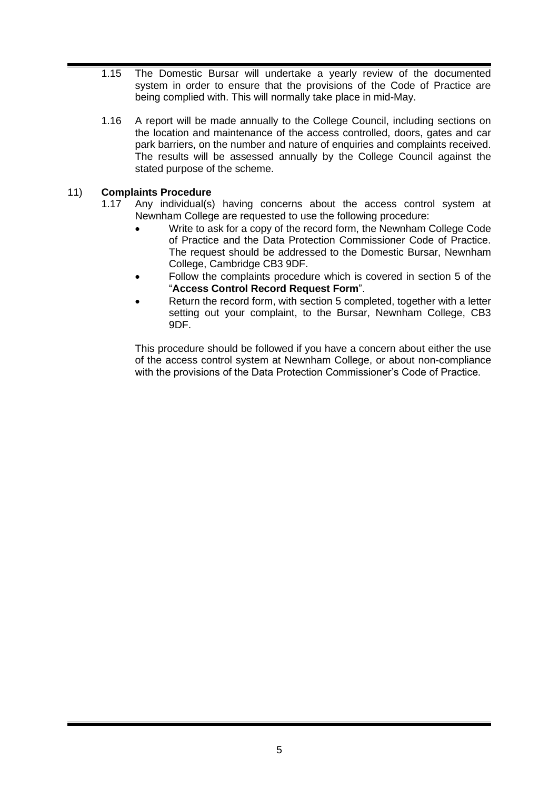- 1.15 The Domestic Bursar will undertake a yearly review of the documented system in order to ensure that the provisions of the Code of Practice are being complied with. This will normally take place in mid-May.
- 1.16 A report will be made annually to the College Council, including sections on the location and maintenance of the access controlled, doors, gates and car park barriers, on the number and nature of enquiries and complaints received. The results will be assessed annually by the College Council against the stated purpose of the scheme.

# 11) **Complaints Procedure**

- 1.17 Any individual(s) having concerns about the access control system at Newnham College are requested to use the following procedure:
	- Write to ask for a copy of the record form, the Newnham College Code of Practice and the Data Protection Commissioner Code of Practice. The request should be addressed to the Domestic Bursar, Newnham College, Cambridge CB3 9DF.
	- Follow the complaints procedure which is covered in section 5 of the "**Access Control Record Request Form**".
	- Return the record form, with section 5 completed, together with a letter setting out your complaint, to the Bursar, Newnham College, CB3 9DF.

This procedure should be followed if you have a concern about either the use of the access control system at Newnham College, or about non-compliance with the provisions of the Data Protection Commissioner's Code of Practice.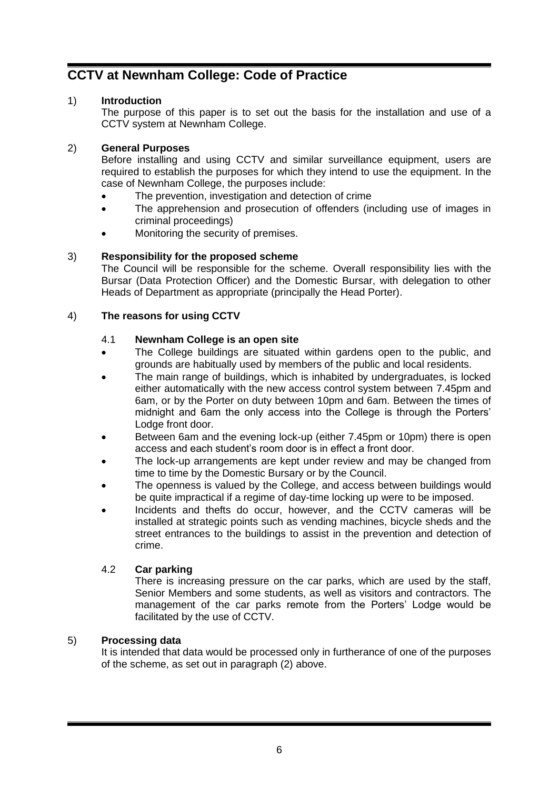# <span id="page-5-0"></span>**CCTV at Newnham College: Code of Practice**

# 1) **Introduction**

The purpose of this paper is to set out the basis for the installation and use of a CCTV system at Newnham College.

# <span id="page-5-1"></span>2) **General Purposes**

Before installing and using CCTV and similar surveillance equipment, users are required to establish the purposes for which they intend to use the equipment. In the case of Newnham College, the purposes include:

- The prevention, investigation and detection of crime
- The apprehension and prosecution of offenders (including use of images in criminal proceedings)
- Monitoring the security of premises.

# 3) **Responsibility for the proposed scheme**

The Council will be responsible for the scheme. Overall responsibility lies with the Bursar (Data Protection Officer) and the Domestic Bursar, with delegation to other Heads of Department as appropriate (principally the Head Porter).

# 4) **The reasons for using CCTV**

# 4.1 **Newnham College is an open site**

- The College buildings are situated within gardens open to the public, and grounds are habitually used by members of the public and local residents.
- The main range of buildings, which is inhabited by undergraduates, is locked either automatically with the new access control system between 7.45pm and 6am, or by the Porter on duty between 10pm and 6am. Between the times of midnight and 6am the only access into the College is through the Porters' Lodge front door.
- Between 6am and the evening lock-up (either 7.45pm or 10pm) there is open access and each student's room door is in effect a front door.
- The lock-up arrangements are kept under review and may be changed from time to time by the Domestic Bursary or by the Council.
- The openness is valued by the College, and access between buildings would be quite impractical if a regime of day-time locking up were to be imposed.
- Incidents and thefts do occur, however, and the CCTV cameras will be installed at strategic points such as vending machines, bicycle sheds and the street entrances to the buildings to assist in the prevention and detection of crime.

# 4.2 **Car parking**

There is increasing pressure on the car parks, which are used by the staff, Senior Members and some students, as well as visitors and contractors. The management of the car parks remote from the Porters' Lodge would be facilitated by the use of CCTV.

# 5) **Processing data**

It is intended that data would be processed only in furtherance of one of the purposes of the scheme, as set out in paragraph [\(2\)](#page-5-1) above.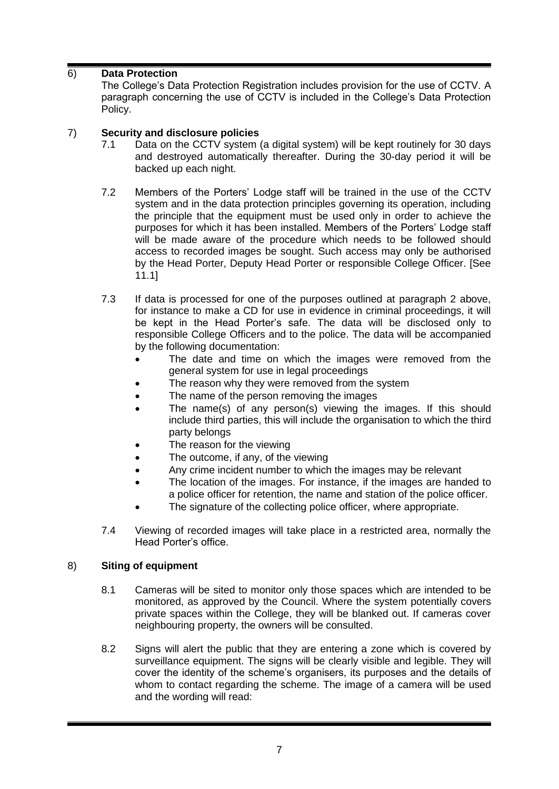# 6) **Data Protection**

The College's Data Protection Registration includes provision for the use of CCTV. A paragraph concerning the use of CCTV is included in the College's Data Protection Policy.

## 7) **Security and disclosure policies**

- 7.1 Data on the CCTV system (a digital system) will be kept routinely for 30 days and destroyed automatically thereafter. During the 30-day period it will be backed up each night.
- 7.2 Members of the Porters' Lodge staff will be trained in the use of the CCTV system and in the data protection principles governing its operation, including the principle that the equipment must be used only in order to achieve the purposes for which it has been installed. Members of the Porters' Lodge staff will be made aware of the procedure which needs to be followed should access to recorded images be sought. Such access may only be authorised by the Head Porter, Deputy Head Porter or responsible College Officer. [See [11.1\]](#page-8-0)
- 7.3 If data is processed for one of the purposes outlined at paragraph 2 above, for instance to make a CD for use in evidence in criminal proceedings, it will be kept in the Head Porter's safe. The data will be disclosed only to responsible College Officers and to the police. The data will be accompanied by the following documentation:
	- The date and time on which the images were removed from the general system for use in legal proceedings
	- The reason why they were removed from the system
	- The name of the person removing the images
	- The name(s) of any person(s) viewing the images. If this should include third parties, this will include the organisation to which the third party belongs
	- The reason for the viewing
	- The outcome, if any, of the viewing
	- Any crime incident number to which the images may be relevant
	- The location of the images. For instance, if the images are handed to a police officer for retention, the name and station of the police officer.
		- The signature of the collecting police officer, where appropriate.
- 7.4 Viewing of recorded images will take place in a restricted area, normally the Head Porter's office.

# 8) **Siting of equipment**

- 8.1 Cameras will be sited to monitor only those spaces which are intended to be monitored, as approved by the Council. Where the system potentially covers private spaces within the College, they will be blanked out. If cameras cover neighbouring property, the owners will be consulted.
- 8.2 Signs will alert the public that they are entering a zone which is covered by surveillance equipment. The signs will be clearly visible and legible. They will cover the identity of the scheme's organisers, its purposes and the details of whom to contact regarding the scheme. The image of a camera will be used and the wording will read: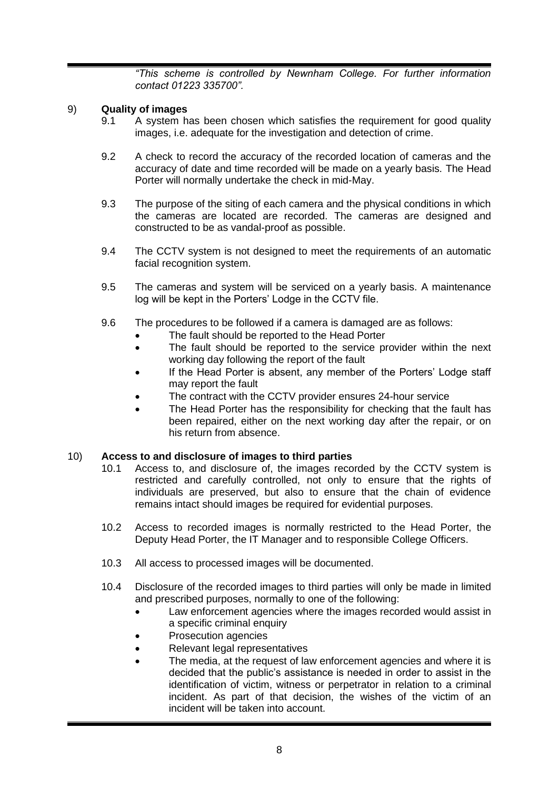*"This scheme is controlled by Newnham College. For further information contact 01223 335700".*

# 9) **Quality of images**

- 9.1 A system has been chosen which satisfies the requirement for good quality images, i.e. adequate for the investigation and detection of crime.
- 9.2 A check to record the accuracy of the recorded location of cameras and the accuracy of date and time recorded will be made on a yearly basis. The Head Porter will normally undertake the check in mid-May.
- 9.3 The purpose of the siting of each camera and the physical conditions in which the cameras are located are recorded. The cameras are designed and constructed to be as vandal-proof as possible.
- 9.4 The CCTV system is not designed to meet the requirements of an automatic facial recognition system.
- 9.5 The cameras and system will be serviced on a yearly basis. A maintenance log will be kept in the Porters' Lodge in the CCTV file.
- 9.6 The procedures to be followed if a camera is damaged are as follows:
	- The fault should be reported to the Head Porter
	- The fault should be reported to the service provider within the next working day following the report of the fault
	- If the Head Porter is absent, any member of the Porters' Lodge staff may report the fault
	- The contract with the CCTV provider ensures 24-hour service
	- The Head Porter has the responsibility for checking that the fault has been repaired, either on the next working day after the repair, or on his return from absence.

## 10) **Access to and disclosure of images to third parties**

- 10.1 Access to, and disclosure of, the images recorded by the CCTV system is restricted and carefully controlled, not only to ensure that the rights of individuals are preserved, but also to ensure that the chain of evidence remains intact should images be required for evidential purposes.
- 10.2 Access to recorded images is normally restricted to the Head Porter, the Deputy Head Porter, the IT Manager and to responsible College Officers.
- 10.3 All access to processed images will be documented.
- 10.4 Disclosure of the recorded images to third parties will only be made in limited and prescribed purposes, normally to one of the following:
	- Law enforcement agencies where the images recorded would assist in a specific criminal enquiry
	- Prosecution agencies
	- Relevant legal representatives
	- The media, at the request of law enforcement agencies and where it is decided that the public's assistance is needed in order to assist in the identification of victim, witness or perpetrator in relation to a criminal incident. As part of that decision, the wishes of the victim of an incident will be taken into account.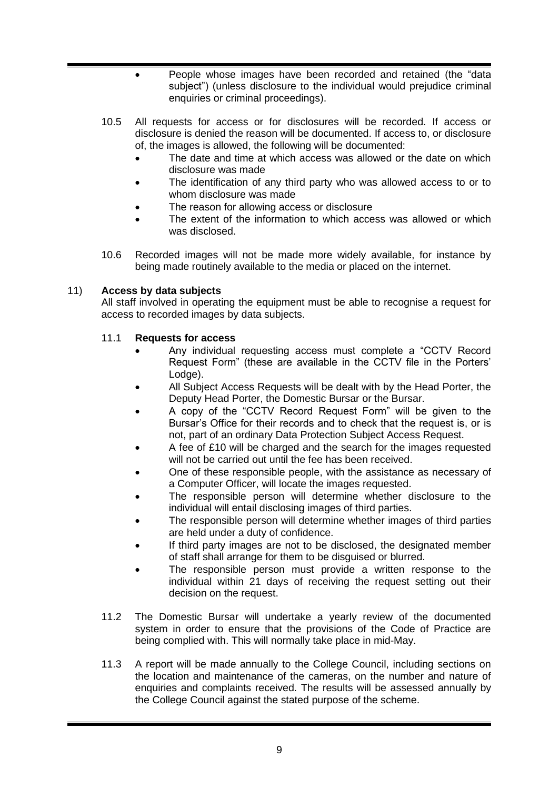- People whose images have been recorded and retained (the "data subject") (unless disclosure to the individual would prejudice criminal enquiries or criminal proceedings).
- 10.5 All requests for access or for disclosures will be recorded. If access or disclosure is denied the reason will be documented. If access to, or disclosure of, the images is allowed, the following will be documented:
	- The date and time at which access was allowed or the date on which disclosure was made
	- The identification of any third party who was allowed access to or to whom disclosure was made
	- The reason for allowing access or disclosure
	- The extent of the information to which access was allowed or which was disclosed.
- 10.6 Recorded images will not be made more widely available, for instance by being made routinely available to the media or placed on the internet.

# 11) **Access by data subjects**

All staff involved in operating the equipment must be able to recognise a request for access to recorded images by data subjects.

# <span id="page-8-0"></span>11.1 **Requests for access**

- Any individual requesting access must complete a "CCTV Record Request Form" (these are available in the CCTV file in the Porters' Lodge).
- All Subject Access Requests will be dealt with by the Head Porter, the Deputy Head Porter, the Domestic Bursar or the Bursar.
- A copy of the "CCTV Record Request Form" will be given to the Bursar's Office for their records and to check that the request is, or is not, part of an ordinary Data Protection Subject Access Request.
- A fee of £10 will be charged and the search for the images requested will not be carried out until the fee has been received.
- One of these responsible people, with the assistance as necessary of a Computer Officer, will locate the images requested.
- The responsible person will determine whether disclosure to the individual will entail disclosing images of third parties.
- The responsible person will determine whether images of third parties are held under a duty of confidence.
- If third party images are not to be disclosed, the designated member of staff shall arrange for them to be disguised or blurred.
- The responsible person must provide a written response to the individual within 21 days of receiving the request setting out their decision on the request.
- 11.2 The Domestic Bursar will undertake a yearly review of the documented system in order to ensure that the provisions of the Code of Practice are being complied with. This will normally take place in mid-May.
- 11.3 A report will be made annually to the College Council, including sections on the location and maintenance of the cameras, on the number and nature of enquiries and complaints received. The results will be assessed annually by the College Council against the stated purpose of the scheme.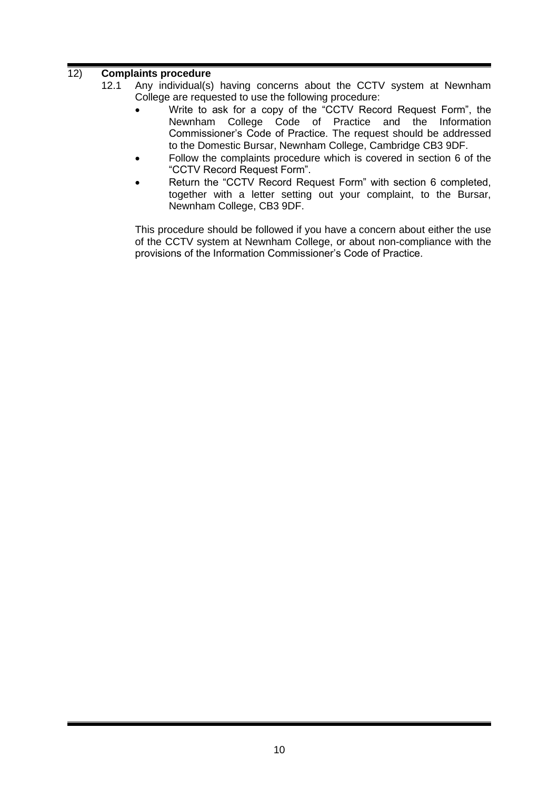# 12) **Complaints procedure**

- 12.1 Any individual(s) having concerns about the CCTV system at Newnham College are requested to use the following procedure:
	- Write to ask for a copy of the "CCTV Record Request Form", the Newnham College Code of Practice and the Information Commissioner's Code of Practice. The request should be addressed to the Domestic Bursar, Newnham College, Cambridge CB3 9DF.
	- Follow the complaints procedure which is covered in section 6 of the "CCTV Record Request Form".
	- Return the "CCTV Record Request Form" with section 6 completed, together with a letter setting out your complaint, to the Bursar, Newnham College, CB3 9DF.

This procedure should be followed if you have a concern about either the use of the CCTV system at Newnham College, or about non-compliance with the provisions of the Information Commissioner's Code of Practice.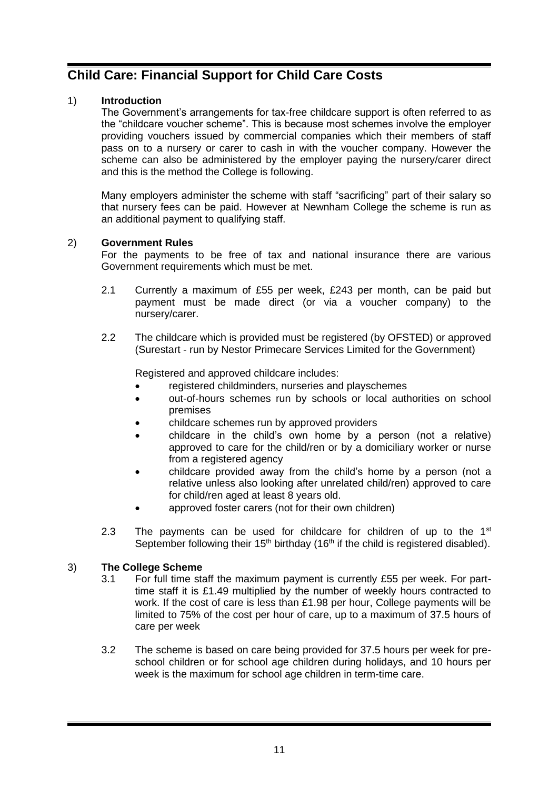# <span id="page-10-0"></span>**Child Care: Financial Support for Child Care Costs**

# 1) **Introduction**

The Government's arrangements for tax-free childcare support is often referred to as the "childcare voucher scheme". This is because most schemes involve the employer providing vouchers issued by commercial companies which their members of staff pass on to a nursery or carer to cash in with the voucher company. However the scheme can also be administered by the employer paying the nursery/carer direct and this is the method the College is following.

Many employers administer the scheme with staff "sacrificing" part of their salary so that nursery fees can be paid. However at Newnham College the scheme is run as an additional payment to qualifying staff.

## 2) **Government Rules**

For the payments to be free of tax and national insurance there are various Government requirements which must be met.

- 2.1 Currently a maximum of £55 per week, £243 per month, can be paid but payment must be made direct (or via a voucher company) to the nursery/carer.
- 2.2 The childcare which is provided must be registered (by OFSTED) or approved (Surestart - run by Nestor Primecare Services Limited for the Government)

Registered and approved childcare includes:

- registered childminders, nurseries and playschemes
- out-of-hours schemes run by schools or local authorities on school premises
- childcare schemes run by approved providers
- childcare in the child's own home by a person (not a relative) approved to care for the child/ren or by a domiciliary worker or nurse from a registered agency
- childcare provided away from the child's home by a person (not a relative unless also looking after unrelated child/ren) approved to care for child/ren aged at least 8 years old.
- approved foster carers (not for their own children)
- 2.3 The payments can be used for childcare for children of up to the  $1<sup>st</sup>$ September following their 15<sup>th</sup> birthday (16<sup>th</sup> if the child is registered disabled).

## 3) **The College Scheme**

- 3.1 For full time staff the maximum payment is currently £55 per week. For parttime staff it is £1.49 multiplied by the number of weekly hours contracted to work. If the cost of care is less than £1.98 per hour, College payments will be limited to 75% of the cost per hour of care, up to a maximum of 37.5 hours of care per week
- 3.2 The scheme is based on care being provided for 37.5 hours per week for preschool children or for school age children during holidays, and 10 hours per week is the maximum for school age children in term-time care.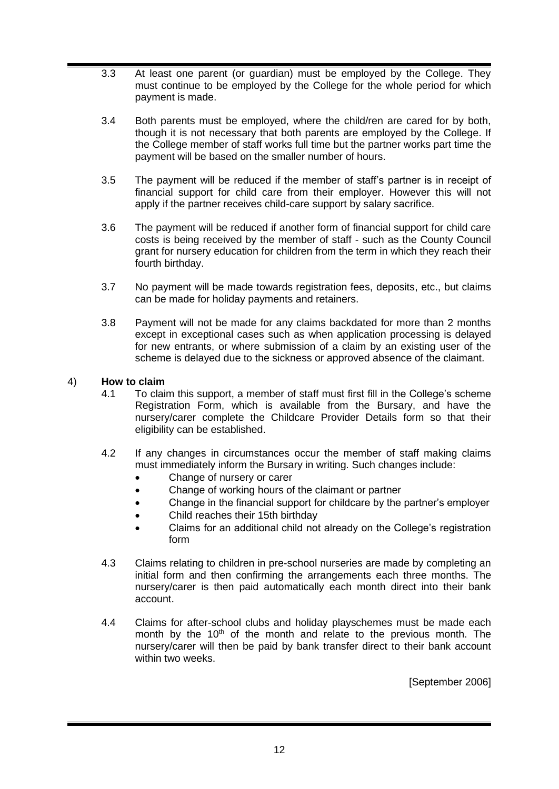- 3.3 At least one parent (or guardian) must be employed by the College. They must continue to be employed by the College for the whole period for which payment is made.
- 3.4 Both parents must be employed, where the child/ren are cared for by both, though it is not necessary that both parents are employed by the College. If the College member of staff works full time but the partner works part time the payment will be based on the smaller number of hours.
- 3.5 The payment will be reduced if the member of staff's partner is in receipt of financial support for child care from their employer. However this will not apply if the partner receives child-care support by salary sacrifice.
- 3.6 The payment will be reduced if another form of financial support for child care costs is being received by the member of staff - such as the County Council grant for nursery education for children from the term in which they reach their fourth birthday.
- 3.7 No payment will be made towards registration fees, deposits, etc., but claims can be made for holiday payments and retainers.
- 3.8 Payment will not be made for any claims backdated for more than 2 months except in exceptional cases such as when application processing is delayed for new entrants, or where submission of a claim by an existing user of the scheme is delayed due to the sickness or approved absence of the claimant.

## 4) **How to claim**

- 4.1 To claim this support, a member of staff must first fill in the College's scheme Registration Form, which is available from the Bursary, and have the nursery/carer complete the Childcare Provider Details form so that their eligibility can be established.
- 4.2 If any changes in circumstances occur the member of staff making claims must immediately inform the Bursary in writing. Such changes include:
	- Change of nursery or carer
	- Change of working hours of the claimant or partner
	- Change in the financial support for childcare by the partner's employer
	- Child reaches their 15th birthday
	- Claims for an additional child not already on the College's registration form
- 4.3 Claims relating to children in pre-school nurseries are made by completing an initial form and then confirming the arrangements each three months. The nursery/carer is then paid automatically each month direct into their bank account.
- 4.4 Claims for after-school clubs and holiday playschemes must be made each month by the  $10<sup>th</sup>$  of the month and relate to the previous month. The nursery/carer will then be paid by bank transfer direct to their bank account within two weeks.

[September 2006]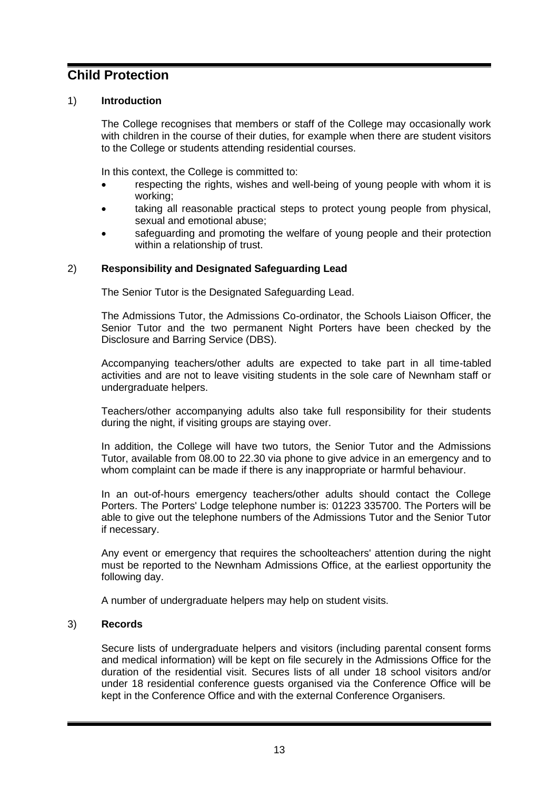# <span id="page-12-0"></span>**Child Protection**

# 1) **Introduction**

The College recognises that members or staff of the College may occasionally work with children in the course of their duties, for example when there are student visitors to the College or students attending residential courses.

In this context, the College is committed to:

- respecting the rights, wishes and well-being of young people with whom it is working;
- taking all reasonable practical steps to protect young people from physical, sexual and emotional abuse;
- safeguarding and promoting the welfare of young people and their protection within a relationship of trust.

# 2) **Responsibility and Designated Safeguarding Lead**

The Senior Tutor is the Designated Safeguarding Lead.

The Admissions Tutor, the Admissions Co-ordinator, the Schools Liaison Officer, the Senior Tutor and the two permanent Night Porters have been checked by the Disclosure and Barring Service (DBS).

Accompanying teachers/other adults are expected to take part in all time-tabled activities and are not to leave visiting students in the sole care of Newnham staff or undergraduate helpers.

Teachers/other accompanying adults also take full responsibility for their students during the night, if visiting groups are staying over.

In addition, the College will have two tutors, the Senior Tutor and the Admissions Tutor, available from 08.00 to 22.30 via phone to give advice in an emergency and to whom complaint can be made if there is any inappropriate or harmful behaviour.

In an out-of-hours emergency teachers/other adults should contact the College Porters. The Porters' Lodge telephone number is: 01223 335700. The Porters will be able to give out the telephone numbers of the Admissions Tutor and the Senior Tutor if necessary.

Any event or emergency that requires the schoolteachers' attention during the night must be reported to the Newnham Admissions Office, at the earliest opportunity the following day.

A number of undergraduate helpers may help on student visits.

## 3) **Records**

Secure lists of undergraduate helpers and visitors (including parental consent forms and medical information) will be kept on file securely in the Admissions Office for the duration of the residential visit. Secures lists of all under 18 school visitors and/or under 18 residential conference guests organised via the Conference Office will be kept in the Conference Office and with the external Conference Organisers.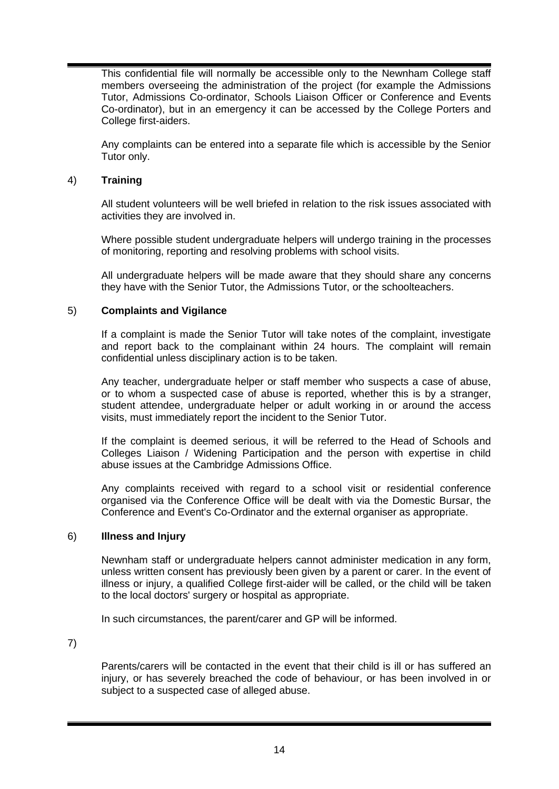This confidential file will normally be accessible only to the Newnham College staff members overseeing the administration of the project (for example the Admissions Tutor, Admissions Co-ordinator, Schools Liaison Officer or Conference and Events Co-ordinator), but in an emergency it can be accessed by the College Porters and College first-aiders.

Any complaints can be entered into a separate file which is accessible by the Senior Tutor only.

## 4) **Training**

All student volunteers will be well briefed in relation to the risk issues associated with activities they are involved in.

Where possible student undergraduate helpers will undergo training in the processes of monitoring, reporting and resolving problems with school visits.

All undergraduate helpers will be made aware that they should share any concerns they have with the Senior Tutor, the Admissions Tutor, or the schoolteachers.

#### 5) **Complaints and Vigilance**

If a complaint is made the Senior Tutor will take notes of the complaint, investigate and report back to the complainant within 24 hours. The complaint will remain confidential unless disciplinary action is to be taken.

Any teacher, undergraduate helper or staff member who suspects a case of abuse, or to whom a suspected case of abuse is reported, whether this is by a stranger, student attendee, undergraduate helper or adult working in or around the access visits, must immediately report the incident to the Senior Tutor.

If the complaint is deemed serious, it will be referred to the Head of Schools and Colleges Liaison / Widening Participation and the person with expertise in child abuse issues at the Cambridge Admissions Office.

Any complaints received with regard to a school visit or residential conference organised via the Conference Office will be dealt with via the Domestic Bursar, the Conference and Event's Co-Ordinator and the external organiser as appropriate.

#### 6) **Illness and Injury**

Newnham staff or undergraduate helpers cannot administer medication in any form, unless written consent has previously been given by a parent or carer. In the event of illness or injury, a qualified College first-aider will be called, or the child will be taken to the local doctors' surgery or hospital as appropriate.

In such circumstances, the parent/carer and GP will be informed.

7)

Parents/carers will be contacted in the event that their child is ill or has suffered an injury, or has severely breached the code of behaviour, or has been involved in or subject to a suspected case of alleged abuse.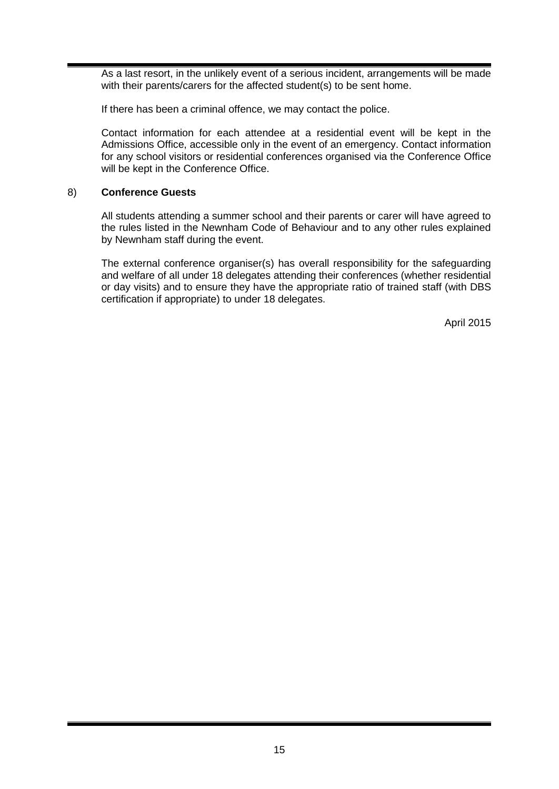As a last resort, in the unlikely event of a serious incident, arrangements will be made with their parents/carers for the affected student(s) to be sent home.

If there has been a criminal offence, we may contact the police.

Contact information for each attendee at a residential event will be kept in the Admissions Office, accessible only in the event of an emergency. Contact information for any school visitors or residential conferences organised via the Conference Office will be kept in the Conference Office.

## 8) **Conference Guests**

All students attending a summer school and their parents or carer will have agreed to the rules listed in the Newnham Code of Behaviour and to any other rules explained by Newnham staff during the event.

The external conference organiser(s) has overall responsibility for the safeguarding and welfare of all under 18 delegates attending their conferences (whether residential or day visits) and to ensure they have the appropriate ratio of trained staff (with DBS certification if appropriate) to under 18 delegates.

April 2015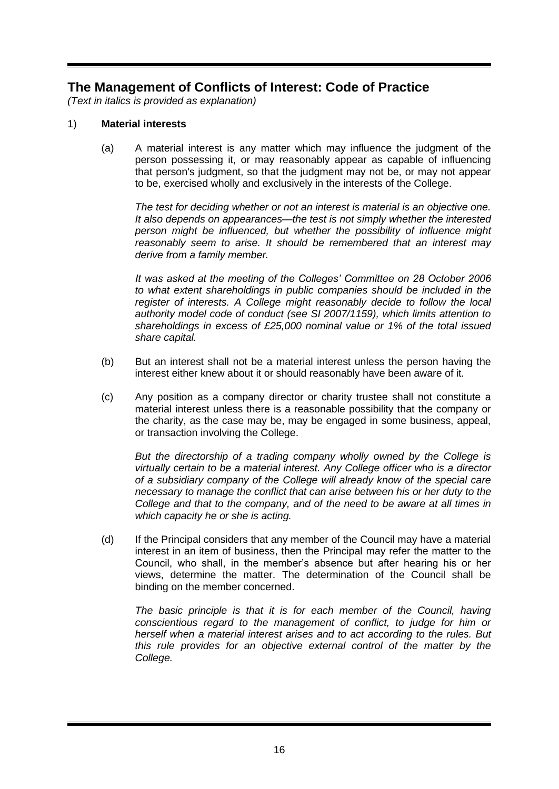# <span id="page-15-0"></span>**The Management of Conflicts of Interest: Code of Practice**

*(Text in italics is provided as explanation)*

#### <span id="page-15-1"></span>1) **Material interests**

(a) A material interest is any matter which may influence the judgment of the person possessing it, or may reasonably appear as capable of influencing that person's judgment, so that the judgment may not be, or may not appear to be, exercised wholly and exclusively in the interests of the College.

*The test for deciding whether or not an interest is material is an objective one. It also depends on appearances—the test is not simply whether the interested person might be influenced, but whether the possibility of influence might reasonably seem to arise. It should be remembered that an interest may derive from a family member.*

*It was asked at the meeting of the Colleges' Committee on 28 October 2006 to what extent shareholdings in public companies should be included in the register of interests. A College might reasonably decide to follow the local authority model code of conduct (see SI 2007/1159), which limits attention to shareholdings in excess of £25,000 nominal value or 1% of the total issued share capital.*

- (b) But an interest shall not be a material interest unless the person having the interest either knew about it or should reasonably have been aware of it.
- (c) Any position as a company director or charity trustee shall not constitute a material interest unless there is a reasonable possibility that the company or the charity, as the case may be, may be engaged in some business, appeal, or transaction involving the College.

*But the directorship of a trading company wholly owned by the College is virtually certain to be a material interest. Any College officer who is a director of a subsidiary company of the College will already know of the special care necessary to manage the conflict that can arise between his or her duty to the College and that to the company, and of the need to be aware at all times in which capacity he or she is acting.*

<span id="page-15-2"></span>(d) If the Principal considers that any member of the Council may have a material interest in an item of business, then the Principal may refer the matter to the Council, who shall, in the member's absence but after hearing his or her views, determine the matter. The determination of the Council shall be binding on the member concerned.

<span id="page-15-3"></span>*The basic principle is that it is for each member of the Council, having conscientious regard to the management of conflict, to judge for him or herself when a material interest arises and to act according to the rules. But this rule provides for an objective external control of the matter by the College.*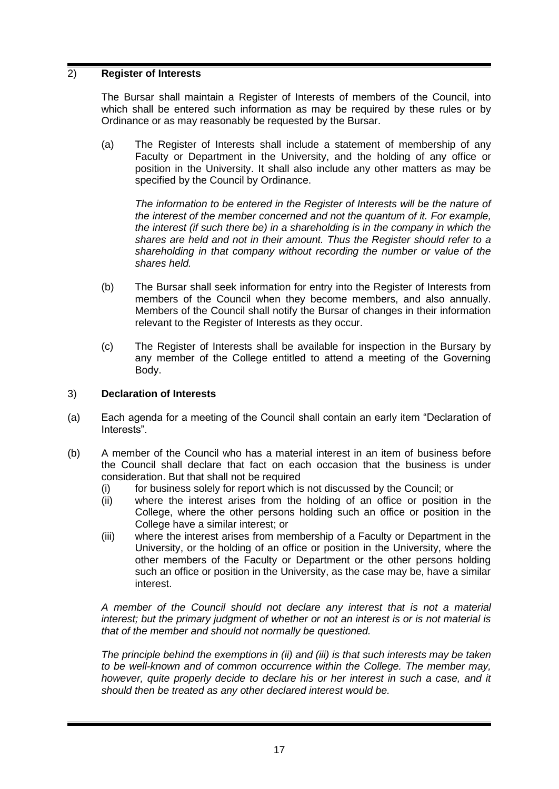## 2) **Register of Interests**

The Bursar shall maintain a Register of Interests of members of the Council, into which shall be entered such information as may be required by these rules or by Ordinance or as may reasonably be requested by the Bursar.

(a) The Register of Interests shall include a statement of membership of any Faculty or Department in the University, and the holding of any office or position in the University. It shall also include any other matters as may be specified by the Council by Ordinance.

The information to be entered in the Register of Interests will be the nature of *the interest of the member concerned and not the quantum of it. For example, the interest (if such there be) in a shareholding is in the company in which the shares are held and not in their amount. Thus the Register should refer to a shareholding in that company without recording the number or value of the shares held.*

- (b) The Bursar shall seek information for entry into the Register of Interests from members of the Council when they become members, and also annually. Members of the Council shall notify the Bursar of changes in their information relevant to the Register of Interests as they occur.
- (c) The Register of Interests shall be available for inspection in the Bursary by any member of the College entitled to attend a meeting of the Governing Body.

## <span id="page-16-2"></span>3) **Declaration of Interests**

- (a) Each agenda for a meeting of the Council shall contain an early item "Declaration of Interests".
- <span id="page-16-3"></span><span id="page-16-0"></span>(b) A member of the Council who has a material interest in an item of business before the Council shall declare that fact on each occasion that the business is under consideration. But that shall not be required
	- (i) for business solely for report which is not discussed by the Council; or
	- (ii) where the interest arises from the holding of an office or position in the College, where the other persons holding such an office or position in the College have a similar interest; or
	- (iii) where the interest arises from membership of a Faculty or Department in the University, or the holding of an office or position in the University, where the other members of the Faculty or Department or the other persons holding such an office or position in the University, as the case may be, have a similar interest.

<span id="page-16-1"></span>*A member of the Council should not declare any interest that is not a material interest; but the primary judgment of whether or not an interest is or is not material is that of the member and should not normally be questioned.*

*The principle behind the exemptions in [\(ii\)](#page-16-0) and [\(iii\)](#page-16-1) is that such interests may be taken to be well-known and of common occurrence within the College. The member may, however, quite properly decide to declare his or her interest in such a case, and it should then be treated as any other declared interest would be.*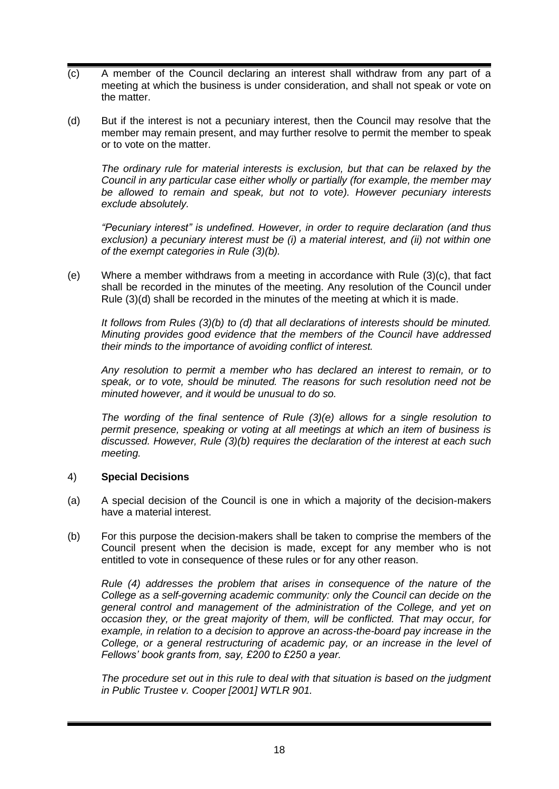- <span id="page-17-0"></span>(c) A member of the Council declaring an interest shall withdraw from any part of a meeting at which the business is under consideration, and shall not speak or vote on the matter.
- <span id="page-17-1"></span>(d) But if the interest is not a pecuniary interest, then the Council may resolve that the member may remain present, and may further resolve to permit the member to speak or to vote on the matter.

*The ordinary rule for material interests is exclusion, but that can be relaxed by the Council in any particular case either wholly or partially (for example, the member may be allowed to remain and speak, but not to vote). However pecuniary interests exclude absolutely.*

*"Pecuniary interest" is undefined. However, in order to require declaration (and thus exclusion) a pecuniary interest must be (i) a material interest, and (ii) not within one of the exempt categories in Rule [\(3\)](#page-16-2)[\(b\).](#page-16-3)*

<span id="page-17-2"></span>(e) Where a member withdraws from a meeting in accordance with Rule [\(3\)](#page-16-2)[\(c\),](#page-17-0) that fact shall be recorded in the minutes of the meeting. Any resolution of the Council under Rule [\(3\)](#page-16-2)[\(d\)](#page-17-1) shall be recorded in the minutes of the meeting at which it is made.

*It follows from Rules [\(3\)](#page-16-2)[\(b\)](#page-16-3) to [\(d\)](#page-17-1) that all declarations of interests should be minuted. Minuting provides good evidence that the members of the Council have addressed their minds to the importance of avoiding conflict of interest.*

*Any resolution to permit a member who has declared an interest to remain, or to speak, or to vote, should be minuted. The reasons for such resolution need not be minuted however, and it would be unusual to do so.*

*The wording of the final sentence of Rule [\(3\)](#page-16-2)[\(e\)](#page-17-2) allows for a single resolution to permit presence, speaking or voting at all meetings at which an item of business is discussed. However, Rule [\(3\)](#page-16-2)[\(b\)](#page-16-3) requires the declaration of the interest at each such meeting.* 

## <span id="page-17-3"></span>4) **Special Decisions**

- (a) A special decision of the Council is one in which a majority of the decision-makers have a material interest.
- <span id="page-17-4"></span>(b) For this purpose the decision-makers shall be taken to comprise the members of the Council present when the decision is made, except for any member who is not entitled to vote in consequence of these rules or for any other reason.

*Rule [\(4\)](#page-17-3) addresses the problem that arises in consequence of the nature of the College as a self-governing academic community: only the Council can decide on the general control and management of the administration of the College, and yet on occasion they, or the great majority of them, will be conflicted. That may occur, for example, in relation to a decision to approve an across-the-board pay increase in the College, or a general restructuring of academic pay, or an increase in the level of Fellows' book grants from, say, £200 to £250 a year.*

*The procedure set out in this rule to deal with that situation is based on the judgment in Public Trustee v. Cooper [2001] WTLR 901.*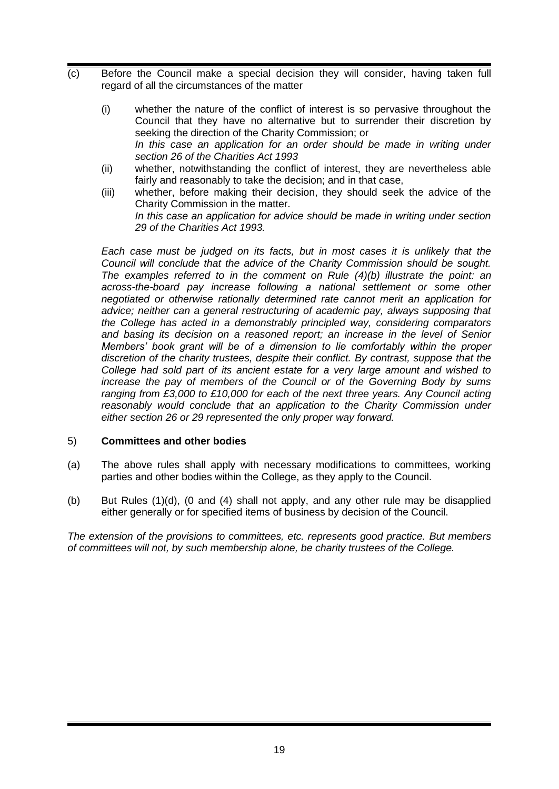- (c) Before the Council make a special decision they will consider, having taken full regard of all the circumstances of the matter
	- (i) whether the nature of the conflict of interest is so pervasive throughout the Council that they have no alternative but to surrender their discretion by seeking the direction of the Charity Commission; or In this case an application for an order should be made in writing under *section 26 of the Charities Act 1993*
	- (ii) whether, notwithstanding the conflict of interest, they are nevertheless able fairly and reasonably to take the decision; and in that case,
	- (iii) whether, before making their decision, they should seek the advice of the Charity Commission in the matter. *In this case an application for advice should be made in writing under section 29 of the Charities Act 1993.*

*Each case must be judged on its facts, but in most cases it is unlikely that the Council will conclude that the advice of the Charity Commission should be sought. The examples referred to in the comment on Rule [\(4\)](#page-17-3)[\(b\)](#page-17-4) illustrate the point: an across-the-board pay increase following a national settlement or some other negotiated or otherwise rationally determined rate cannot merit an application for advice; neither can a general restructuring of academic pay, always supposing that the College has acted in a demonstrably principled way, considering comparators and basing its decision on a reasoned report; an increase in the level of Senior Members' book grant will be of a dimension to lie comfortably within the proper discretion of the charity trustees, despite their conflict. By contrast, suppose that the College had sold part of its ancient estate for a very large amount and wished to increase the pay of members of the Council or of the Governing Body by sums ranging from £3,000 to £10,000 for each of the next three years. Any Council acting*  reasonably would conclude that an application to the Charity Commission under *either section 26 or 29 represented the only proper way forward.*

## 5) **Committees and other bodies**

- (a) The above rules shall apply with necessary modifications to committees, working parties and other bodies within the College, as they apply to the Council.
- (b) But Rules [\(1\)](#page-15-1)[\(d\),](#page-15-2) [\(0](#page-15-3) and [\(4\)](#page-17-3) shall not apply, and any other rule may be disapplied either generally or for specified items of business by decision of the Council.

*The extension of the provisions to committees, etc. represents good practice. But members of committees will not, by such membership alone, be charity trustees of the College.*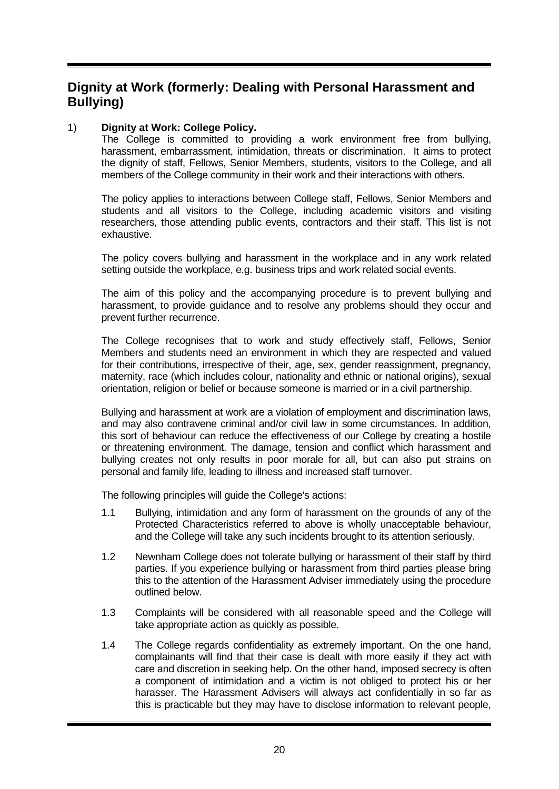# <span id="page-19-0"></span>**Dignity at Work (formerly: Dealing with Personal Harassment and Bullying)**

# 1) **Dignity at Work: College Policy.**

The College is committed to providing a work environment free from bullying, harassment, embarrassment, intimidation, threats or discrimination. It aims to protect the dignity of staff, Fellows, Senior Members, students, visitors to the College, and all members of the College community in their work and their interactions with others.

The policy applies to interactions between College staff, Fellows, Senior Members and students and all visitors to the College, including academic visitors and visiting researchers, those attending public events, contractors and their staff. This list is not exhaustive.

The policy covers bullying and harassment in the workplace and in any work related setting outside the workplace, e.g. business trips and work related social events.

The aim of this policy and the accompanying procedure is to prevent bullying and harassment, to provide guidance and to resolve any problems should they occur and prevent further recurrence.

The College recognises that to work and study effectively staff, Fellows, Senior Members and students need an environment in which they are respected and valued for their contributions, irrespective of their, age, sex, gender reassignment, pregnancy, maternity, race (which includes colour, nationality and ethnic or national origins), sexual orientation, religion or belief or because someone is married or in a civil partnership.

Bullying and harassment at work are a violation of employment and discrimination laws, and may also contravene criminal and/or civil law in some circumstances. In addition, this sort of behaviour can reduce the effectiveness of our College by creating a hostile or threatening environment. The damage, tension and conflict which harassment and bullying creates not only results in poor morale for all, but can also put strains on personal and family life, leading to illness and increased staff turnover.

The following principles will guide the College's actions:

- 1.1 Bullying, intimidation and any form of harassment on the grounds of any of the Protected Characteristics referred to above is wholly unacceptable behaviour, and the College will take any such incidents brought to its attention seriously.
- 1.2 Newnham College does not tolerate bullying or harassment of their staff by third parties. If you experience bullying or harassment from third parties please bring this to the attention of the Harassment Adviser immediately using the procedure outlined below.
- 1.3 Complaints will be considered with all reasonable speed and the College will take appropriate action as quickly as possible.
- 1.4 The College regards confidentiality as extremely important. On the one hand, complainants will find that their case is dealt with more easily if they act with care and discretion in seeking help. On the other hand, imposed secrecy is often a component of intimidation and a victim is not obliged to protect his or her harasser. The Harassment Advisers will always act confidentially in so far as this is practicable but they may have to disclose information to relevant people,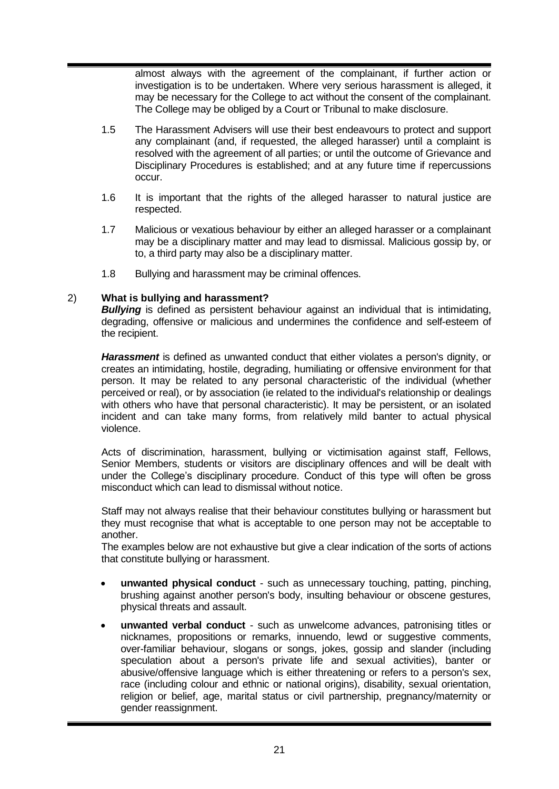almost always with the agreement of the complainant, if further action or investigation is to be undertaken. Where very serious harassment is alleged, it may be necessary for the College to act without the consent of the complainant. The College may be obliged by a Court or Tribunal to make disclosure.

- 1.5 The Harassment Advisers will use their best endeavours to protect and support any complainant (and, if requested, the alleged harasser) until a complaint is resolved with the agreement of all parties; or until the outcome of Grievance and Disciplinary Procedures is established; and at any future time if repercussions occur.
- 1.6 It is important that the rights of the alleged harasser to natural justice are respected.
- 1.7 Malicious or vexatious behaviour by either an alleged harasser or a complainant may be a disciplinary matter and may lead to dismissal. Malicious gossip by, or to, a third party may also be a disciplinary matter.
- 1.8 Bullying and harassment may be criminal offences.

#### 2) **What is bullying and harassment?**

**Bullying** is defined as persistent behaviour against an individual that is intimidating, degrading, offensive or malicious and undermines the confidence and self-esteem of the recipient.

*Harassment* is defined as unwanted conduct that either violates a person's dignity, or creates an intimidating, hostile, degrading, humiliating or offensive environment for that person. It may be related to any personal characteristic of the individual (whether perceived or real), or by association (ie related to the individual's relationship or dealings with others who have that personal characteristic). It may be persistent, or an isolated incident and can take many forms, from relatively mild banter to actual physical violence.

Acts of discrimination, harassment, bullying or victimisation against staff, Fellows, Senior Members, students or visitors are disciplinary offences and will be dealt with under the College's disciplinary procedure. Conduct of this type will often be gross misconduct which can lead to dismissal without notice.

Staff may not always realise that their behaviour constitutes bullying or harassment but they must recognise that what is acceptable to one person may not be acceptable to another.

The examples below are not exhaustive but give a clear indication of the sorts of actions that constitute bullying or harassment.

- **unwanted physical conduct** such as unnecessary touching, patting, pinching, brushing against another person's body, insulting behaviour or obscene gestures, physical threats and assault.
- **unwanted verbal conduct** such as unwelcome advances, patronising titles or nicknames, propositions or remarks, innuendo, lewd or suggestive comments, over-familiar behaviour, slogans or songs, jokes, gossip and slander (including speculation about a person's private life and sexual activities), banter or abusive/offensive language which is either threatening or refers to a person's sex, race (including colour and ethnic or national origins), disability, sexual orientation, religion or belief, age, marital status or civil partnership, pregnancy/maternity or gender reassignment.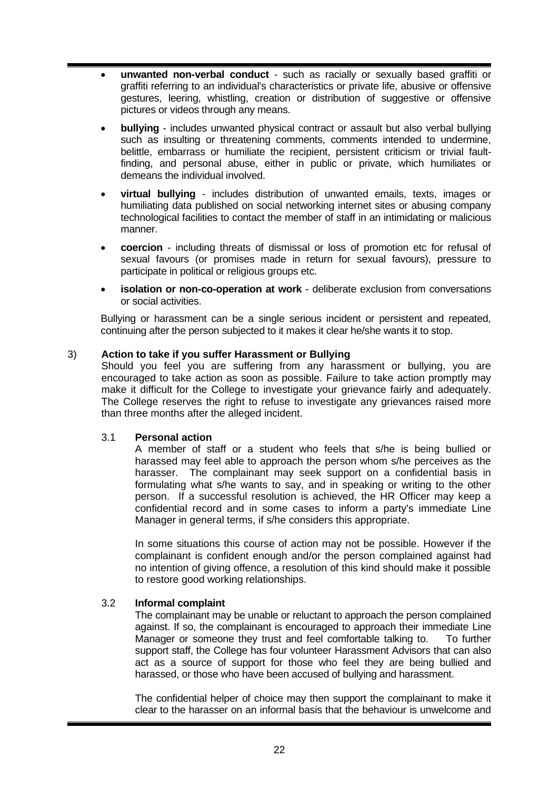- **unwanted non-verbal conduct** such as racially or sexually based graffiti or graffiti referring to an individual's characteristics or private life, abusive or offensive gestures, leering, whistling, creation or distribution of suggestive or offensive pictures or videos through any means.
- **bullying** includes unwanted physical contract or assault but also verbal bullying such as insulting or threatening comments, comments intended to undermine, belittle, embarrass or humiliate the recipient, persistent criticism or trivial faultfinding, and personal abuse, either in public or private, which humiliates or demeans the individual involved.
- **virtual bullying** includes distribution of unwanted emails, texts, images or humiliating data published on social networking internet sites or abusing company technological facilities to contact the member of staff in an intimidating or malicious manner.
- **coercion** including threats of dismissal or loss of promotion etc for refusal of sexual favours (or promises made in return for sexual favours), pressure to participate in political or religious groups etc.
- **isolation or non-co-operation at work** deliberate exclusion from conversations or social activities.

Bullying or harassment can be a single serious incident or persistent and repeated, continuing after the person subjected to it makes it clear he/she wants it to stop.

## 3) **Action to take if you suffer Harassment or Bullying**

Should you feel you are suffering from any harassment or bullying, you are encouraged to take action as soon as possible. Failure to take action promptly may make it difficult for the College to investigate your grievance fairly and adequately. The College reserves the right to refuse to investigate any grievances raised more than three months after the alleged incident.

## 3.1 **Personal action**

A member of staff or a student who feels that s/he is being bullied or harassed may feel able to approach the person whom s/he perceives as the harasser. The complainant may seek support on a confidential basis in formulating what s/he wants to say, and in speaking or writing to the other person. If a successful resolution is achieved, the HR Officer may keep a confidential record and in some cases to inform a party's immediate Line Manager in general terms, if s/he considers this appropriate.

In some situations this course of action may not be possible. However if the complainant is confident enough and/or the person complained against had no intention of giving offence, a resolution of this kind should make it possible to restore good working relationships.

## 3.2 **Informal complaint**

The complainant may be unable or reluctant to approach the person complained against. If so, the complainant is encouraged to approach their immediate Line Manager or someone they trust and feel comfortable talking to. To further support staff, the College has four volunteer Harassment Advisors that can also act as a source of support for those who feel they are being bullied and harassed, or those who have been accused of bullying and harassment.

The confidential helper of choice may then support the complainant to make it clear to the harasser on an informal basis that the behaviour is unwelcome and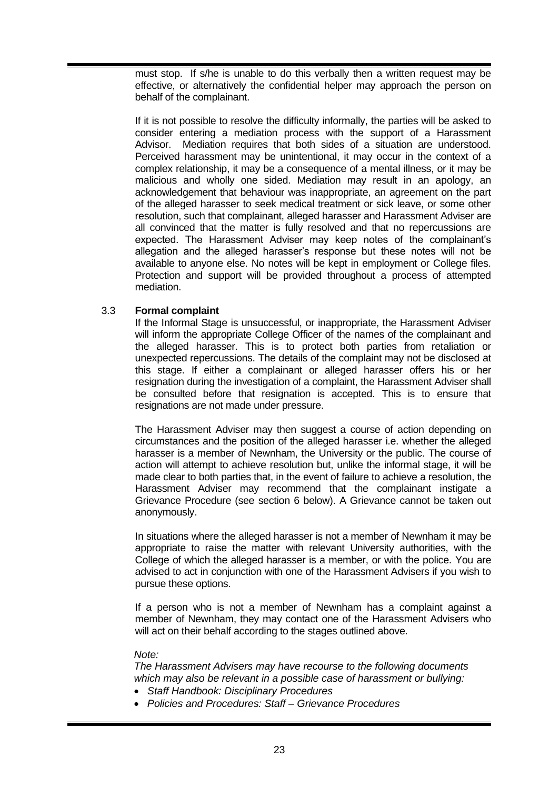must stop. If s/he is unable to do this verbally then a written request may be effective, or alternatively the confidential helper may approach the person on behalf of the complainant.

If it is not possible to resolve the difficulty informally, the parties will be asked to consider entering a mediation process with the support of a Harassment Advisor. Mediation requires that both sides of a situation are understood. Perceived harassment may be unintentional, it may occur in the context of a complex relationship, it may be a consequence of a mental illness, or it may be malicious and wholly one sided. Mediation may result in an apology, an acknowledgement that behaviour was inappropriate, an agreement on the part of the alleged harasser to seek medical treatment or sick leave, or some other resolution, such that complainant, alleged harasser and Harassment Adviser are all convinced that the matter is fully resolved and that no repercussions are expected. The Harassment Adviser may keep notes of the complainant's allegation and the alleged harasser's response but these notes will not be available to anyone else. No notes will be kept in employment or College files. Protection and support will be provided throughout a process of attempted mediation.

# 3.3 **Formal complaint**

If the Informal Stage is unsuccessful, or inappropriate, the Harassment Adviser will inform the appropriate College Officer of the names of the complainant and the alleged harasser. This is to protect both parties from retaliation or unexpected repercussions. The details of the complaint may not be disclosed at this stage. If either a complainant or alleged harasser offers his or her resignation during the investigation of a complaint, the Harassment Adviser shall be consulted before that resignation is accepted. This is to ensure that resignations are not made under pressure.

The Harassment Adviser may then suggest a course of action depending on circumstances and the position of the alleged harasser i.e. whether the alleged harasser is a member of Newnham, the University or the public. The course of action will attempt to achieve resolution but, unlike the informal stage, it will be made clear to both parties that, in the event of failure to achieve a resolution, the Harassment Adviser may recommend that the complainant instigate a Grievance Procedure (see section 6 below). A Grievance cannot be taken out anonymously.

In situations where the alleged harasser is not a member of Newnham it may be appropriate to raise the matter with relevant University authorities, with the College of which the alleged harasser is a member, or with the police. You are advised to act in conjunction with one of the Harassment Advisers if you wish to pursue these options.

If a person who is not a member of Newnham has a complaint against a member of Newnham, they may contact one of the Harassment Advisers who will act on their behalf according to the stages outlined above.

#### *Note:*

*The Harassment Advisers may have recourse to the following documents which may also be relevant in a possible case of harassment or bullying:*

- *Staff Handbook: Disciplinary Procedures*
- *Policies and Procedures: Staff – Grievance Procedures*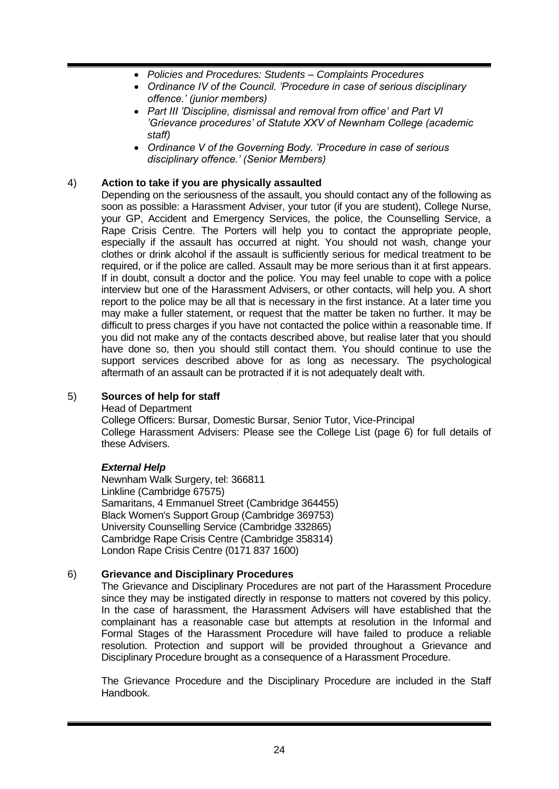- *Policies and Procedures: Students – Complaints Procedures*
- *Ordinance IV of the Council. 'Procedure in case of serious disciplinary offence.' (junior members)*
- *Part III 'Discipline, dismissal and removal from office' and Part VI 'Grievance procedures' of Statute XXV of Newnham College (academic staff)*
- *Ordinance V of the Governing Body. 'Procedure in case of serious disciplinary offence.' (Senior Members)*

# 4) **Action to take if you are physically assaulted**

Depending on the seriousness of the assault, you should contact any of the following as soon as possible: a Harassment Adviser, your tutor (if you are student), College Nurse, your GP, Accident and Emergency Services, the police, the Counselling Service, a Rape Crisis Centre. The Porters will help you to contact the appropriate people, especially if the assault has occurred at night. You should not wash, change your clothes or drink alcohol if the assault is sufficiently serious for medical treatment to be required, or if the police are called. Assault may be more serious than it at first appears. If in doubt, consult a doctor and the police. You may feel unable to cope with a police interview but one of the Harassment Advisers, or other contacts, will help you. A short report to the police may be all that is necessary in the first instance. At a later time you may make a fuller statement, or request that the matter be taken no further. It may be difficult to press charges if you have not contacted the police within a reasonable time. If you did not make any of the contacts described above, but realise later that you should have done so, then you should still contact them. You should continue to use the support services described above for as long as necessary. The psychological aftermath of an assault can be protracted if it is not adequately dealt with.

## 5) **Sources of help for staff**

Head of Department

College Officers: Bursar, Domestic Bursar, Senior Tutor, Vice-Principal College Harassment Advisers: Please see the College List (page 6) for full details of these Advisers.

## *External Help*

Newnham Walk Surgery, tel: 366811 Linkline (Cambridge 67575) Samaritans, 4 Emmanuel Street (Cambridge 364455) Black Women's Support Group (Cambridge 369753) University Counselling Service (Cambridge 332865) Cambridge Rape Crisis Centre (Cambridge 358314) London Rape Crisis Centre (0171 837 1600)

## 6) **Grievance and Disciplinary Procedures**

The Grievance and Disciplinary Procedures are not part of the Harassment Procedure since they may be instigated directly in response to matters not covered by this policy. In the case of harassment, the Harassment Advisers will have established that the complainant has a reasonable case but attempts at resolution in the Informal and Formal Stages of the Harassment Procedure will have failed to produce a reliable resolution. Protection and support will be provided throughout a Grievance and Disciplinary Procedure brought as a consequence of a Harassment Procedure.

The Grievance Procedure and the Disciplinary Procedure are included in the Staff Handbook.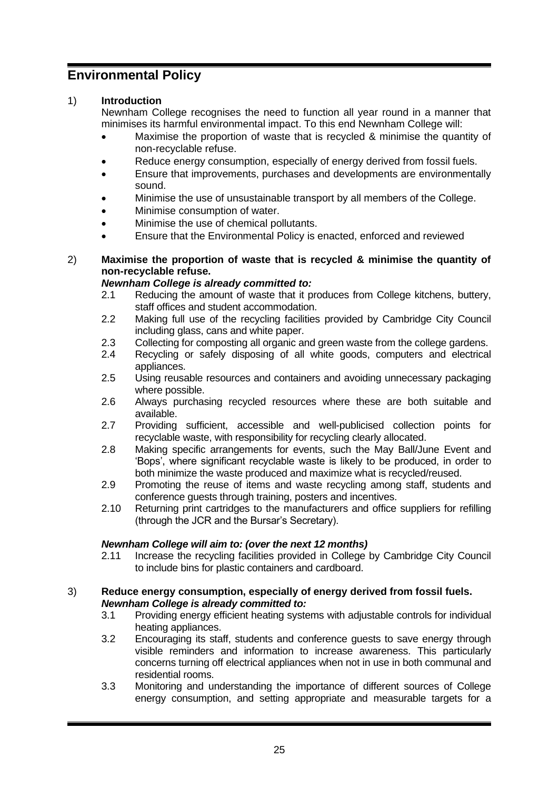# <span id="page-24-0"></span>**Environmental Policy**

# 1) **Introduction**

Newnham College recognises the need to function all year round in a manner that minimises its harmful environmental impact. To this end Newnham College will:

- Maximise the proportion of waste that is recycled & minimise the quantity of non-recyclable refuse.
- Reduce energy consumption, especially of energy derived from fossil fuels.
- Ensure that improvements, purchases and developments are environmentally sound.
- Minimise the use of unsustainable transport by all members of the College.
- Minimise consumption of water.
- Minimise the use of chemical pollutants.
- Ensure that the Environmental Policy is enacted, enforced and reviewed

## <span id="page-24-1"></span>2) **Maximise the proportion of waste that is recycled & minimise the quantity of non-recyclable refuse.**

## *Newnham College is already committed to:*

- 2.1 Reducing the amount of waste that it produces from College kitchens, buttery, staff offices and student accommodation.
- 2.2 Making full use of the recycling facilities provided by Cambridge City Council including glass, cans and white paper.
- 2.3 Collecting for composting all organic and green waste from the college gardens.
- 2.4 Recycling or safely disposing of all white goods, computers and electrical appliances.
- 2.5 Using reusable resources and containers and avoiding unnecessary packaging where possible.
- 2.6 Always purchasing recycled resources where these are both suitable and available.
- 2.7 Providing sufficient, accessible and well-publicised collection points for recyclable waste, with responsibility for recycling clearly allocated.
- 2.8 Making specific arrangements for events, such the May Ball/June Event and 'Bops', where significant recyclable waste is likely to be produced, in order to both minimize the waste produced and maximize what is recycled/reused.
- 2.9 Promoting the reuse of items and waste recycling among staff, students and conference guests through training, posters and incentives.
- 2.10 Returning print cartridges to the manufacturers and office suppliers for refilling (through the JCR and the Bursar's Secretary).

## *Newnham College will aim to: (over the next 12 months)*

2.11 Increase the recycling facilities provided in College by Cambridge City Council to include bins for plastic containers and cardboard.

#### 3) **Reduce energy consumption, especially of energy derived from fossil fuels.** *Newnham College is already committed to:*

- 3.1 Providing energy efficient heating systems with adjustable controls for individual heating appliances.
- 3.2 Encouraging its staff, students and conference guests to save energy through visible reminders and information to increase awareness. This particularly concerns turning off electrical appliances when not in use in both communal and residential rooms.
- 3.3 Monitoring and understanding the importance of different sources of College energy consumption, and setting appropriate and measurable targets for a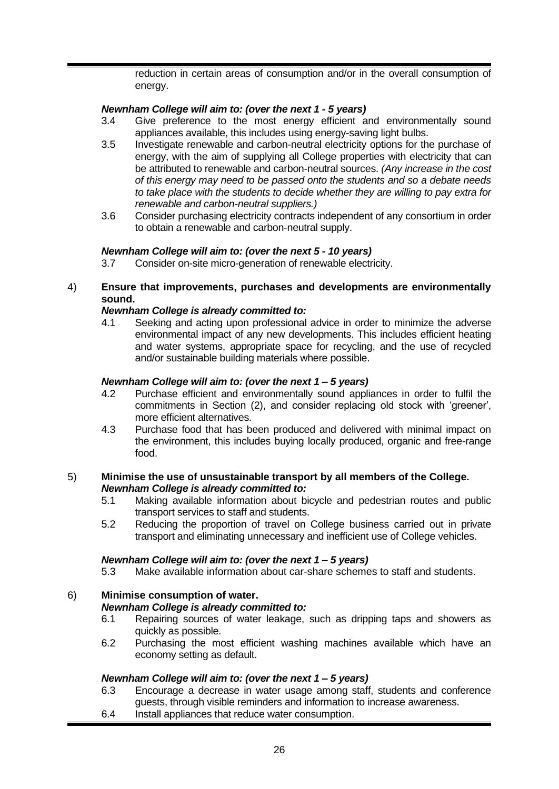reduction in certain areas of consumption and/or in the overall consumption of energy.

# *Newnham College will aim to: (over the next 1 - 5 years)*

- 3.4 Give preference to the most energy efficient and environmentally sound appliances available, this includes using energy-saving light bulbs.
- 3.5 Investigate renewable and carbon-neutral electricity options for the purchase of energy, with the aim of supplying all College properties with electricity that can be attributed to renewable and carbon-neutral sources. *(Any increase in the cost of this energy may need to be passed onto the students and so a debate needs to take place with the students to decide whether they are willing to pay extra for renewable and carbon-neutral suppliers.)*
- 3.6 Consider purchasing electricity contracts independent of any consortium in order to obtain a renewable and carbon-neutral supply.

#### *Newnham College will aim to: (over the next 5 - 10 years)*

3.7 Consider on-site micro-generation of renewable electricity.

## 4) **Ensure that improvements, purchases and developments are environmentally sound.**

#### *Newnham College is already committed to:*

4.1 Seeking and acting upon professional advice in order to minimize the adverse environmental impact of any new developments. This includes efficient heating and water systems, appropriate space for recycling, and the use of recycled and/or sustainable building materials where possible.

#### *Newnham College will aim to: (over the next 1 – 5 years)*

- 4.2 Purchase efficient and environmentally sound appliances in order to fulfil the commitments in Section [\(2\),](#page-24-1) and consider replacing old stock with 'greener', more efficient alternatives.
- 4.3 Purchase food that has been produced and delivered with minimal impact on the environment, this includes buying locally produced, organic and free-range food.

#### 5) **Minimise the use of unsustainable transport by all members of the College.** *Newnham College is already committed to:*

- 5.1 Making available information about bicycle and pedestrian routes and public transport services to staff and students.
- 5.2 Reducing the proportion of travel on College business carried out in private transport and eliminating unnecessary and inefficient use of College vehicles.

#### *Newnham College will aim to: (over the next 1 – 5 years)*

5.3 Make available information about car-share schemes to staff and students.

## 6) **Minimise consumption of water.**

#### *Newnham College is already committed to:*

- 6.1 Repairing sources of water leakage, such as dripping taps and showers as quickly as possible.
- 6.2 Purchasing the most efficient washing machines available which have an economy setting as default.

#### *Newnham College will aim to: (over the next 1 – 5 years)*

- 6.3 Encourage a decrease in water usage among staff, students and conference guests, through visible reminders and information to increase awareness.
- 6.4 Install appliances that reduce water consumption.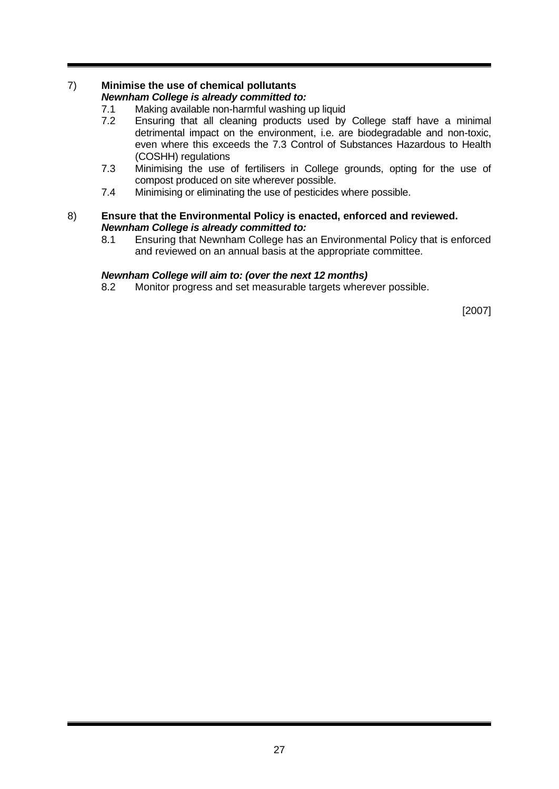# 7) **Minimise the use of chemical pollutants**

# *Newnham College is already committed to:*

- 7.1 Making available non-harmful washing up liquid<br>7.2 Ensuring that all cleaning products used by
- Ensuring that all cleaning products used by College staff have a minimal detrimental impact on the environment, i.e. are biodegradable and non-toxic, even where this exceeds the 7.3 Control of Substances Hazardous to Health (COSHH) regulations
- 7.3 Minimising the use of fertilisers in College grounds, opting for the use of compost produced on site wherever possible.
- 7.4 Minimising or eliminating the use of pesticides where possible.

## 8) **Ensure that the Environmental Policy is enacted, enforced and reviewed.** *Newnham College is already committed to:*

8.1 Ensuring that Newnham College has an Environmental Policy that is enforced and reviewed on an annual basis at the appropriate committee.

# *Newnham College will aim to: (over the next 12 months)*

8.2 Monitor progress and set measurable targets wherever possible.

[2007]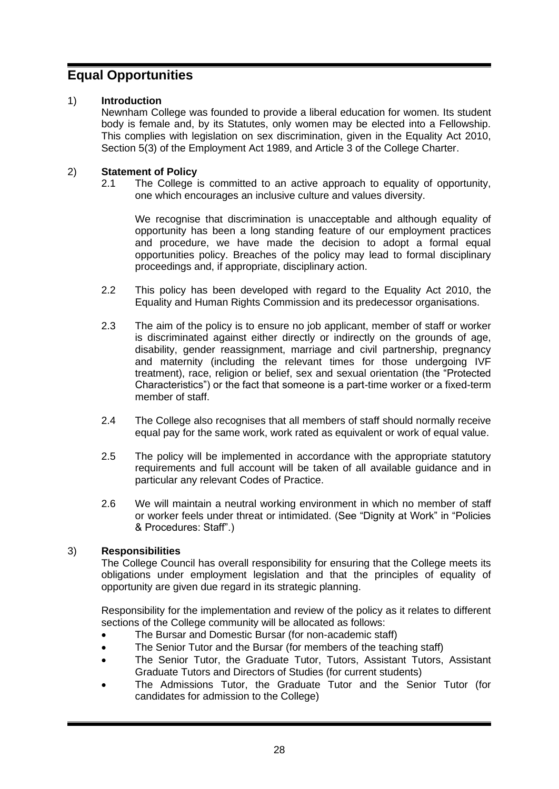# <span id="page-27-0"></span>**Equal Opportunities**

# 1) **Introduction**

Newnham College was founded to provide a liberal education for women. Its student body is female and, by its Statutes, only women may be elected into a Fellowship. This complies with legislation on sex discrimination, given in the Equality Act 2010, Section 5(3) of the Employment Act 1989, and Article 3 of the College Charter.

# 2) **Statement of Policy**

2.1 The College is committed to an active approach to equality of opportunity, one which encourages an inclusive culture and values diversity.

We recognise that discrimination is unacceptable and although equality of opportunity has been a long standing feature of our employment practices and procedure, we have made the decision to adopt a formal equal opportunities policy. Breaches of the policy may lead to formal disciplinary proceedings and, if appropriate, disciplinary action.

- 2.2 This policy has been developed with regard to the Equality Act 2010, the Equality and Human Rights Commission and its predecessor organisations.
- 2.3 The aim of the policy is to ensure no job applicant, member of staff or worker is discriminated against either directly or indirectly on the grounds of age, disability, gender reassignment, marriage and civil partnership, pregnancy and maternity (including the relevant times for those undergoing IVF treatment), race, religion or belief, sex and sexual orientation (the "Protected Characteristics") or the fact that someone is a part-time worker or a fixed-term member of staff.
- 2.4 The College also recognises that all members of staff should normally receive equal pay for the same work, work rated as equivalent or work of equal value.
- 2.5 The policy will be implemented in accordance with the appropriate statutory requirements and full account will be taken of all available guidance and in particular any relevant Codes of Practice.
- 2.6 We will maintain a neutral working environment in which no member of staff or worker feels under threat or intimidated. (See "Dignity at Work" in "Policies & Procedures: Staff".)

## 3) **Responsibilities**

The College Council has overall responsibility for ensuring that the College meets its obligations under employment legislation and that the principles of equality of opportunity are given due regard in its strategic planning.

Responsibility for the implementation and review of the policy as it relates to different sections of the College community will be allocated as follows:

- The Bursar and Domestic Bursar (for non-academic staff)
- The Senior Tutor and the Bursar (for members of the teaching staff)
- The Senior Tutor, the Graduate Tutor, Tutors, Assistant Tutors, Assistant Graduate Tutors and Directors of Studies (for current students)
- The Admissions Tutor, the Graduate Tutor and the Senior Tutor (for candidates for admission to the College)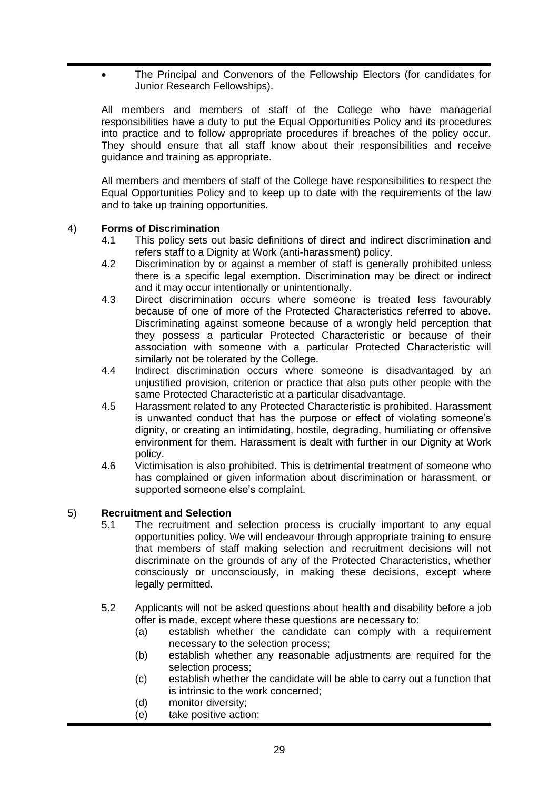• The Principal and Convenors of the Fellowship Electors (for candidates for Junior Research Fellowships).

All members and members of staff of the College who have managerial responsibilities have a duty to put the Equal Opportunities Policy and its procedures into practice and to follow appropriate procedures if breaches of the policy occur. They should ensure that all staff know about their responsibilities and receive guidance and training as appropriate.

All members and members of staff of the College have responsibilities to respect the Equal Opportunities Policy and to keep up to date with the requirements of the law and to take up training opportunities.

# 4) **Forms of Discrimination**

- 4.1 This policy sets out basic definitions of direct and indirect discrimination and refers staff to a Dignity at Work (anti-harassment) policy.
- 4.2 Discrimination by or against a member of staff is generally prohibited unless there is a specific legal exemption. Discrimination may be direct or indirect and it may occur intentionally or unintentionally.
- 4.3 Direct discrimination occurs where someone is treated less favourably because of one of more of the Protected Characteristics referred to above. Discriminating against someone because of a wrongly held perception that they possess a particular Protected Characteristic or because of their association with someone with a particular Protected Characteristic will similarly not be tolerated by the College.
- 4.4 Indirect discrimination occurs where someone is disadvantaged by an unjustified provision, criterion or practice that also puts other people with the same Protected Characteristic at a particular disadvantage.
- 4.5 Harassment related to any Protected Characteristic is prohibited. Harassment is unwanted conduct that has the purpose or effect of violating someone's dignity, or creating an intimidating, hostile, degrading, humiliating or offensive environment for them. Harassment is dealt with further in our Dignity at Work policy.
- 4.6 Victimisation is also prohibited. This is detrimental treatment of someone who has complained or given information about discrimination or harassment, or supported someone else's complaint.

## 5) **Recruitment and Selection**

- 5.1 The recruitment and selection process is crucially important to any equal opportunities policy. We will endeavour through appropriate training to ensure that members of staff making selection and recruitment decisions will not discriminate on the grounds of any of the Protected Characteristics, whether consciously or unconsciously, in making these decisions, except where legally permitted.
- 5.2 Applicants will not be asked questions about health and disability before a job offer is made, except where these questions are necessary to:
	- (a) establish whether the candidate can comply with a requirement necessary to the selection process;
	- (b) establish whether any reasonable adjustments are required for the selection process;
	- (c) establish whether the candidate will be able to carry out a function that is intrinsic to the work concerned;
	- (d) monitor diversity;
	- (e) take positive action;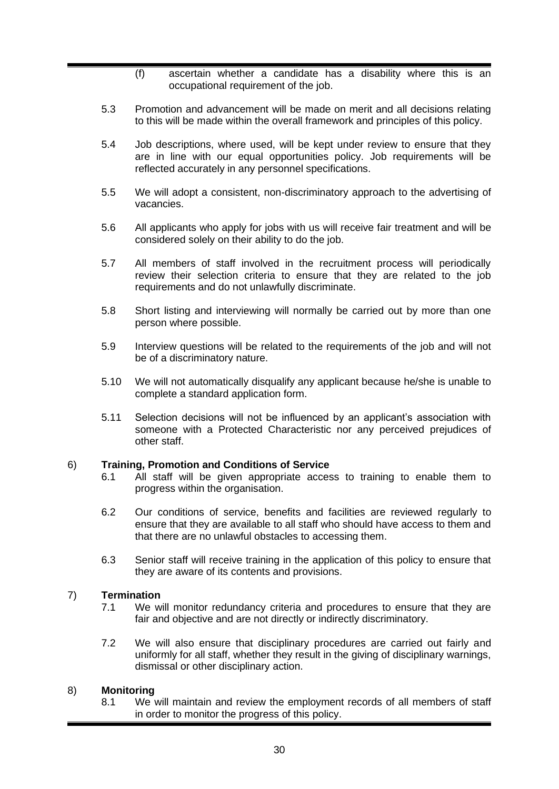- (f) ascertain whether a candidate has a disability where this is an occupational requirement of the job.
- 5.3 Promotion and advancement will be made on merit and all decisions relating to this will be made within the overall framework and principles of this policy.
- 5.4 Job descriptions, where used, will be kept under review to ensure that they are in line with our equal opportunities policy. Job requirements will be reflected accurately in any personnel specifications.
- 5.5 We will adopt a consistent, non-discriminatory approach to the advertising of vacancies.
- 5.6 All applicants who apply for jobs with us will receive fair treatment and will be considered solely on their ability to do the job.
- 5.7 All members of staff involved in the recruitment process will periodically review their selection criteria to ensure that they are related to the job requirements and do not unlawfully discriminate.
- 5.8 Short listing and interviewing will normally be carried out by more than one person where possible.
- 5.9 Interview questions will be related to the requirements of the job and will not be of a discriminatory nature.
- 5.10 We will not automatically disqualify any applicant because he/she is unable to complete a standard application form.
- 5.11 Selection decisions will not be influenced by an applicant's association with someone with a Protected Characteristic nor any perceived prejudices of other staff.

## 6) **Training, Promotion and Conditions of Service**

- 6.1 All staff will be given appropriate access to training to enable them to progress within the organisation.
- 6.2 Our conditions of service, benefits and facilities are reviewed regularly to ensure that they are available to all staff who should have access to them and that there are no unlawful obstacles to accessing them.
- 6.3 Senior staff will receive training in the application of this policy to ensure that they are aware of its contents and provisions.

#### 7) **Termination**

- 7.1 We will monitor redundancy criteria and procedures to ensure that they are fair and objective and are not directly or indirectly discriminatory.
- 7.2 We will also ensure that disciplinary procedures are carried out fairly and uniformly for all staff, whether they result in the giving of disciplinary warnings, dismissal or other disciplinary action.

#### 8) **Monitoring**

8.1 We will maintain and review the employment records of all members of staff in order to monitor the progress of this policy.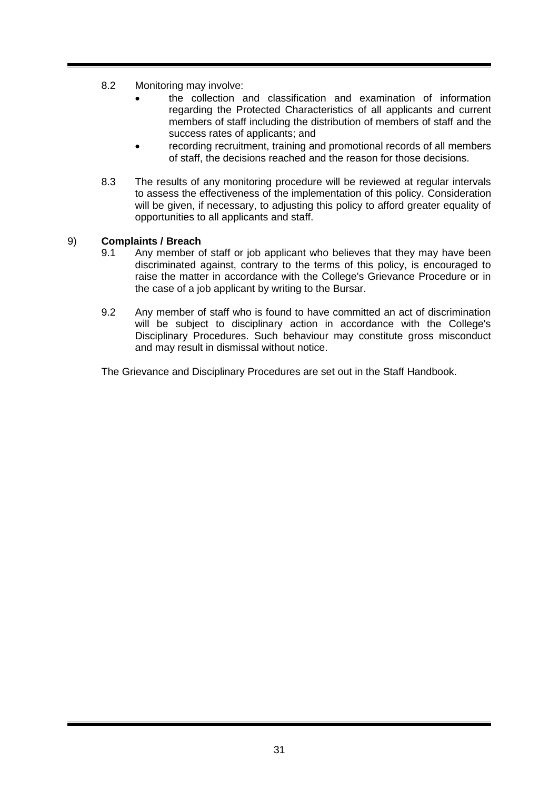- 8.2 Monitoring may involve:
	- the collection and classification and examination of information regarding the Protected Characteristics of all applicants and current members of staff including the distribution of members of staff and the success rates of applicants; and
	- recording recruitment, training and promotional records of all members of staff, the decisions reached and the reason for those decisions.
- 8.3 The results of any monitoring procedure will be reviewed at regular intervals to assess the effectiveness of the implementation of this policy. Consideration will be given, if necessary, to adjusting this policy to afford greater equality of opportunities to all applicants and staff.

## 9) **Complaints / Breach**

- 9.1 Any member of staff or job applicant who believes that they may have been discriminated against, contrary to the terms of this policy, is encouraged to raise the matter in accordance with the College's Grievance Procedure or in the case of a job applicant by writing to the Bursar.
- 9.2 Any member of staff who is found to have committed an act of discrimination will be subject to disciplinary action in accordance with the College's Disciplinary Procedures. Such behaviour may constitute gross misconduct and may result in dismissal without notice.

The Grievance and Disciplinary Procedures are set out in the Staff Handbook.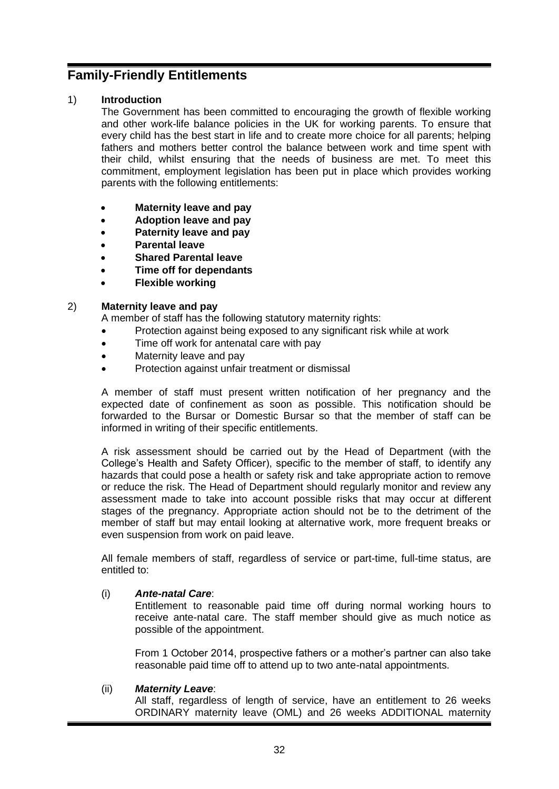# <span id="page-31-0"></span>**Family-Friendly Entitlements**

# 1) **Introduction**

The Government has been committed to encouraging the growth of flexible working and other work-life balance policies in the UK for working parents. To ensure that every child has the best start in life and to create more choice for all parents; helping fathers and mothers better control the balance between work and time spent with their child, whilst ensuring that the needs of business are met. To meet this commitment, employment legislation has been put in place which provides working parents with the following entitlements:

- **Maternity leave and pay**
- **Adoption leave and pay**
- **Paternity leave and pay**
- **Parental leave**
- **Shared Parental leave**
- **Time off for dependants**
- **Flexible working**

## 2) **Maternity leave and pay**

A member of staff has the following statutory maternity rights:

- Protection against being exposed to any significant risk while at work
- Time off work for antenatal care with pay
- Maternity leave and pay
- Protection against unfair treatment or dismissal

A member of staff must present written notification of her pregnancy and the expected date of confinement as soon as possible. This notification should be forwarded to the Bursar or Domestic Bursar so that the member of staff can be informed in writing of their specific entitlements.

A risk assessment should be carried out by the Head of Department (with the College's Health and Safety Officer), specific to the member of staff, to identify any hazards that could pose a health or safety risk and take appropriate action to remove or reduce the risk. The Head of Department should regularly monitor and review any assessment made to take into account possible risks that may occur at different stages of the pregnancy. Appropriate action should not be to the detriment of the member of staff but may entail looking at alternative work, more frequent breaks or even suspension from work on paid leave.

All female members of staff, regardless of service or part-time, full-time status, are entitled to:

## (i) *Ante-natal Care*:

Entitlement to reasonable paid time off during normal working hours to receive ante-natal care. The staff member should give as much notice as possible of the appointment.

From 1 October 2014, prospective fathers or a mother's partner can also take reasonable paid time off to attend up to two ante-natal appointments.

## (ii) *Maternity Leave*:

All staff, regardless of length of service, have an entitlement to 26 weeks ORDINARY maternity leave (OML) and 26 weeks ADDITIONAL maternity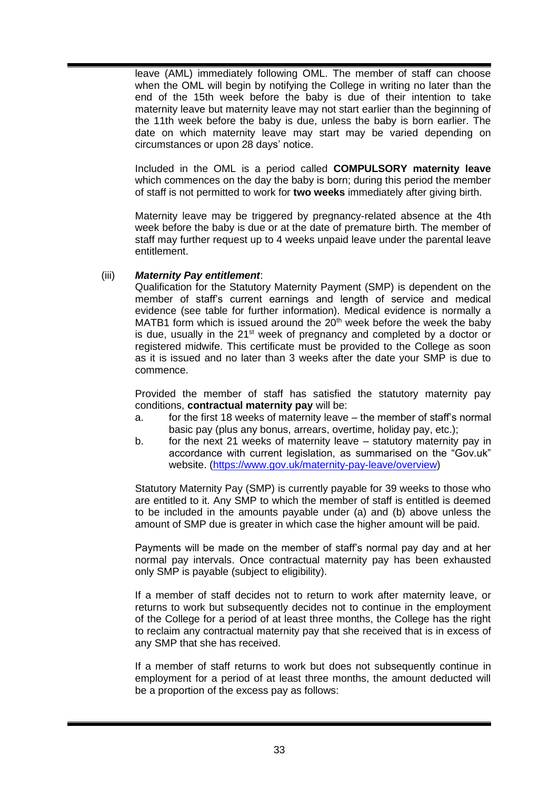leave (AML) immediately following OML. The member of staff can choose when the OML will begin by notifying the College in writing no later than the end of the 15th week before the baby is due of their intention to take maternity leave but maternity leave may not start earlier than the beginning of the 11th week before the baby is due, unless the baby is born earlier. The date on which maternity leave may start may be varied depending on circumstances or upon 28 days' notice.

Included in the OML is a period called **COMPULSORY maternity leave** which commences on the day the baby is born; during this period the member of staff is not permitted to work for **two weeks** immediately after giving birth.

Maternity leave may be triggered by pregnancy-related absence at the 4th week before the baby is due or at the date of premature birth. The member of staff may further request up to 4 weeks unpaid leave under the parental leave entitlement.

## (iii) *Maternity Pay entitlement*:

Qualification for the Statutory Maternity Payment (SMP) is dependent on the member of staff's current earnings and length of service and medical evidence (see table for further information). Medical evidence is normally a MATB1 form which is issued around the  $20<sup>th</sup>$  week before the week the baby is due, usually in the  $21<sup>st</sup>$  week of pregnancy and completed by a doctor or registered midwife. This certificate must be provided to the College as soon as it is issued and no later than 3 weeks after the date your SMP is due to commence.

Provided the member of staff has satisfied the statutory maternity pay conditions, **contractual maternity pay** will be:

- a. for the first 18 weeks of maternity leave the member of staff's normal basic pay (plus any bonus, arrears, overtime, holiday pay, etc.);
- b. for the next 21 weeks of maternity leave statutory maternity pay in accordance with current legislation, as summarised on the "Gov.uk" website. [\(https://www.gov.uk/maternity-pay-leave/overview\)](https://www.gov.uk/maternity-pay-leave/overview)

Statutory Maternity Pay (SMP) is currently payable for 39 weeks to those who are entitled to it. Any SMP to which the member of staff is entitled is deemed to be included in the amounts payable under (a) and (b) above unless the amount of SMP due is greater in which case the higher amount will be paid.

Payments will be made on the member of staff's normal pay day and at her normal pay intervals. Once contractual maternity pay has been exhausted only SMP is payable (subject to eligibility).

If a member of staff decides not to return to work after maternity leave, or returns to work but subsequently decides not to continue in the employment of the College for a period of at least three months, the College has the right to reclaim any contractual maternity pay that she received that is in excess of any SMP that she has received.

If a member of staff returns to work but does not subsequently continue in employment for a period of at least three months, the amount deducted will be a proportion of the excess pay as follows: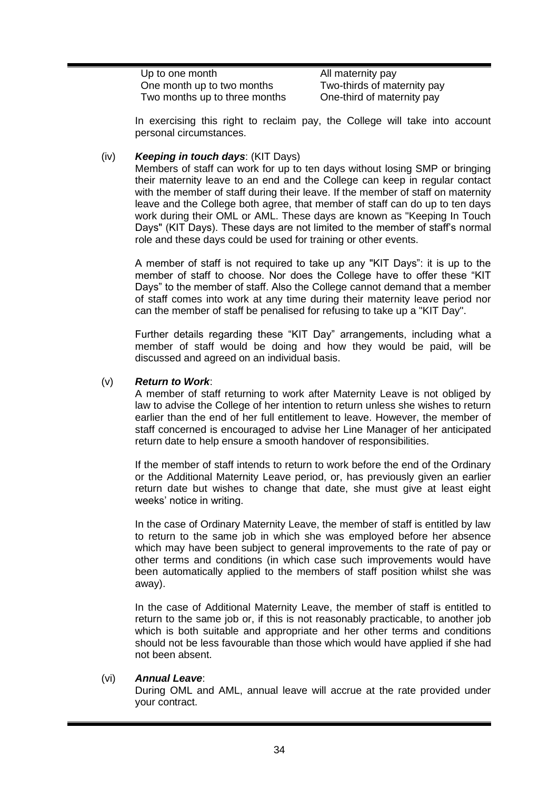| Up to one month               | All maternity pay           |
|-------------------------------|-----------------------------|
| One month up to two months    | Two-thirds of maternity pay |
| Two months up to three months | One-third of maternity pay  |

In exercising this right to reclaim pay, the College will take into account personal circumstances.

#### (iv) *Keeping in touch days*: (KIT Days)

Members of staff can work for up to ten days without losing SMP or bringing their maternity leave to an end and the College can keep in regular contact with the member of staff during their leave. If the member of staff on maternity leave and the College both agree, that member of staff can do up to ten days work during their OML or AML. These days are known as "Keeping In Touch Days" (KIT Days). These days are not limited to the member of staff's normal role and these days could be used for training or other events.

A member of staff is not required to take up any "KIT Days": it is up to the member of staff to choose. Nor does the College have to offer these "KIT Days" to the member of staff. Also the College cannot demand that a member of staff comes into work at any time during their maternity leave period nor can the member of staff be penalised for refusing to take up a "KIT Day".

Further details regarding these "KIT Day" arrangements, including what a member of staff would be doing and how they would be paid, will be discussed and agreed on an individual basis.

#### (v) *Return to Work*:

A member of staff returning to work after Maternity Leave is not obliged by law to advise the College of her intention to return unless she wishes to return earlier than the end of her full entitlement to leave. However, the member of staff concerned is encouraged to advise her Line Manager of her anticipated return date to help ensure a smooth handover of responsibilities.

If the member of staff intends to return to work before the end of the Ordinary or the Additional Maternity Leave period, or, has previously given an earlier return date but wishes to change that date, she must give at least eight weeks' notice in writing.

In the case of Ordinary Maternity Leave, the member of staff is entitled by law to return to the same job in which she was employed before her absence which may have been subject to general improvements to the rate of pay or other terms and conditions (in which case such improvements would have been automatically applied to the members of staff position whilst she was away).

In the case of Additional Maternity Leave, the member of staff is entitled to return to the same job or, if this is not reasonably practicable, to another job which is both suitable and appropriate and her other terms and conditions should not be less favourable than those which would have applied if she had not been absent.

#### (vi) *Annual Leave*:

During OML and AML, annual leave will accrue at the rate provided under your contract.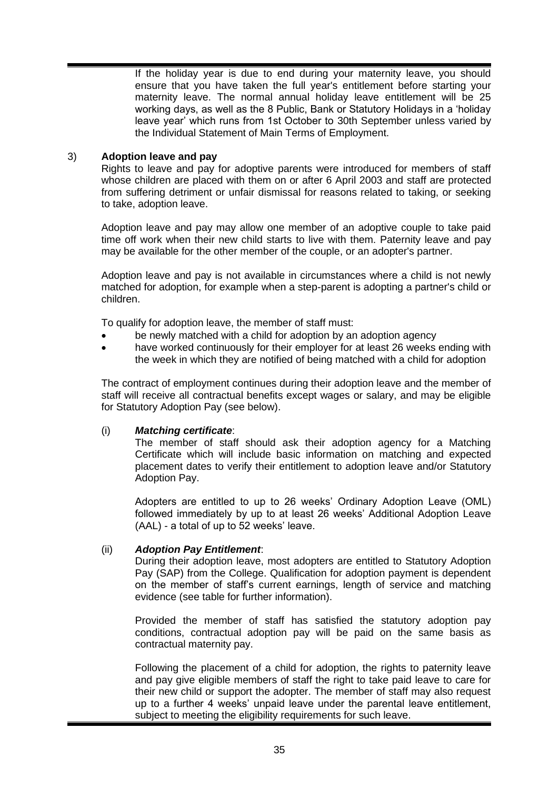If the holiday year is due to end during your maternity leave, you should ensure that you have taken the full year's entitlement before starting your maternity leave. The normal annual holiday leave entitlement will be 25 working days, as well as the 8 Public, Bank or Statutory Holidays in a 'holiday leave year' which runs from 1st October to 30th September unless varied by the Individual Statement of Main Terms of Employment.

## 3) **Adoption leave and pay**

Rights to leave and pay for adoptive parents were introduced for members of staff whose children are placed with them on or after 6 April 2003 and staff are protected from suffering detriment or unfair dismissal for reasons related to taking, or seeking to take, adoption leave.

Adoption leave and pay may allow one member of an adoptive couple to take paid time off work when their new child starts to live with them. Paternity leave and pay may be available for the other member of the couple, or an adopter's partner.

Adoption leave and pay is not available in circumstances where a child is not newly matched for adoption, for example when a step-parent is adopting a partner's child or children.

To qualify for adoption leave, the member of staff must:

- be newly matched with a child for adoption by an adoption agency
- have worked continuously for their employer for at least 26 weeks ending with the week in which they are notified of being matched with a child for adoption

The contract of employment continues during their adoption leave and the member of staff will receive all contractual benefits except wages or salary, and may be eligible for Statutory Adoption Pay (see below).

## (i) *Matching certificate*:

The member of staff should ask their adoption agency for a Matching Certificate which will include basic information on matching and expected placement dates to verify their entitlement to adoption leave and/or Statutory Adoption Pay.

Adopters are entitled to up to 26 weeks' Ordinary Adoption Leave (OML) followed immediately by up to at least 26 weeks' Additional Adoption Leave (AAL) - a total of up to 52 weeks' leave.

## (ii) *Adoption Pay Entitlement*:

During their adoption leave, most adopters are entitled to Statutory Adoption Pay (SAP) from the College. Qualification for adoption payment is dependent on the member of staff's current earnings, length of service and matching evidence (see table for further information).

Provided the member of staff has satisfied the statutory adoption pay conditions, contractual adoption pay will be paid on the same basis as contractual maternity pay.

Following the placement of a child for adoption, the rights to paternity leave and pay give eligible members of staff the right to take paid leave to care for their new child or support the adopter. The member of staff may also request up to a further 4 weeks' unpaid leave under the parental leave entitlement, subject to meeting the eligibility requirements for such leave.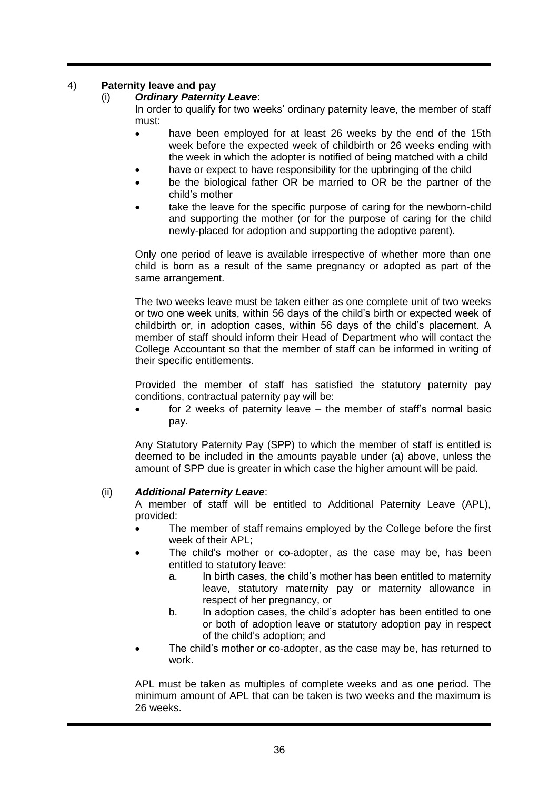# 4) **Paternity leave and pay**

## (i) *Ordinary Paternity Leave*:

In order to qualify for two weeks' ordinary paternity leave, the member of staff must:

- have been employed for at least 26 weeks by the end of the 15th week before the expected week of childbirth or 26 weeks ending with the week in which the adopter is notified of being matched with a child
- have or expect to have responsibility for the upbringing of the child
- be the biological father OR be married to OR be the partner of the child's mother
- take the leave for the specific purpose of caring for the newborn-child and supporting the mother (or for the purpose of caring for the child newly-placed for adoption and supporting the adoptive parent).

Only one period of leave is available irrespective of whether more than one child is born as a result of the same pregnancy or adopted as part of the same arrangement.

The two weeks leave must be taken either as one complete unit of two weeks or two one week units, within 56 days of the child's birth or expected week of childbirth or, in adoption cases, within 56 days of the child's placement. A member of staff should inform their Head of Department who will contact the College Accountant so that the member of staff can be informed in writing of their specific entitlements.

Provided the member of staff has satisfied the statutory paternity pay conditions, contractual paternity pay will be:

for 2 weeks of paternity leave  $-$  the member of staff's normal basic pay.

Any Statutory Paternity Pay (SPP) to which the member of staff is entitled is deemed to be included in the amounts payable under (a) above, unless the amount of SPP due is greater in which case the higher amount will be paid.

## (ii) *Additional Paternity Leave*:

A member of staff will be entitled to Additional Paternity Leave (APL), provided:

- The member of staff remains employed by the College before the first week of their APL;
- The child's mother or co-adopter, as the case may be, has been entitled to statutory leave:
	- a. In birth cases, the child's mother has been entitled to maternity leave, statutory maternity pay or maternity allowance in respect of her pregnancy, or
	- b. In adoption cases, the child's adopter has been entitled to one or both of adoption leave or statutory adoption pay in respect of the child's adoption; and
- The child's mother or co-adopter, as the case may be, has returned to work.

APL must be taken as multiples of complete weeks and as one period. The minimum amount of APL that can be taken is two weeks and the maximum is 26 weeks.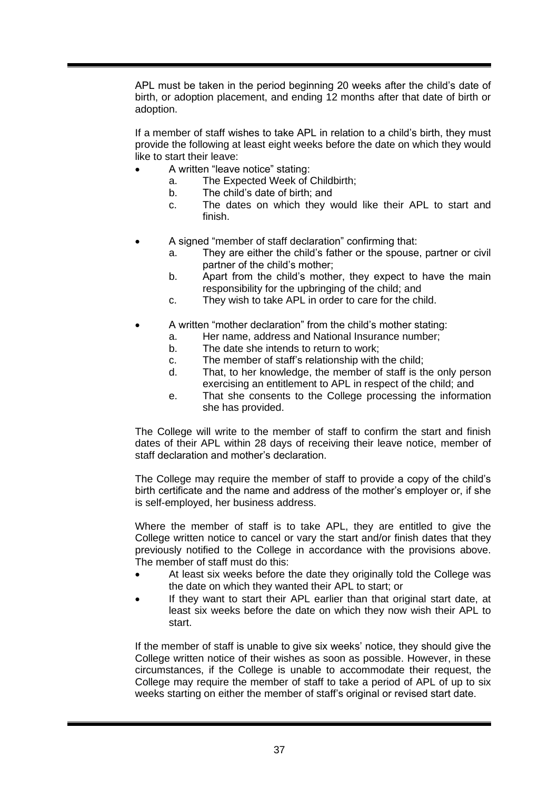APL must be taken in the period beginning 20 weeks after the child's date of birth, or adoption placement, and ending 12 months after that date of birth or adoption.

If a member of staff wishes to take APL in relation to a child's birth, they must provide the following at least eight weeks before the date on which they would like to start their leave:

- A written "leave notice" stating:
	- a. The Expected Week of Childbirth;
	- b. The child's date of birth; and
	- c. The dates on which they would like their APL to start and finish.
- A signed "member of staff declaration" confirming that:
	- a. They are either the child's father or the spouse, partner or civil partner of the child's mother;
	- b. Apart from the child's mother, they expect to have the main responsibility for the upbringing of the child; and
	- c. They wish to take APL in order to care for the child.
- A written "mother declaration" from the child's mother stating:
	- a. Her name, address and National Insurance number;
	- b. The date she intends to return to work;
	- c. The member of staff's relationship with the child;
	- d. That, to her knowledge, the member of staff is the only person exercising an entitlement to APL in respect of the child; and
	- e. That she consents to the College processing the information she has provided.

The College will write to the member of staff to confirm the start and finish dates of their APL within 28 days of receiving their leave notice, member of staff declaration and mother's declaration.

The College may require the member of staff to provide a copy of the child's birth certificate and the name and address of the mother's employer or, if she is self-employed, her business address.

Where the member of staff is to take APL, they are entitled to give the College written notice to cancel or vary the start and/or finish dates that they previously notified to the College in accordance with the provisions above. The member of staff must do this:

- At least six weeks before the date they originally told the College was the date on which they wanted their APL to start; or
- If they want to start their APL earlier than that original start date, at least six weeks before the date on which they now wish their APL to start.

If the member of staff is unable to give six weeks' notice, they should give the College written notice of their wishes as soon as possible. However, in these circumstances, if the College is unable to accommodate their request, the College may require the member of staff to take a period of APL of up to six weeks starting on either the member of staff's original or revised start date.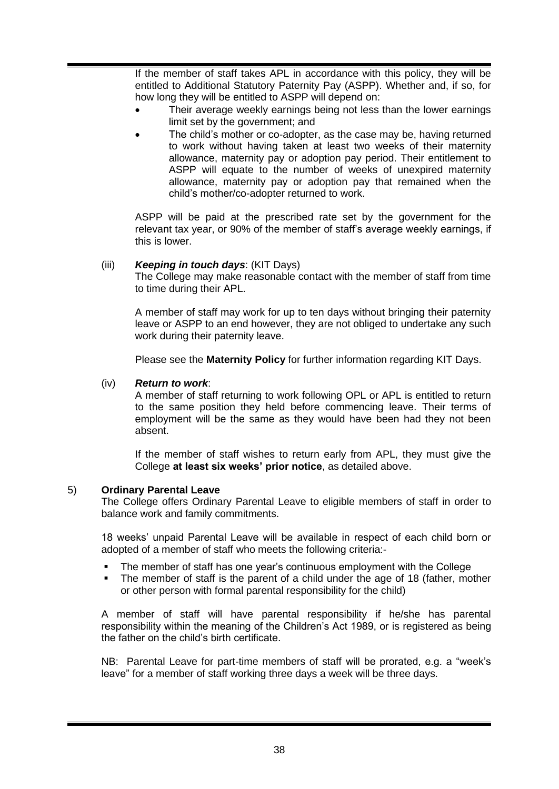If the member of staff takes APL in accordance with this policy, they will be entitled to Additional Statutory Paternity Pay (ASPP). Whether and, if so, for how long they will be entitled to ASPP will depend on:

- Their average weekly earnings being not less than the lower earnings limit set by the government; and
- The child's mother or co-adopter, as the case may be, having returned to work without having taken at least two weeks of their maternity allowance, maternity pay or adoption pay period. Their entitlement to ASPP will equate to the number of weeks of unexpired maternity allowance, maternity pay or adoption pay that remained when the child's mother/co-adopter returned to work.

ASPP will be paid at the prescribed rate set by the government for the relevant tax year, or 90% of the member of staff's average weekly earnings, if this is lower.

#### (iii) *Keeping in touch days*: (KIT Days)

The College may make reasonable contact with the member of staff from time to time during their APL.

A member of staff may work for up to ten days without bringing their paternity leave or ASPP to an end however, they are not obliged to undertake any such work during their paternity leave.

Please see the **Maternity Policy** for further information regarding KIT Days.

#### (iv) *Return to work*:

A member of staff returning to work following OPL or APL is entitled to return to the same position they held before commencing leave. Their terms of employment will be the same as they would have been had they not been absent.

If the member of staff wishes to return early from APL, they must give the College **at least six weeks' prior notice**, as detailed above.

#### 5) **Ordinary Parental Leave**

The College offers Ordinary Parental Leave to eligible members of staff in order to balance work and family commitments.

18 weeks' unpaid Parental Leave will be available in respect of each child born or adopted of a member of staff who meets the following criteria:-

- The member of staff has one year's continuous employment with the College
- The member of staff is the parent of a child under the age of 18 (father, mother or other person with formal parental responsibility for the child)

A member of staff will have parental responsibility if he/she has parental responsibility within the meaning of the Children's Act 1989, or is registered as being the father on the child's birth certificate.

NB: Parental Leave for part-time members of staff will be prorated, e.g. a "week's leave" for a member of staff working three days a week will be three days.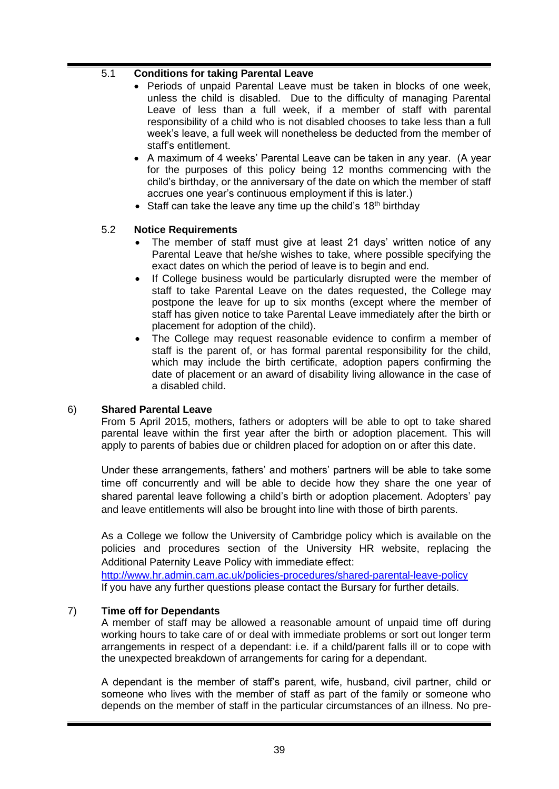#### 5.1 **Conditions for taking Parental Leave**

- Periods of unpaid Parental Leave must be taken in blocks of one week, unless the child is disabled. Due to the difficulty of managing Parental Leave of less than a full week, if a member of staff with parental responsibility of a child who is not disabled chooses to take less than a full week's leave, a full week will nonetheless be deducted from the member of staff's entitlement.
- A maximum of 4 weeks' Parental Leave can be taken in any year. (A year for the purposes of this policy being 12 months commencing with the child's birthday, or the anniversary of the date on which the member of staff accrues one year's continuous employment if this is later.)
- Staff can take the leave any time up the child's  $18<sup>th</sup>$  birthday

#### 5.2 **Notice Requirements**

- The member of staff must give at least 21 days' written notice of any Parental Leave that he/she wishes to take, where possible specifying the exact dates on which the period of leave is to begin and end.
- If College business would be particularly disrupted were the member of staff to take Parental Leave on the dates requested, the College may postpone the leave for up to six months (except where the member of staff has given notice to take Parental Leave immediately after the birth or placement for adoption of the child).
- The College may request reasonable evidence to confirm a member of staff is the parent of, or has formal parental responsibility for the child, which may include the birth certificate, adoption papers confirming the date of placement or an award of disability living allowance in the case of a disabled child.

#### 6) **Shared Parental Leave**

From 5 April 2015, mothers, fathers or adopters will be able to opt to take shared parental leave within the first year after the birth or adoption placement. This will apply to parents of babies due or children placed for adoption on or after this date.

Under these arrangements, fathers' and mothers' partners will be able to take some time off concurrently and will be able to decide how they share the one year of shared parental leave following a child's birth or adoption placement. Adopters' pay and leave entitlements will also be brought into line with those of birth parents.

As a College we follow the University of Cambridge policy which is available on the policies and procedures section of the University HR website, replacing the Additional Paternity Leave Policy with immediate effect:

<http://www.hr.admin.cam.ac.uk/policies-procedures/shared-parental-leave-policy> If you have any further questions please contact the Bursary for further details.

#### 7) **Time off for Dependants**

A member of staff may be allowed a reasonable amount of unpaid time off during working hours to take care of or deal with immediate problems or sort out longer term arrangements in respect of a dependant: i.e. if a child/parent falls ill or to cope with the unexpected breakdown of arrangements for caring for a dependant.

A dependant is the member of staff's parent, wife, husband, civil partner, child or someone who lives with the member of staff as part of the family or someone who depends on the member of staff in the particular circumstances of an illness. No pre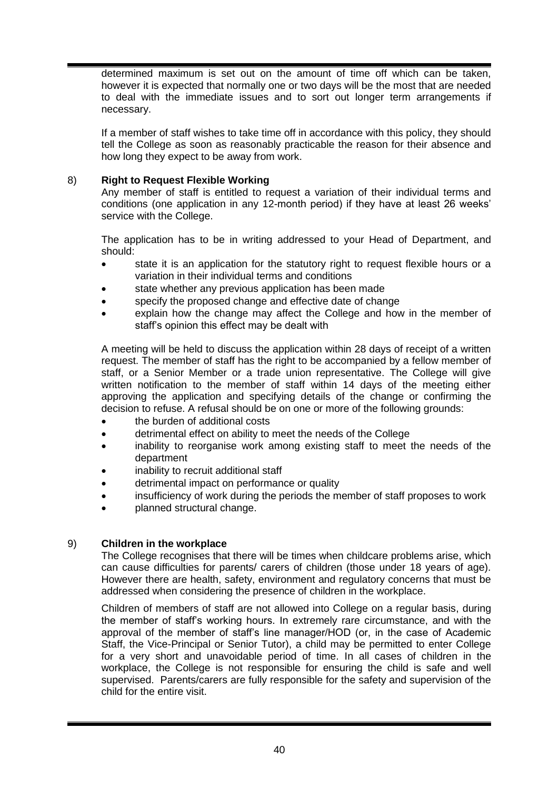determined maximum is set out on the amount of time off which can be taken, however it is expected that normally one or two days will be the most that are needed to deal with the immediate issues and to sort out longer term arrangements if necessary.

If a member of staff wishes to take time off in accordance with this policy, they should tell the College as soon as reasonably practicable the reason for their absence and how long they expect to be away from work.

#### 8) **Right to Request Flexible Working**

Any member of staff is entitled to request a variation of their individual terms and conditions (one application in any 12-month period) if they have at least 26 weeks' service with the College.

The application has to be in writing addressed to your Head of Department, and should:

- state it is an application for the statutory right to request flexible hours or a variation in their individual terms and conditions
- state whether any previous application has been made
- specify the proposed change and effective date of change
- explain how the change may affect the College and how in the member of staff's opinion this effect may be dealt with

A meeting will be held to discuss the application within 28 days of receipt of a written request. The member of staff has the right to be accompanied by a fellow member of staff, or a Senior Member or a trade union representative. The College will give written notification to the member of staff within 14 days of the meeting either approving the application and specifying details of the change or confirming the decision to refuse. A refusal should be on one or more of the following grounds:

- the burden of additional costs
- detrimental effect on ability to meet the needs of the College
- inability to reorganise work among existing staff to meet the needs of the department
- inability to recruit additional staff
- detrimental impact on performance or quality
- insufficiency of work during the periods the member of staff proposes to work
- planned structural change.

#### 9) **Children in the workplace**

The College recognises that there will be times when childcare problems arise, which can cause difficulties for parents/ carers of children (those under 18 years of age). However there are health, safety, environment and regulatory concerns that must be addressed when considering the presence of children in the workplace.

Children of members of staff are not allowed into College on a regular basis, during the member of staff's working hours. In extremely rare circumstance, and with the approval of the member of staff's line manager/HOD (or, in the case of Academic Staff, the Vice-Principal or Senior Tutor), a child may be permitted to enter College for a very short and unavoidable period of time. In all cases of children in the workplace, the College is not responsible for ensuring the child is safe and well supervised. Parents/carers are fully responsible for the safety and supervision of the child for the entire visit.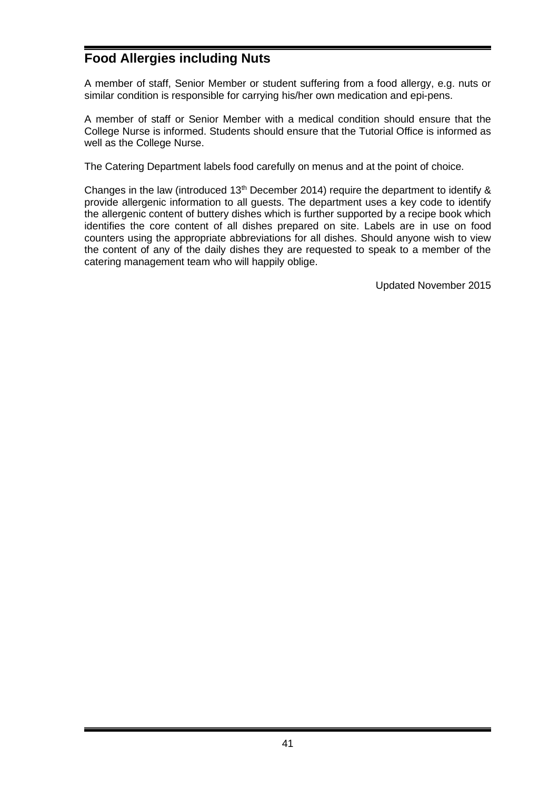# **Food Allergies including Nuts**

A member of staff, Senior Member or student suffering from a food allergy, e.g. nuts or similar condition is responsible for carrying his/her own medication and epi-pens.

A member of staff or Senior Member with a medical condition should ensure that the College Nurse is informed. Students should ensure that the Tutorial Office is informed as well as the College Nurse.

The Catering Department labels food carefully on menus and at the point of choice.

Changes in the law (introduced  $13<sup>th</sup>$  December 2014) require the department to identify & provide allergenic information to all guests. The department uses a key code to identify the allergenic content of buttery dishes which is further supported by a recipe book which identifies the core content of all dishes prepared on site. Labels are in use on food counters using the appropriate abbreviations for all dishes. Should anyone wish to view the content of any of the daily dishes they are requested to speak to a member of the catering management team who will happily oblige.

Updated November 2015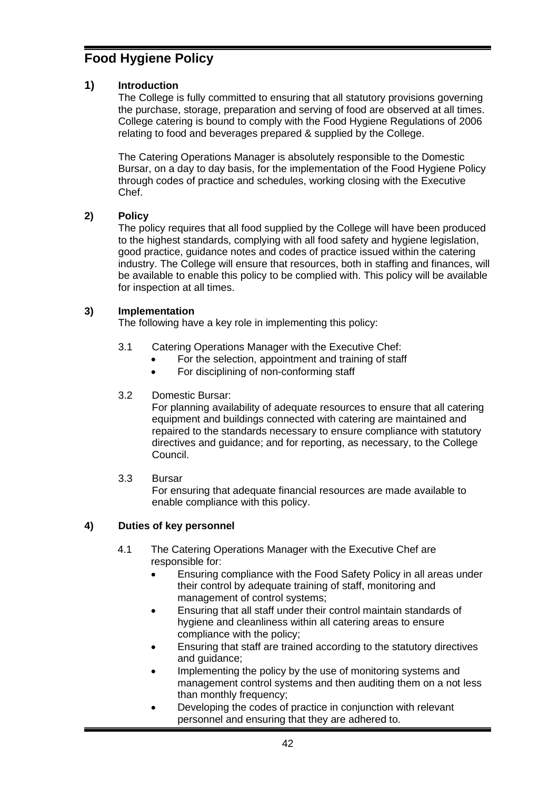# **Food Hygiene Policy**

## **1) Introduction**

The College is fully committed to ensuring that all statutory provisions governing the purchase, storage, preparation and serving of food are observed at all times. College catering is bound to comply with the Food Hygiene Regulations of 2006 relating to food and beverages prepared & supplied by the College.

The Catering Operations Manager is absolutely responsible to the Domestic Bursar, on a day to day basis, for the implementation of the Food Hygiene Policy through codes of practice and schedules, working closing with the Executive Chef.

## **2) Policy**

The policy requires that all food supplied by the College will have been produced to the highest standards, complying with all food safety and hygiene legislation, good practice, guidance notes and codes of practice issued within the catering industry. The College will ensure that resources, both in staffing and finances, will be available to enable this policy to be complied with. This policy will be available for inspection at all times.

## **3) Implementation**

The following have a key role in implementing this policy:

- 3.1 Catering Operations Manager with the Executive Chef:
	- For the selection, appointment and training of staff
	- For disciplining of non-conforming staff

## 3.2 Domestic Bursar:

For planning availability of adequate resources to ensure that all catering equipment and buildings connected with catering are maintained and repaired to the standards necessary to ensure compliance with statutory directives and guidance; and for reporting, as necessary, to the College Council.

## 3.3 Bursar

For ensuring that adequate financial resources are made available to enable compliance with this policy.

# **4) Duties of key personnel**

- 4.1 The Catering Operations Manager with the Executive Chef are responsible for:
	- Ensuring compliance with the Food Safety Policy in all areas under their control by adequate training of staff, monitoring and management of control systems;
	- Ensuring that all staff under their control maintain standards of hygiene and cleanliness within all catering areas to ensure compliance with the policy;
	- Ensuring that staff are trained according to the statutory directives and guidance;
	- Implementing the policy by the use of monitoring systems and management control systems and then auditing them on a not less than monthly frequency;
	- Developing the codes of practice in conjunction with relevant personnel and ensuring that they are adhered to.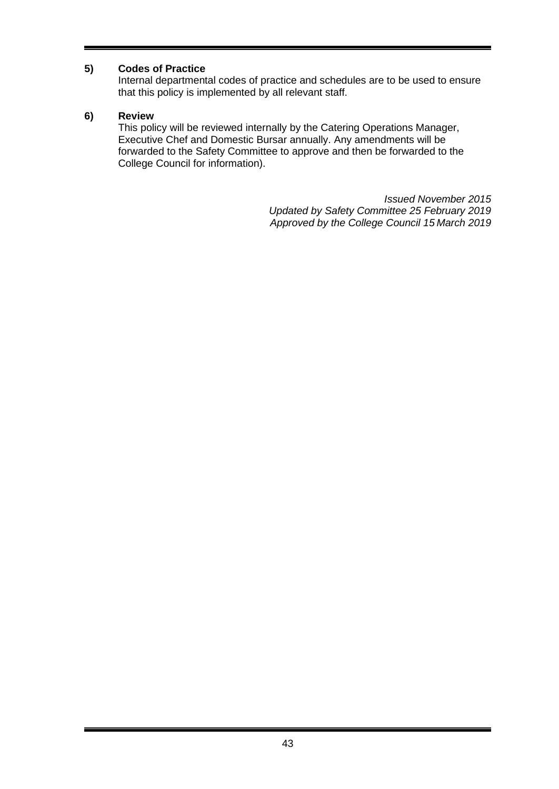## **5) Codes of Practice**

Internal departmental codes of practice and schedules are to be used to ensure that this policy is implemented by all relevant staff.

#### **6) Review**

This policy will be reviewed internally by the Catering Operations Manager, Executive Chef and Domestic Bursar annually. Any amendments will be forwarded to the Safety Committee to approve and then be forwarded to the College Council for information).

> *Issued November 2015 Updated by Safety Committee 25 February 2019 Approved by the College Council 15 March 2019*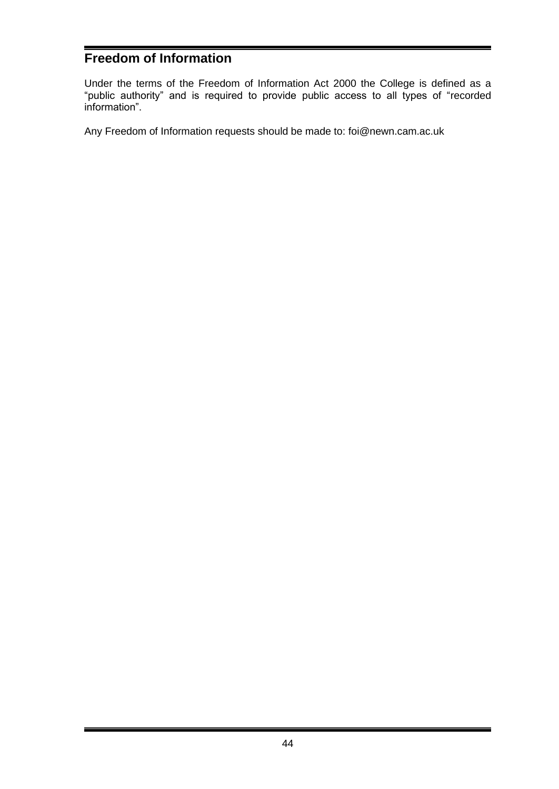# **Freedom of Information**

Under the terms of the Freedom of Information Act 2000 the College is defined as a "public authority" and is required to provide public access to all types of "recorded information".

Any Freedom of Information requests should be made to: foi@newn.cam.ac.uk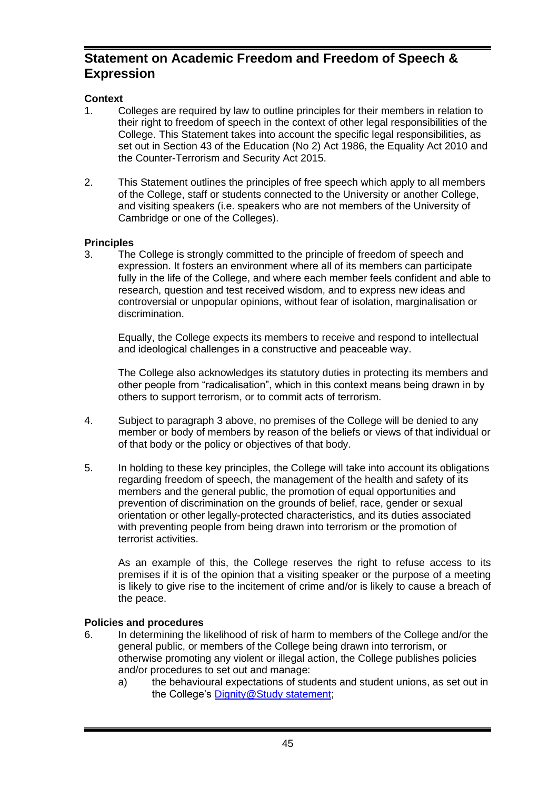# **Statement on Academic Freedom and Freedom of Speech & Expression**

## **Context**

- 1. Colleges are required by law to outline principles for their members in relation to their right to freedom of speech in the context of other legal responsibilities of the College. This Statement takes into account the specific legal responsibilities, as set out in Section 43 of the Education (No 2) Act 1986, the Equality Act 2010 and the Counter-Terrorism and Security Act 2015.
- 2. This Statement outlines the principles of free speech which apply to all members of the College, staff or students connected to the University or another College, and visiting speakers (i.e. speakers who are not members of the University of Cambridge or one of the Colleges).

#### **Principles**

<span id="page-44-0"></span>3. The College is strongly committed to the principle of freedom of speech and expression. It fosters an environment where all of its members can participate fully in the life of the College, and where each member feels confident and able to research, question and test received wisdom, and to express new ideas and controversial or unpopular opinions, without fear of isolation, marginalisation or discrimination.

Equally, the College expects its members to receive and respond to intellectual and ideological challenges in a constructive and peaceable way.

The College also acknowledges its statutory duties in protecting its members and other people from "radicalisation", which in this context means being drawn in by others to support terrorism, or to commit acts of terrorism.

- 4. Subject to paragraph [3](#page-44-0) above, no premises of the College will be denied to any member or body of members by reason of the beliefs or views of that individual or of that body or the policy or objectives of that body.
- 5. In holding to these key principles, the College will take into account its obligations regarding freedom of speech, the management of the health and safety of its members and the general public, the promotion of equal opportunities and prevention of discrimination on the grounds of belief, race, gender or sexual orientation or other legally-protected characteristics, and its duties associated with preventing people from being drawn into terrorism or the promotion of terrorist activities.

As an example of this, the College reserves the right to refuse access to its premises if it is of the opinion that a visiting speaker or the purpose of a meeting is likely to give rise to the incitement of crime and/or is likely to cause a breach of the peace.

## **Policies and procedures**

- 6. In determining the likelihood of risk of harm to members of the College and/or the general public, or members of the College being drawn into terrorism, or otherwise promoting any violent or illegal action, the College publishes policies and/or procedures to set out and manage:
	- a) the behavioural expectations of students and student unions, as set out in the College's [Dignity@Study statement;](http://www.newn.cam.ac.uk/student-life/student-information/student-handbook/student-procedures-and-guidance/)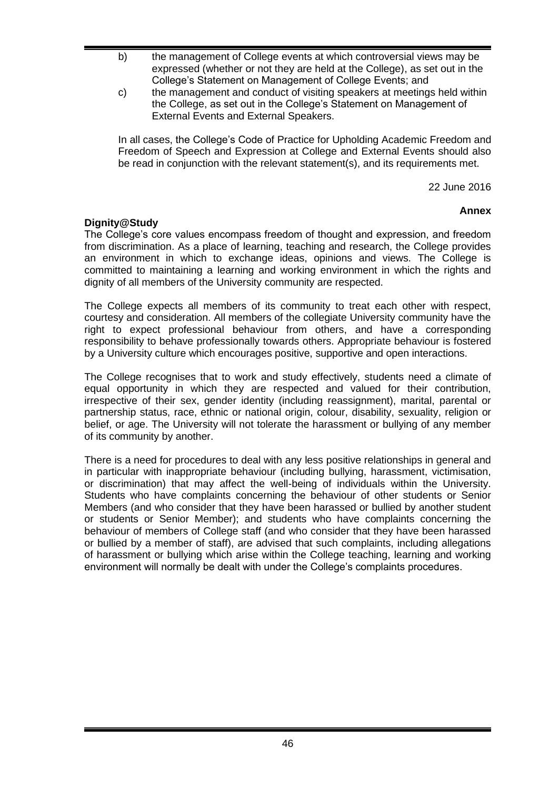- b) the management of College events at which controversial views may be expressed (whether or not they are held at the College), as set out in the College's Statement on Management of College Events; and
- c) the management and conduct of visiting speakers at meetings held within the College, as set out in the College's Statement on Management of External Events and External Speakers.

In all cases, the College's Code of Practice for Upholding Academic Freedom and Freedom of Speech and Expression at College and External Events should also be read in conjunction with the relevant statement(s), and its requirements met.

22 June 2016

## **Annex**

## **Dignity@Study**

The College's core values encompass freedom of thought and expression, and freedom from discrimination. As a place of learning, teaching and research, the College provides an environment in which to exchange ideas, opinions and views. The College is committed to maintaining a learning and working environment in which the rights and dignity of all members of the University community are respected.

The College expects all members of its community to treat each other with respect, courtesy and consideration. All members of the collegiate University community have the right to expect professional behaviour from others, and have a corresponding responsibility to behave professionally towards others. Appropriate behaviour is fostered by a University culture which encourages positive, supportive and open interactions.

The College recognises that to work and study effectively, students need a climate of equal opportunity in which they are respected and valued for their contribution, irrespective of their sex, gender identity (including reassignment), marital, parental or partnership status, race, ethnic or national origin, colour, disability, sexuality, religion or belief, or age. The University will not tolerate the harassment or bullying of any member of its community by another.

There is a need for procedures to deal with any less positive relationships in general and in particular with inappropriate behaviour (including bullying, harassment, victimisation, or discrimination) that may affect the well-being of individuals within the University. Students who have complaints concerning the behaviour of other students or Senior Members (and who consider that they have been harassed or bullied by another student or students or Senior Member); and students who have complaints concerning the behaviour of members of College staff (and who consider that they have been harassed or bullied by a member of staff), are advised that such complaints, including allegations of harassment or bullying which arise within the College teaching, learning and working environment will normally be dealt with under the College's complaints procedures.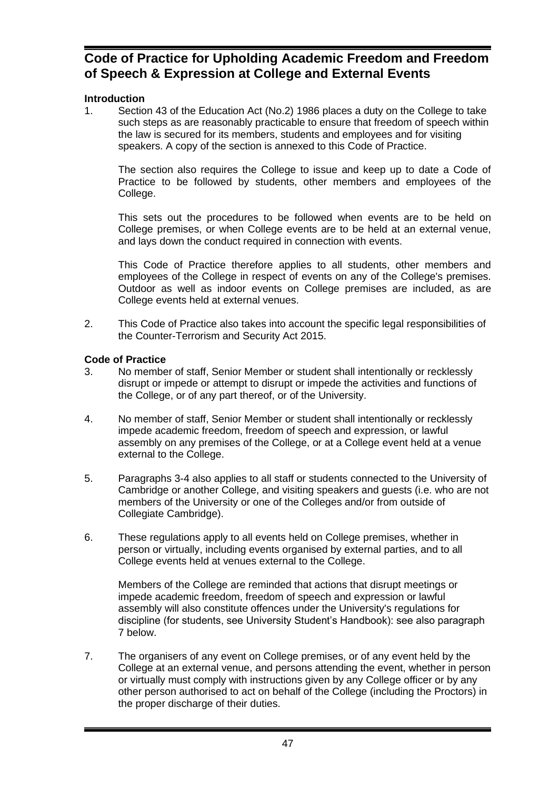# **Code of Practice for Upholding Academic Freedom and Freedom of Speech & Expression at College and External Events**

## **Introduction**

1. Section 43 of the Education Act (No.2) 1986 places a duty on the College to take such steps as are reasonably practicable to ensure that freedom of speech within the law is secured for its members, students and employees and for visiting speakers. A copy of the section is annexed to this Code of Practice.

The section also requires the College to issue and keep up to date a Code of Practice to be followed by students, other members and employees of the College.

This sets out the procedures to be followed when events are to be held on College premises, or when College events are to be held at an external venue, and lays down the conduct required in connection with events.

This Code of Practice therefore applies to all students, other members and employees of the College in respect of events on any of the College's premises. Outdoor as well as indoor events on College premises are included, as are College events held at external venues.

2. This Code of Practice also takes into account the specific legal responsibilities of the Counter-Terrorism and Security Act 2015.

## **Code of Practice**

- 3. No member of staff, Senior Member or student shall intentionally or recklessly disrupt or impede or attempt to disrupt or impede the activities and functions of the College, or of any part thereof, or of the University.
- 4. No member of staff, Senior Member or student shall intentionally or recklessly impede academic freedom, freedom of speech and expression, or lawful assembly on any premises of the College, or at a College event held at a venue external to the College.
- 5. Paragraphs 3-4 also applies to all staff or students connected to the University of Cambridge or another College, and visiting speakers and guests (i.e. who are not members of the University or one of the Colleges and/or from outside of Collegiate Cambridge).
- 6. These regulations apply to all events held on College premises, whether in person or virtually, including events organised by external parties, and to all College events held at venues external to the College.

Members of the College are reminded that actions that disrupt meetings or impede academic freedom, freedom of speech and expression or lawful assembly will also constitute offences under the University's regulations for discipline (for students, see University Student's Handbook): see also paragraph [7](#page-46-0) below.

<span id="page-46-0"></span>7. The organisers of any event on College premises, or of any event held by the College at an external venue, and persons attending the event, whether in person or virtually must comply with instructions given by any College officer or by any other person authorised to act on behalf of the College (including the Proctors) in the proper discharge of their duties.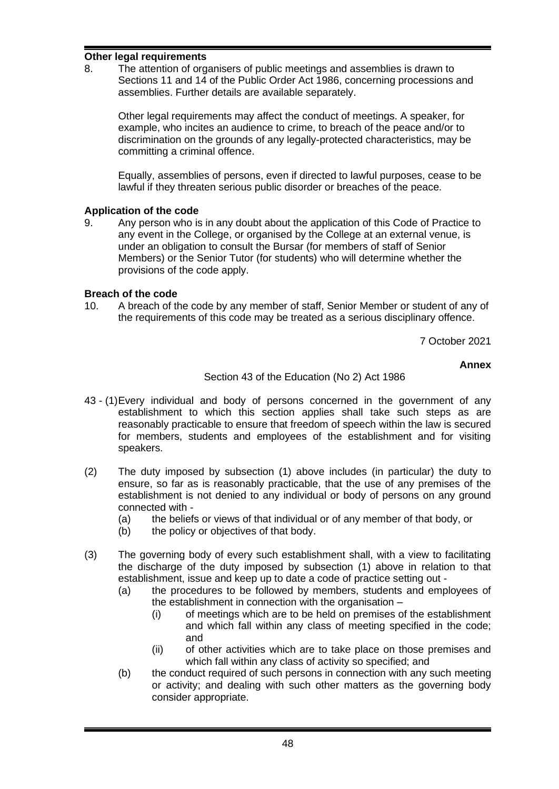#### **Other legal requirements**

8. The attention of organisers of public meetings and assemblies is drawn to Sections 11 and 14 of the Public Order Act 1986, concerning processions and assemblies. Further details are available separately.

Other legal requirements may affect the conduct of meetings. A speaker, for example, who incites an audience to crime, to breach of the peace and/or to discrimination on the grounds of any legally-protected characteristics, may be committing a criminal offence.

Equally, assemblies of persons, even if directed to lawful purposes, cease to be lawful if they threaten serious public disorder or breaches of the peace.

#### **Application of the code**

9. Any person who is in any doubt about the application of this Code of Practice to any event in the College, or organised by the College at an external venue, is under an obligation to consult the Bursar (for members of staff of Senior Members) or the Senior Tutor (for students) who will determine whether the provisions of the code apply.

## **Breach of the code**

10. A breach of the code by any member of staff, Senior Member or student of any of the requirements of this code may be treated as a serious disciplinary offence.

7 October 2021

#### **Annex**

#### Section 43 of the Education (No 2) Act 1986

- 43 (1)Every individual and body of persons concerned in the government of any establishment to which this section applies shall take such steps as are reasonably practicable to ensure that freedom of speech within the law is secured for members, students and employees of the establishment and for visiting speakers.
- (2) The duty imposed by subsection (1) above includes (in particular) the duty to ensure, so far as is reasonably practicable, that the use of any premises of the establishment is not denied to any individual or body of persons on any ground connected with -
	- (a) the beliefs or views of that individual or of any member of that body, or
	- (b) the policy or objectives of that body.
- (3) The governing body of every such establishment shall, with a view to facilitating the discharge of the duty imposed by subsection (1) above in relation to that establishment, issue and keep up to date a code of practice setting out -
	- (a) the procedures to be followed by members, students and employees of the establishment in connection with the organisation –
		- (i) of meetings which are to be held on premises of the establishment and which fall within any class of meeting specified in the code; and
		- (ii) of other activities which are to take place on those premises and which fall within any class of activity so specified; and
	- (b) the conduct required of such persons in connection with any such meeting or activity; and dealing with such other matters as the governing body consider appropriate.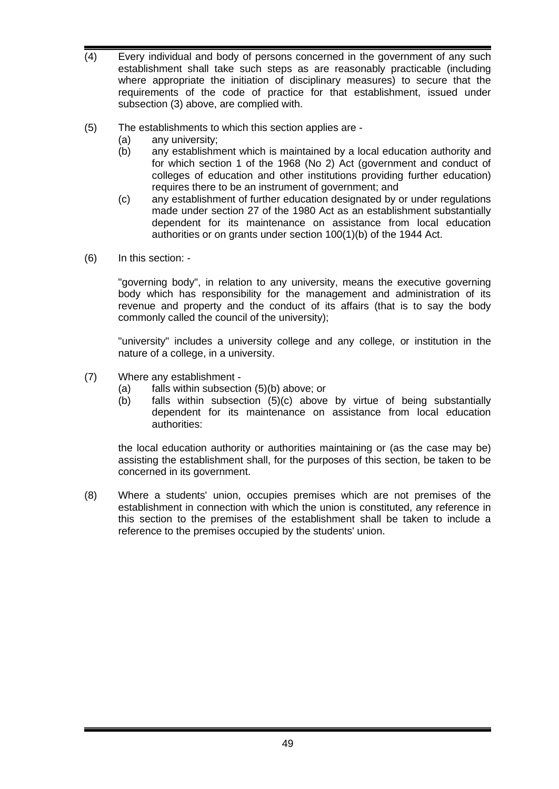- (4) Every individual and body of persons concerned in the government of any such establishment shall take such steps as are reasonably practicable (including where appropriate the initiation of disciplinary measures) to secure that the requirements of the code of practice for that establishment, issued under subsection (3) above, are complied with.
- (5) The establishments to which this section applies are
	- (a) any university;
	- (b) any establishment which is maintained by a local education authority and for which section 1 of the 1968 (No 2) Act (government and conduct of colleges of education and other institutions providing further education) requires there to be an instrument of government; and
	- (c) any establishment of further education designated by or under regulations made under section 27 of the 1980 Act as an establishment substantially dependent for its maintenance on assistance from local education authorities or on grants under section 100(1)(b) of the 1944 Act.
- (6) In this section: -

"governing body", in relation to any university, means the executive governing body which has responsibility for the management and administration of its revenue and property and the conduct of its affairs (that is to say the body commonly called the council of the university);

"university" includes a university college and any college, or institution in the nature of a college, in a university.

- (7) Where any establishment
	- (a) falls within subsection (5)(b) above; or
	- (b) falls within subsection (5)(c) above by virtue of being substantially dependent for its maintenance on assistance from local education authorities:

the local education authority or authorities maintaining or (as the case may be) assisting the establishment shall, for the purposes of this section, be taken to be concerned in its government.

(8) Where a students' union, occupies premises which are not premises of the establishment in connection with which the union is constituted, any reference in this section to the premises of the establishment shall be taken to include a reference to the premises occupied by the students' union.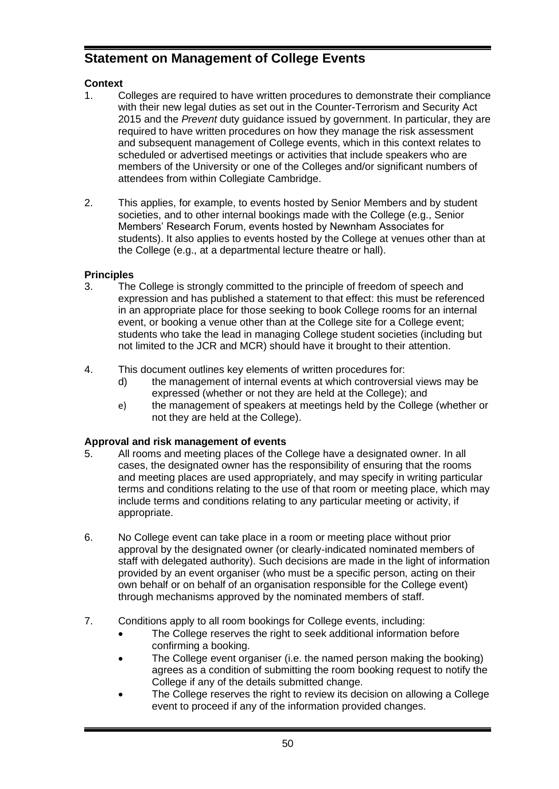# **Statement on Management of College Events**

# **Context**

- 1. Colleges are required to have written procedures to demonstrate their compliance with their new legal duties as set out in the Counter-Terrorism and Security Act 2015 and the *Prevent* duty guidance issued by government. In particular, they are required to have written procedures on how they manage the risk assessment and subsequent management of College events, which in this context relates to scheduled or advertised meetings or activities that include speakers who are members of the University or one of the Colleges and/or significant numbers of attendees from within Collegiate Cambridge.
- 2. This applies, for example, to events hosted by Senior Members and by student societies, and to other internal bookings made with the College (e.g., Senior Members' Research Forum, events hosted by Newnham Associates for students). It also applies to events hosted by the College at venues other than at the College (e.g., at a departmental lecture theatre or hall).

# **Principles**

- 3. The College is strongly committed to the principle of freedom of speech and expression and has published a statement to that effect: this must be referenced in an appropriate place for those seeking to book College rooms for an internal event, or booking a venue other than at the College site for a College event; students who take the lead in managing College student societies (including but not limited to the JCR and MCR) should have it brought to their attention.
- 4. This document outlines key elements of written procedures for:
	- d) the management of internal events at which controversial views may be expressed (whether or not they are held at the College); and
	- e) the management of speakers at meetings held by the College (whether or not they are held at the College).

# **Approval and risk management of events**

- 5. All rooms and meeting places of the College have a designated owner. In all cases, the designated owner has the responsibility of ensuring that the rooms and meeting places are used appropriately, and may specify in writing particular terms and conditions relating to the use of that room or meeting place, which may include terms and conditions relating to any particular meeting or activity, if appropriate.
- 6. No College event can take place in a room or meeting place without prior approval by the designated owner (or clearly-indicated nominated members of staff with delegated authority). Such decisions are made in the light of information provided by an event organiser (who must be a specific person, acting on their own behalf or on behalf of an organisation responsible for the College event) through mechanisms approved by the nominated members of staff.
- 7. Conditions apply to all room bookings for College events, including:
	- The College reserves the right to seek additional information before confirming a booking.
	- The College event organiser (i.e. the named person making the booking) agrees as a condition of submitting the room booking request to notify the College if any of the details submitted change.
	- The College reserves the right to review its decision on allowing a College event to proceed if any of the information provided changes.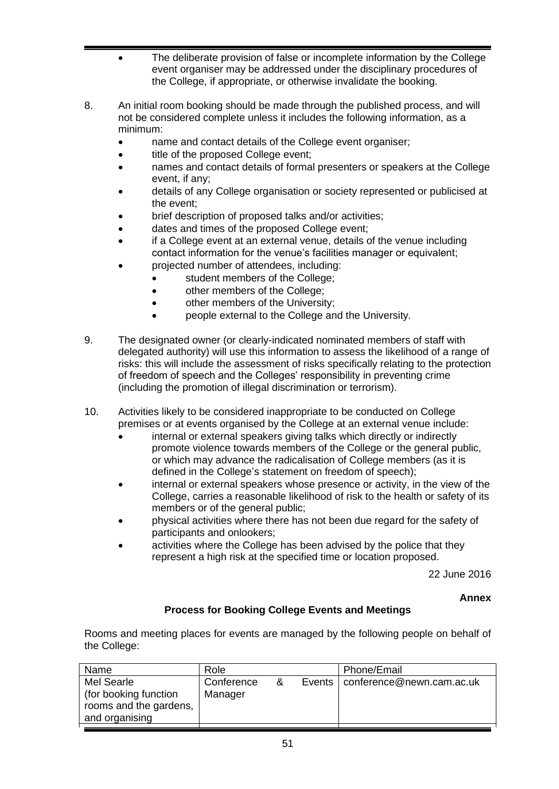- The deliberate provision of false or incomplete information by the College event organiser may be addressed under the disciplinary procedures of the College, if appropriate, or otherwise invalidate the booking.
- 8. An initial room booking should be made through the published process, and will not be considered complete unless it includes the following information, as a minimum:
	- name and contact details of the College event organiser;
	- title of the proposed College event;
	- names and contact details of formal presenters or speakers at the College event, if any;
	- details of any College organisation or society represented or publicised at the event;
	- brief description of proposed talks and/or activities;
	- dates and times of the proposed College event;
	- if a College event at an external venue, details of the venue including contact information for the venue's facilities manager or equivalent;
	- projected number of attendees, including:
		- student members of the College;
		- other members of the College;
		- other members of the University;
		- people external to the College and the University.
- 9. The designated owner (or clearly-indicated nominated members of staff with delegated authority) will use this information to assess the likelihood of a range of risks: this will include the assessment of risks specifically relating to the protection of freedom of speech and the Colleges' responsibility in preventing crime (including the promotion of illegal discrimination or terrorism).
- 10. Activities likely to be considered inappropriate to be conducted on College premises or at events organised by the College at an external venue include:
	- internal or external speakers giving talks which directly or indirectly promote violence towards members of the College or the general public, or which may advance the radicalisation of College members (as it is defined in the College's statement on freedom of speech);
	- internal or external speakers whose presence or activity, in the view of the College, carries a reasonable likelihood of risk to the health or safety of its members or of the general public;
	- physical activities where there has not been due regard for the safety of participants and onlookers;
	- activities where the College has been advised by the police that they represent a high risk at the specified time or location proposed.

22 June 2016

**Annex**

## **Process for Booking College Events and Meetings**

Rooms and meeting places for events are managed by the following people on behalf of the College:

| Name                                                                            | Role                  |   | Phone/Email                        |
|---------------------------------------------------------------------------------|-----------------------|---|------------------------------------|
| Mel Searle<br>(for booking function<br>rooms and the gardens,<br>and organising | Conference<br>Manager | & | Events   conference@newn.cam.ac.uk |
|                                                                                 |                       |   |                                    |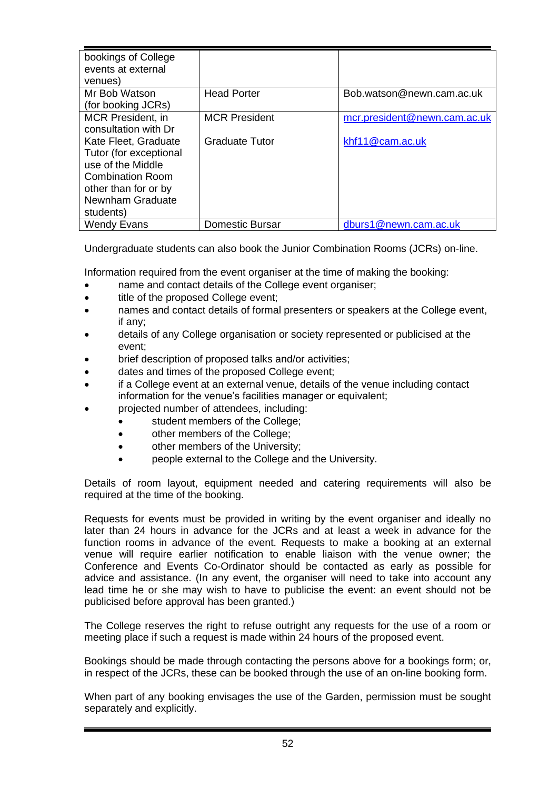| bookings of College    |                        |                              |
|------------------------|------------------------|------------------------------|
| events at external     |                        |                              |
| venues)                |                        |                              |
| Mr Bob Watson          | <b>Head Porter</b>     | Bob.watson@newn.cam.ac.uk    |
| (for booking JCRs)     |                        |                              |
| MCR President, in      | <b>MCR President</b>   | mcr.president@newn.cam.ac.uk |
| consultation with Dr   |                        |                              |
| Kate Fleet, Graduate   | Graduate Tutor         | khf11@cam.ac.uk              |
| Tutor (for exceptional |                        |                              |
| use of the Middle      |                        |                              |
| Combination Room       |                        |                              |
| other than for or by   |                        |                              |
| Newnham Graduate       |                        |                              |
| students)              |                        |                              |
| Wendy Evans            | <b>Domestic Bursar</b> | dburs1@newn.cam.ac.uk        |

Undergraduate students can also book the Junior Combination Rooms (JCRs) on-line.

Information required from the event organiser at the time of making the booking:

- name and contact details of the College event organiser;
- title of the proposed College event;
- names and contact details of formal presenters or speakers at the College event, if any;
- details of any College organisation or society represented or publicised at the event;
- brief description of proposed talks and/or activities;
- dates and times of the proposed College event;
- if a College event at an external venue, details of the venue including contact information for the venue's facilities manager or equivalent;
- projected number of attendees, including:
	- student members of the College;
	- other members of the College;
	- other members of the University;
	- people external to the College and the University.

Details of room layout, equipment needed and catering requirements will also be required at the time of the booking.

Requests for events must be provided in writing by the event organiser and ideally no later than 24 hours in advance for the JCRs and at least a week in advance for the function rooms in advance of the event. Requests to make a booking at an external venue will require earlier notification to enable liaison with the venue owner; the Conference and Events Co-Ordinator should be contacted as early as possible for advice and assistance. (In any event, the organiser will need to take into account any lead time he or she may wish to have to publicise the event: an event should not be publicised before approval has been granted.)

The College reserves the right to refuse outright any requests for the use of a room or meeting place if such a request is made within 24 hours of the proposed event.

Bookings should be made through contacting the persons above for a bookings form; or, in respect of the JCRs, these can be booked through the use of an on-line booking form.

When part of any booking envisages the use of the Garden, permission must be sought separately and explicitly.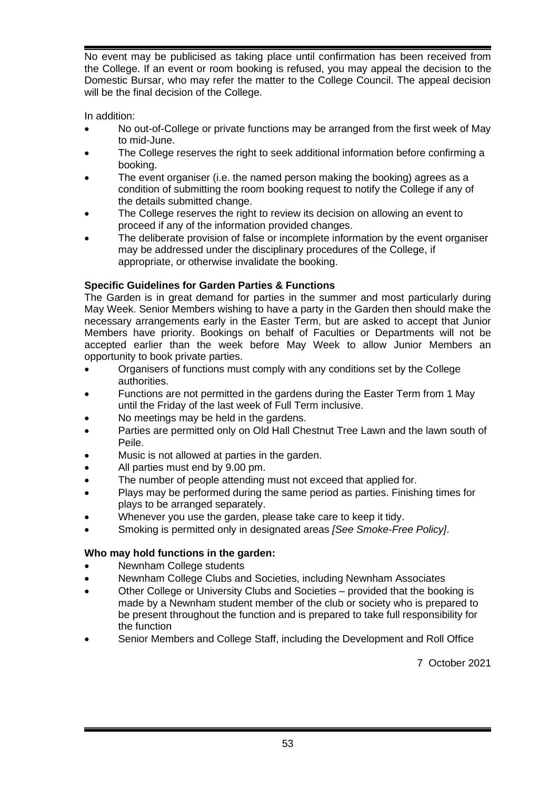No event may be publicised as taking place until confirmation has been received from the College. If an event or room booking is refused, you may appeal the decision to the Domestic Bursar, who may refer the matter to the College Council. The appeal decision will be the final decision of the College.

In addition:

- No out-of-College or private functions may be arranged from the first week of May to mid-June.
- The College reserves the right to seek additional information before confirming a booking.
- The event organiser (i.e. the named person making the booking) agrees as a condition of submitting the room booking request to notify the College if any of the details submitted change.
- The College reserves the right to review its decision on allowing an event to proceed if any of the information provided changes.
- The deliberate provision of false or incomplete information by the event organiser may be addressed under the disciplinary procedures of the College, if appropriate, or otherwise invalidate the booking.

## **Specific Guidelines for Garden Parties & Functions**

The Garden is in great demand for parties in the summer and most particularly during May Week. Senior Members wishing to have a party in the Garden then should make the necessary arrangements early in the Easter Term, but are asked to accept that Junior Members have priority. Bookings on behalf of Faculties or Departments will not be accepted earlier than the week before May Week to allow Junior Members an opportunity to book private parties.

- Organisers of functions must comply with any conditions set by the College authorities.
- Functions are not permitted in the gardens during the Easter Term from 1 May until the Friday of the last week of Full Term inclusive.
- No meetings may be held in the gardens.
- Parties are permitted only on Old Hall Chestnut Tree Lawn and the lawn south of Peile.
- Music is not allowed at parties in the garden.
- All parties must end by 9.00 pm.
- The number of people attending must not exceed that applied for.
- Plays may be performed during the same period as parties. Finishing times for plays to be arranged separately.
- Whenever you use the garden, please take care to keep it tidy.
- Smoking is permitted only in designated areas *[See Smoke-Free Policy]*.

## **Who may hold functions in the garden:**

- Newnham College students
- Newnham College Clubs and Societies, including Newnham Associates
- Other College or University Clubs and Societies provided that the booking is made by a Newnham student member of the club or society who is prepared to be present throughout the function and is prepared to take full responsibility for the function
- Senior Members and College Staff, including the Development and Roll Office

7 October 2021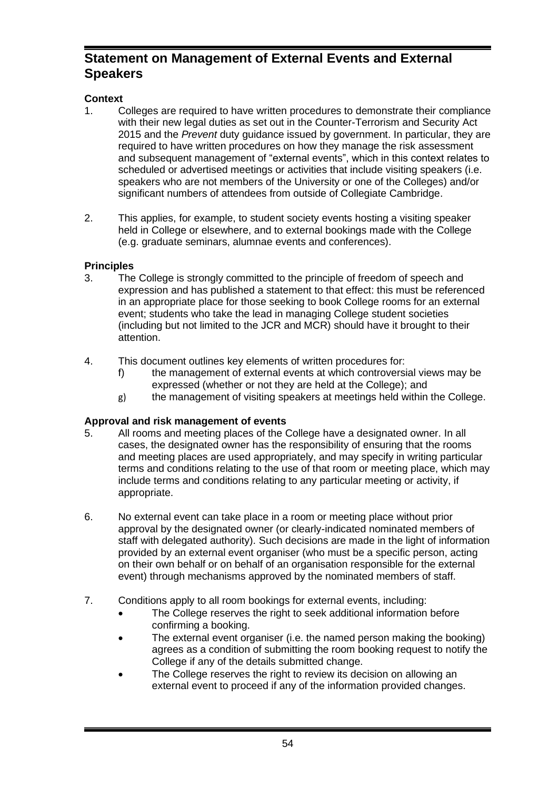# **Statement on Management of External Events and External Speakers**

# **Context**

- 1. Colleges are required to have written procedures to demonstrate their compliance with their new legal duties as set out in the Counter-Terrorism and Security Act 2015 and the *Prevent* duty guidance issued by government. In particular, they are required to have written procedures on how they manage the risk assessment and subsequent management of "external events", which in this context relates to scheduled or advertised meetings or activities that include visiting speakers (i.e. speakers who are not members of the University or one of the Colleges) and/or significant numbers of attendees from outside of Collegiate Cambridge.
- 2. This applies, for example, to student society events hosting a visiting speaker held in College or elsewhere, and to external bookings made with the College (e.g. graduate seminars, alumnae events and conferences).

# **Principles**

- 3. The College is strongly committed to the principle of freedom of speech and expression and has published a statement to that effect: this must be referenced in an appropriate place for those seeking to book College rooms for an external event; students who take the lead in managing College student societies (including but not limited to the JCR and MCR) should have it brought to their attention.
- 4. This document outlines key elements of written procedures for:
	- f) the management of external events at which controversial views may be expressed (whether or not they are held at the College); and
	- g) the management of visiting speakers at meetings held within the College.

# **Approval and risk management of events**

- 5. All rooms and meeting places of the College have a designated owner. In all cases, the designated owner has the responsibility of ensuring that the rooms and meeting places are used appropriately, and may specify in writing particular terms and conditions relating to the use of that room or meeting place, which may include terms and conditions relating to any particular meeting or activity, if appropriate.
- 6. No external event can take place in a room or meeting place without prior approval by the designated owner (or clearly-indicated nominated members of staff with delegated authority). Such decisions are made in the light of information provided by an external event organiser (who must be a specific person, acting on their own behalf or on behalf of an organisation responsible for the external event) through mechanisms approved by the nominated members of staff.
- 7. Conditions apply to all room bookings for external events, including:
	- The College reserves the right to seek additional information before confirming a booking.
	- The external event organiser (i.e. the named person making the booking) agrees as a condition of submitting the room booking request to notify the College if any of the details submitted change.
	- The College reserves the right to review its decision on allowing an external event to proceed if any of the information provided changes.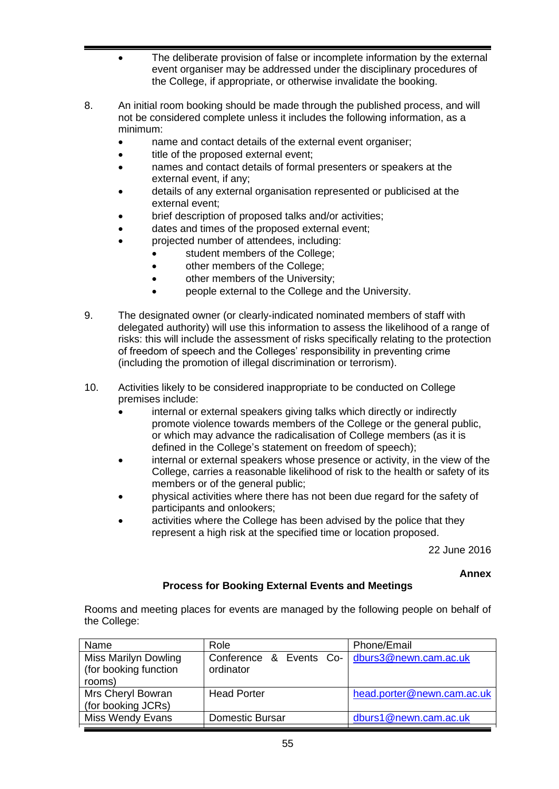- The deliberate provision of false or incomplete information by the external event organiser may be addressed under the disciplinary procedures of the College, if appropriate, or otherwise invalidate the booking.
- 8. An initial room booking should be made through the published process, and will not be considered complete unless it includes the following information, as a minimum:
	- name and contact details of the external event organiser;
	- title of the proposed external event;
	- names and contact details of formal presenters or speakers at the external event, if any;
	- details of any external organisation represented or publicised at the external event;
	- brief description of proposed talks and/or activities;
	- dates and times of the proposed external event;
	- projected number of attendees, including:
		- student members of the College;
			- other members of the College;
			- other members of the University;
			- people external to the College and the University.
- 9. The designated owner (or clearly-indicated nominated members of staff with delegated authority) will use this information to assess the likelihood of a range of risks: this will include the assessment of risks specifically relating to the protection of freedom of speech and the Colleges' responsibility in preventing crime (including the promotion of illegal discrimination or terrorism).
- 10. Activities likely to be considered inappropriate to be conducted on College premises include:
	- internal or external speakers giving talks which directly or indirectly promote violence towards members of the College or the general public, or which may advance the radicalisation of College members (as it is defined in the College's statement on freedom of speech);
	- internal or external speakers whose presence or activity, in the view of the College, carries a reasonable likelihood of risk to the health or safety of its members or of the general public;
	- physical activities where there has not been due regard for the safety of participants and onlookers;
	- activities where the College has been advised by the police that they represent a high risk at the specified time or location proposed.

22 June 2016

**Annex**

## **Process for Booking External Events and Meetings**

Rooms and meeting places for events are managed by the following people on behalf of the College:

| Name                                                 | Role                                 | Phone/Email                |
|------------------------------------------------------|--------------------------------------|----------------------------|
| <b>Miss Marilyn Dowling</b><br>(for booking function | Conference & Events Co-<br>ordinator | dburs3@newn.cam.ac.uk      |
| rooms)                                               |                                      |                            |
| Mrs Cheryl Bowran<br>(for booking JCRs)              | <b>Head Porter</b>                   | head.porter@newn.cam.ac.uk |
| <b>Miss Wendy Evans</b>                              | Domestic Bursar                      | dburs1@newn.cam.ac.uk      |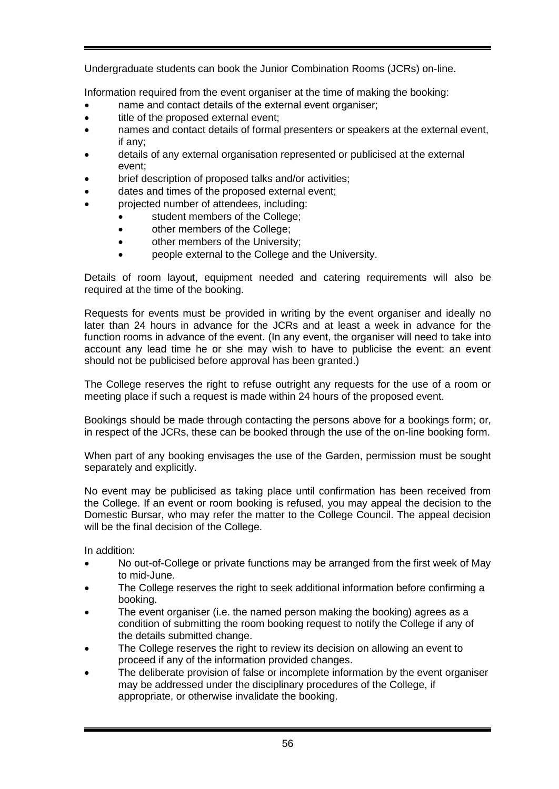Undergraduate students can book the Junior Combination Rooms (JCRs) on-line.

Information required from the event organiser at the time of making the booking:

- name and contact details of the external event organiser;
- title of the proposed external event;
- names and contact details of formal presenters or speakers at the external event, if any;
- details of any external organisation represented or publicised at the external event;
- brief description of proposed talks and/or activities;
- dates and times of the proposed external event:
- projected number of attendees, including:
	- student members of the College;
	- other members of the College;
	- other members of the University;
	- people external to the College and the University.

Details of room layout, equipment needed and catering requirements will also be required at the time of the booking.

Requests for events must be provided in writing by the event organiser and ideally no later than 24 hours in advance for the JCRs and at least a week in advance for the function rooms in advance of the event. (In any event, the organiser will need to take into account any lead time he or she may wish to have to publicise the event: an event should not be publicised before approval has been granted.)

The College reserves the right to refuse outright any requests for the use of a room or meeting place if such a request is made within 24 hours of the proposed event.

Bookings should be made through contacting the persons above for a bookings form; or, in respect of the JCRs, these can be booked through the use of the on-line booking form.

When part of any booking envisages the use of the Garden, permission must be sought separately and explicitly.

No event may be publicised as taking place until confirmation has been received from the College. If an event or room booking is refused, you may appeal the decision to the Domestic Bursar, who may refer the matter to the College Council. The appeal decision will be the final decision of the College.

In addition:

- No out-of-College or private functions may be arranged from the first week of May to mid-June.
- The College reserves the right to seek additional information before confirming a booking.
- The event organiser (i.e. the named person making the booking) agrees as a condition of submitting the room booking request to notify the College if any of the details submitted change.
- The College reserves the right to review its decision on allowing an event to proceed if any of the information provided changes.
- The deliberate provision of false or incomplete information by the event organiser may be addressed under the disciplinary procedures of the College, if appropriate, or otherwise invalidate the booking.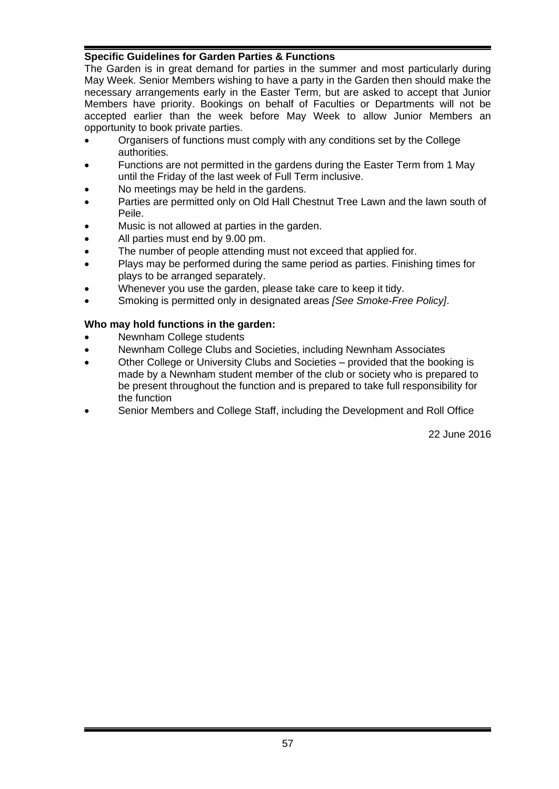## **Specific Guidelines for Garden Parties & Functions**

The Garden is in great demand for parties in the summer and most particularly during May Week. Senior Members wishing to have a party in the Garden then should make the necessary arrangements early in the Easter Term, but are asked to accept that Junior Members have priority. Bookings on behalf of Faculties or Departments will not be accepted earlier than the week before May Week to allow Junior Members an opportunity to book private parties.

- Organisers of functions must comply with any conditions set by the College authorities.
- Functions are not permitted in the gardens during the Easter Term from 1 May until the Friday of the last week of Full Term inclusive.
- No meetings may be held in the gardens.
- Parties are permitted only on Old Hall Chestnut Tree Lawn and the lawn south of Peile.
- Music is not allowed at parties in the garden.
- All parties must end by 9.00 pm.
- The number of people attending must not exceed that applied for.
- Plays may be performed during the same period as parties. Finishing times for plays to be arranged separately.
- Whenever you use the garden, please take care to keep it tidy.
- Smoking is permitted only in designated areas *[See Smoke-Free Policy]*.

#### **Who may hold functions in the garden:**

- Newnham College students
- Newnham College Clubs and Societies, including Newnham Associates
- Other College or University Clubs and Societies provided that the booking is made by a Newnham student member of the club or society who is prepared to be present throughout the function and is prepared to take full responsibility for the function
- Senior Members and College Staff, including the Development and Roll Office

22 June 2016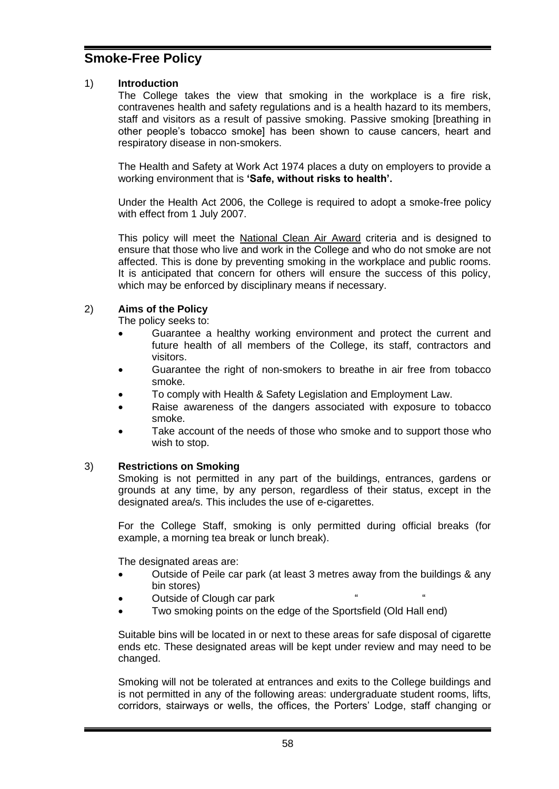# **Smoke-Free Policy**

#### 1) **Introduction**

The College takes the view that smoking in the workplace is a fire risk, contravenes health and safety regulations and is a health hazard to its members, staff and visitors as a result of passive smoking. Passive smoking [breathing in other people's tobacco smoke] has been shown to cause cancers, heart and respiratory disease in non-smokers.

The Health and Safety at Work Act 1974 places a duty on employers to provide a working environment that is **'Safe, without risks to health'.**

Under the Health Act 2006, the College is required to adopt a smoke-free policy with effect from 1 July 2007.

This policy will meet the National Clean Air Award criteria and is designed to ensure that those who live and work in the College and who do not smoke are not affected. This is done by preventing smoking in the workplace and public rooms. It is anticipated that concern for others will ensure the success of this policy, which may be enforced by disciplinary means if necessary.

## 2) **Aims of the Policy**

The policy seeks to:

- Guarantee a healthy working environment and protect the current and future health of all members of the College, its staff, contractors and visitors.
- Guarantee the right of non-smokers to breathe in air free from tobacco smoke.
- To comply with Health & Safety Legislation and Employment Law.
- Raise awareness of the dangers associated with exposure to tobacco smoke.
- Take account of the needs of those who smoke and to support those who wish to stop.

#### 3) **Restrictions on Smoking**

Smoking is not permitted in any part of the buildings, entrances, gardens or grounds at any time, by any person, regardless of their status, except in the designated area/s. This includes the use of e-cigarettes.

For the College Staff, smoking is only permitted during official breaks (for example, a morning tea break or lunch break).

The designated areas are:

- Outside of Peile car park (at least 3 metres away from the buildings & any bin stores)
- Outside of Clough car park
- Two smoking points on the edge of the Sportsfield (Old Hall end)

Suitable bins will be located in or next to these areas for safe disposal of cigarette ends etc. These designated areas will be kept under review and may need to be changed.

Smoking will not be tolerated at entrances and exits to the College buildings and is not permitted in any of the following areas: undergraduate student rooms, lifts, corridors, stairways or wells, the offices, the Porters' Lodge, staff changing or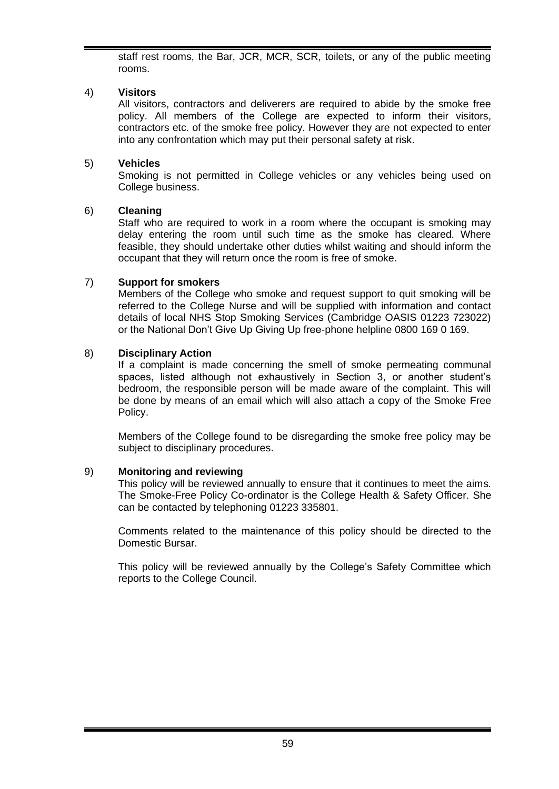staff rest rooms, the Bar, JCR, MCR, SCR, toilets, or any of the public meeting rooms.

## 4) **Visitors**

All visitors, contractors and deliverers are required to abide by the smoke free policy. All members of the College are expected to inform their visitors, contractors etc. of the smoke free policy. However they are not expected to enter into any confrontation which may put their personal safety at risk.

## 5) **Vehicles**

Smoking is not permitted in College vehicles or any vehicles being used on College business.

## 6) **Cleaning**

Staff who are required to work in a room where the occupant is smoking may delay entering the room until such time as the smoke has cleared. Where feasible, they should undertake other duties whilst waiting and should inform the occupant that they will return once the room is free of smoke.

## 7) **Support for smokers**

Members of the College who smoke and request support to quit smoking will be referred to the College Nurse and will be supplied with information and contact details of local NHS Stop Smoking Services (Cambridge OASIS 01223 723022) or the National Don't Give Up Giving Up free-phone helpline 0800 169 0 169.

## 8) **Disciplinary Action**

If a complaint is made concerning the smell of smoke permeating communal spaces, listed although not exhaustively in Section 3, or another student's bedroom, the responsible person will be made aware of the complaint. This will be done by means of an email which will also attach a copy of the Smoke Free Policy.

Members of the College found to be disregarding the smoke free policy may be subject to disciplinary procedures.

## 9) **Monitoring and reviewing**

This policy will be reviewed annually to ensure that it continues to meet the aims. The Smoke-Free Policy Co-ordinator is the College Health & Safety Officer. She can be contacted by telephoning 01223 335801.

Comments related to the maintenance of this policy should be directed to the Domestic Bursar.

This policy will be reviewed annually by the College's Safety Committee which reports to the College Council.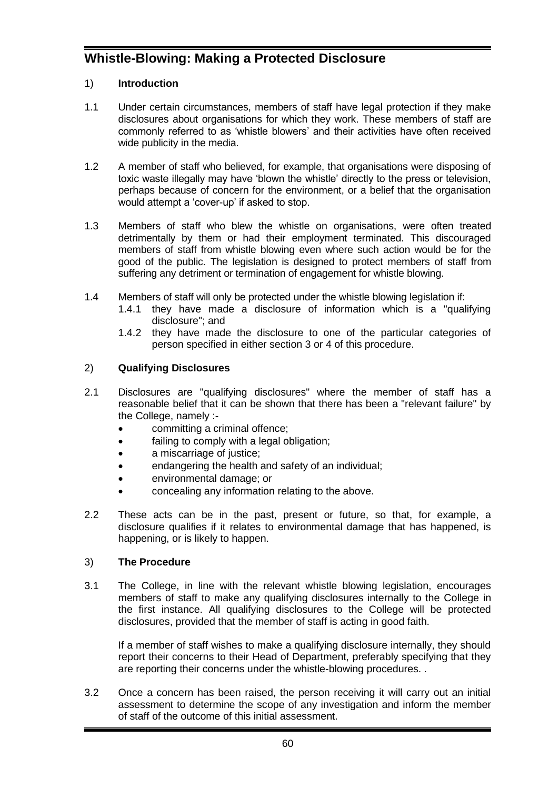# **Whistle-Blowing: Making a Protected Disclosure**

## 1) **Introduction**

- 1.1 Under certain circumstances, members of staff have legal protection if they make disclosures about organisations for which they work. These members of staff are commonly referred to as 'whistle blowers' and their activities have often received wide publicity in the media.
- 1.2 A member of staff who believed, for example, that organisations were disposing of toxic waste illegally may have 'blown the whistle' directly to the press or television, perhaps because of concern for the environment, or a belief that the organisation would attempt a 'cover-up' if asked to stop.
- 1.3 Members of staff who blew the whistle on organisations, were often treated detrimentally by them or had their employment terminated. This discouraged members of staff from whistle blowing even where such action would be for the good of the public. The legislation is designed to protect members of staff from suffering any detriment or termination of engagement for whistle blowing.
- 1.4 Members of staff will only be protected under the whistle blowing legislation if:
	- 1.4.1 they have made a disclosure of information which is a "qualifying disclosure"; and
	- 1.4.2 they have made the disclosure to one of the particular categories of person specified in either section 3 or 4 of this procedure.

## 2) **Qualifying Disclosures**

- 2.1 Disclosures are "qualifying disclosures" where the member of staff has a reasonable belief that it can be shown that there has been a "relevant failure" by the College, namely :
	- committing a criminal offence;
	- failing to comply with a legal obligation;
	- a miscarriage of justice;
	- endangering the health and safety of an individual;
	- environmental damage; or
	- concealing any information relating to the above.
- 2.2 These acts can be in the past, present or future, so that, for example, a disclosure qualifies if it relates to environmental damage that has happened, is happening, or is likely to happen.

## 3) **The Procedure**

3.1 The College, in line with the relevant whistle blowing legislation, encourages members of staff to make any qualifying disclosures internally to the College in the first instance. All qualifying disclosures to the College will be protected disclosures, provided that the member of staff is acting in good faith.

If a member of staff wishes to make a qualifying disclosure internally, they should report their concerns to their Head of Department, preferably specifying that they are reporting their concerns under the whistle-blowing procedures. .

3.2 Once a concern has been raised, the person receiving it will carry out an initial assessment to determine the scope of any investigation and inform the member of staff of the outcome of this initial assessment.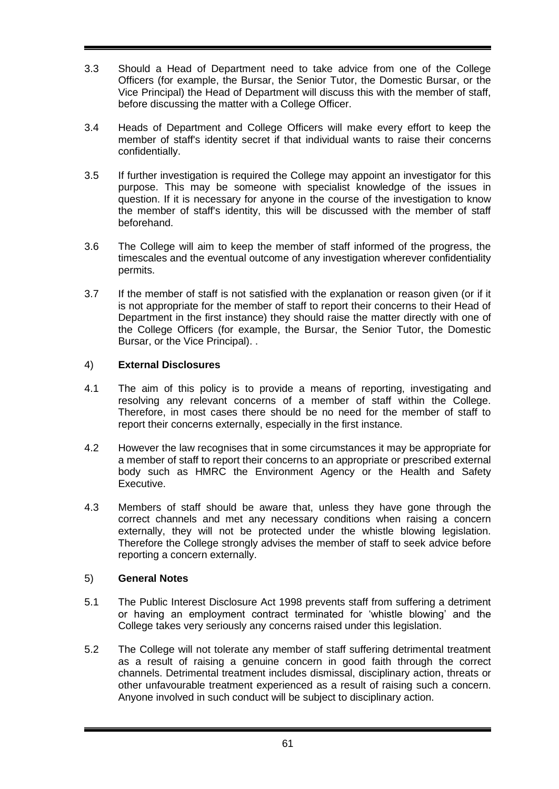- 3.3 Should a Head of Department need to take advice from one of the College Officers (for example, the Bursar, the Senior Tutor, the Domestic Bursar, or the Vice Principal) the Head of Department will discuss this with the member of staff, before discussing the matter with a College Officer.
- 3.4 Heads of Department and College Officers will make every effort to keep the member of staff's identity secret if that individual wants to raise their concerns confidentially.
- 3.5 If further investigation is required the College may appoint an investigator for this purpose. This may be someone with specialist knowledge of the issues in question. If it is necessary for anyone in the course of the investigation to know the member of staff's identity, this will be discussed with the member of staff beforehand.
- 3.6 The College will aim to keep the member of staff informed of the progress, the timescales and the eventual outcome of any investigation wherever confidentiality permits.
- 3.7 If the member of staff is not satisfied with the explanation or reason given (or if it is not appropriate for the member of staff to report their concerns to their Head of Department in the first instance) they should raise the matter directly with one of the College Officers (for example, the Bursar, the Senior Tutor, the Domestic Bursar, or the Vice Principal). .

## 4) **External Disclosures**

- 4.1 The aim of this policy is to provide a means of reporting, investigating and resolving any relevant concerns of a member of staff within the College. Therefore, in most cases there should be no need for the member of staff to report their concerns externally, especially in the first instance.
- 4.2 However the law recognises that in some circumstances it may be appropriate for a member of staff to report their concerns to an appropriate or prescribed external body such as HMRC the Environment Agency or the Health and Safety Executive.
- 4.3 Members of staff should be aware that, unless they have gone through the correct channels and met any necessary conditions when raising a concern externally, they will not be protected under the whistle blowing legislation. Therefore the College strongly advises the member of staff to seek advice before reporting a concern externally.

## 5) **General Notes**

- 5.1 The Public Interest Disclosure Act 1998 prevents staff from suffering a detriment or having an employment contract terminated for 'whistle blowing' and the College takes very seriously any concerns raised under this legislation.
- 5.2 The College will not tolerate any member of staff suffering detrimental treatment as a result of raising a genuine concern in good faith through the correct channels. Detrimental treatment includes dismissal, disciplinary action, threats or other unfavourable treatment experienced as a result of raising such a concern. Anyone involved in such conduct will be subject to disciplinary action.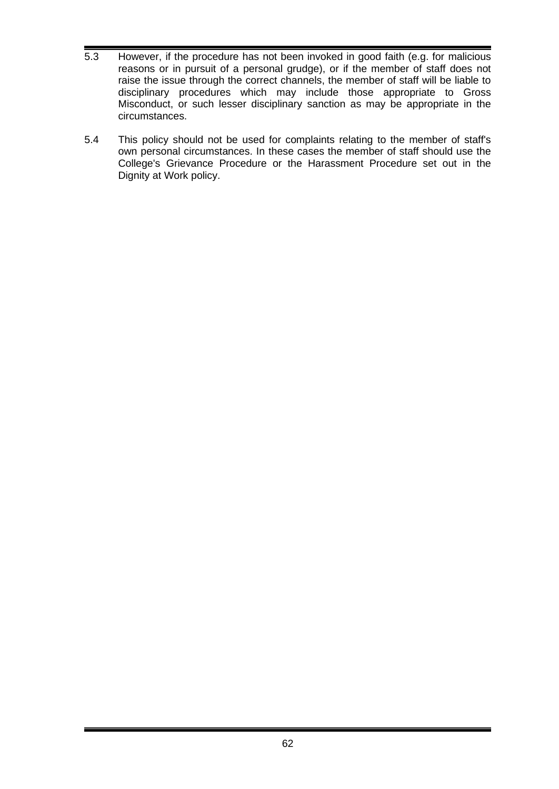- 5.3 However, if the procedure has not been invoked in good faith (e.g. for malicious reasons or in pursuit of a personal grudge), or if the member of staff does not raise the issue through the correct channels, the member of staff will be liable to disciplinary procedures which may include those appropriate to Gross Misconduct, or such lesser disciplinary sanction as may be appropriate in the circumstances.
- 5.4 This policy should not be used for complaints relating to the member of staff's own personal circumstances. In these cases the member of staff should use the College's Grievance Procedure or the Harassment Procedure set out in the Dignity at Work policy.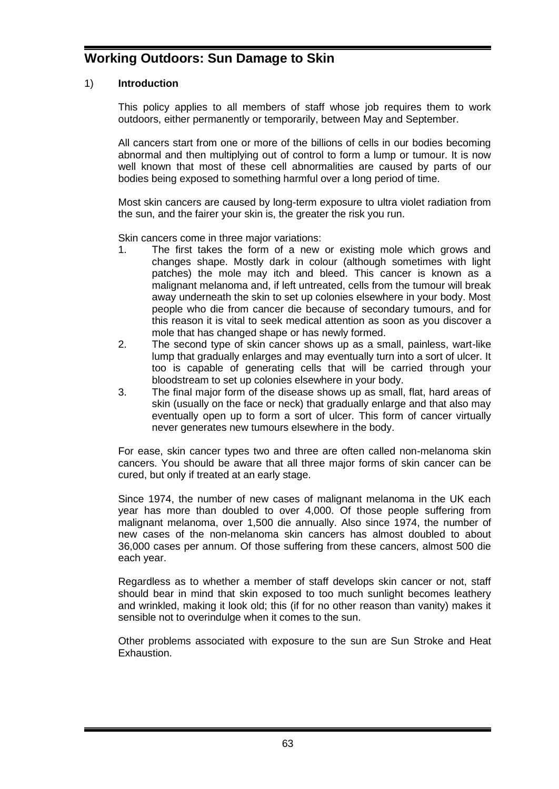# **Working Outdoors: Sun Damage to Skin**

## 1) **Introduction**

This policy applies to all members of staff whose job requires them to work outdoors, either permanently or temporarily, between May and September.

All cancers start from one or more of the billions of cells in our bodies becoming abnormal and then multiplying out of control to form a lump or tumour. It is now well known that most of these cell abnormalities are caused by parts of our bodies being exposed to something harmful over a long period of time.

Most skin cancers are caused by long-term exposure to ultra violet radiation from the sun, and the fairer your skin is, the greater the risk you run.

Skin cancers come in three major variations:

- 1. The first takes the form of a new or existing mole which grows and changes shape. Mostly dark in colour (although sometimes with light patches) the mole may itch and bleed. This cancer is known as a malignant melanoma and, if left untreated, cells from the tumour will break away underneath the skin to set up colonies elsewhere in your body. Most people who die from cancer die because of secondary tumours, and for this reason it is vital to seek medical attention as soon as you discover a mole that has changed shape or has newly formed.
- 2. The second type of skin cancer shows up as a small, painless, wart-like lump that gradually enlarges and may eventually turn into a sort of ulcer. It too is capable of generating cells that will be carried through your bloodstream to set up colonies elsewhere in your body.
- 3. The final major form of the disease shows up as small, flat, hard areas of skin (usually on the face or neck) that gradually enlarge and that also may eventually open up to form a sort of ulcer. This form of cancer virtually never generates new tumours elsewhere in the body.

For ease, skin cancer types two and three are often called non-melanoma skin cancers. You should be aware that all three major forms of skin cancer can be cured, but only if treated at an early stage.

Since 1974, the number of new cases of malignant melanoma in the UK each year has more than doubled to over 4,000. Of those people suffering from malignant melanoma, over 1,500 die annually. Also since 1974, the number of new cases of the non-melanoma skin cancers has almost doubled to about 36,000 cases per annum. Of those suffering from these cancers, almost 500 die each year.

Regardless as to whether a member of staff develops skin cancer or not, staff should bear in mind that skin exposed to too much sunlight becomes leathery and wrinkled, making it look old; this (if for no other reason than vanity) makes it sensible not to overindulge when it comes to the sun.

Other problems associated with exposure to the sun are Sun Stroke and Heat Exhaustion.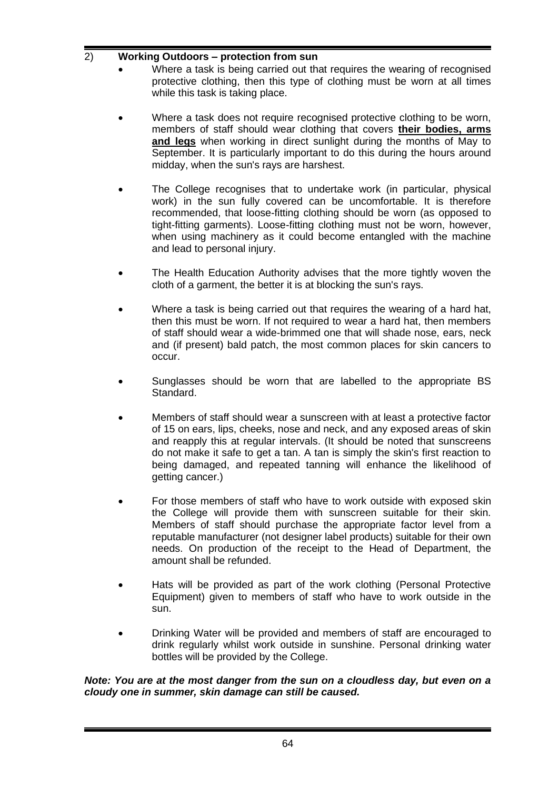# 2) **Working Outdoors – protection from sun**

- Where a task is being carried out that requires the wearing of recognised protective clothing, then this type of clothing must be worn at all times while this task is taking place.
- Where a task does not require recognised protective clothing to be worn, members of staff should wear clothing that covers **their bodies, arms and legs** when working in direct sunlight during the months of May to September. It is particularly important to do this during the hours around midday, when the sun's rays are harshest.
- The College recognises that to undertake work (in particular, physical work) in the sun fully covered can be uncomfortable. It is therefore recommended, that loose-fitting clothing should be worn (as opposed to tight-fitting garments). Loose-fitting clothing must not be worn, however, when using machinery as it could become entangled with the machine and lead to personal injury.
- The Health Education Authority advises that the more tightly woven the cloth of a garment, the better it is at blocking the sun's rays.
- Where a task is being carried out that requires the wearing of a hard hat, then this must be worn. If not required to wear a hard hat, then members of staff should wear a wide-brimmed one that will shade nose, ears, neck and (if present) bald patch, the most common places for skin cancers to occur.
- Sunglasses should be worn that are labelled to the appropriate BS Standard.
- Members of staff should wear a sunscreen with at least a protective factor of 15 on ears, lips, cheeks, nose and neck, and any exposed areas of skin and reapply this at regular intervals. (It should be noted that sunscreens do not make it safe to get a tan. A tan is simply the skin's first reaction to being damaged, and repeated tanning will enhance the likelihood of getting cancer.)
- For those members of staff who have to work outside with exposed skin the College will provide them with sunscreen suitable for their skin. Members of staff should purchase the appropriate factor level from a reputable manufacturer (not designer label products) suitable for their own needs. On production of the receipt to the Head of Department, the amount shall be refunded.
- Hats will be provided as part of the work clothing (Personal Protective Equipment) given to members of staff who have to work outside in the sun.
- Drinking Water will be provided and members of staff are encouraged to drink regularly whilst work outside in sunshine. Personal drinking water bottles will be provided by the College.

#### *Note: You are at the most danger from the sun on a cloudless day, but even on a cloudy one in summer, skin damage can still be caused.*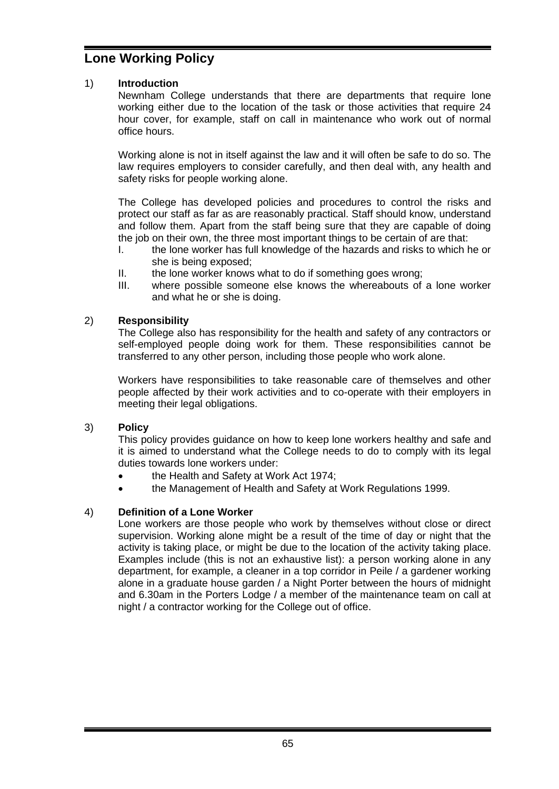# **Lone Working Policy**

## 1) **Introduction**

Newnham College understands that there are departments that require lone working either due to the location of the task or those activities that require 24 hour cover, for example, staff on call in maintenance who work out of normal office hours.

Working alone is not in itself against the law and it will often be safe to do so. The law requires employers to consider carefully, and then deal with, any health and safety risks for people working alone.

The College has developed policies and procedures to control the risks and protect our staff as far as are reasonably practical. Staff should know, understand and follow them. Apart from the staff being sure that they are capable of doing the job on their own, the three most important things to be certain of are that:

- I. the lone worker has full knowledge of the hazards and risks to which he or she is being exposed;
- II. the lone worker knows what to do if something goes wrong;
- III. where possible someone else knows the whereabouts of a lone worker and what he or she is doing.

## 2) **Responsibility**

The College also has responsibility for the health and safety of any contractors or self-employed people doing work for them. These responsibilities cannot be transferred to any other person, including those people who work alone.

Workers have responsibilities to take reasonable care of themselves and other people affected by their work activities and to co-operate with their employers in meeting their legal obligations.

## 3) **Policy**

This policy provides guidance on how to keep lone workers healthy and safe and it is aimed to understand what the College needs to do to comply with its legal duties towards lone workers under:

- the Health and Safety at Work Act 1974;
- the Management of Health and Safety at Work Regulations 1999.

## 4) **Definition of a Lone Worker**

Lone workers are those people who work by themselves without close or direct supervision. Working alone might be a result of the time of day or night that the activity is taking place, or might be due to the location of the activity taking place. Examples include (this is not an exhaustive list): a person working alone in any department, for example, a cleaner in a top corridor in Peile / a gardener working alone in a graduate house garden / a Night Porter between the hours of midnight and 6.30am in the Porters Lodge / a member of the maintenance team on call at night / a contractor working for the College out of office.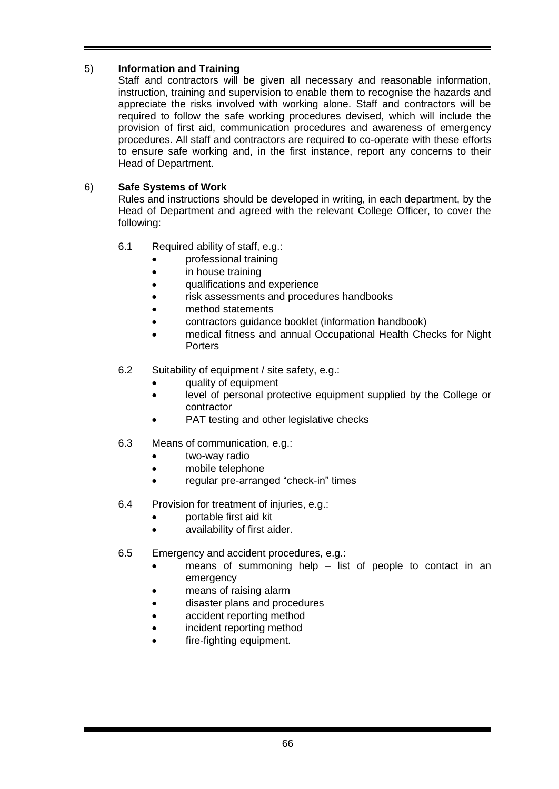# 5) **Information and Training**

Staff and contractors will be given all necessary and reasonable information, instruction, training and supervision to enable them to recognise the hazards and appreciate the risks involved with working alone. Staff and contractors will be required to follow the safe working procedures devised, which will include the provision of first aid, communication procedures and awareness of emergency procedures. All staff and contractors are required to co-operate with these efforts to ensure safe working and, in the first instance, report any concerns to their Head of Department.

# 6) **Safe Systems of Work**

Rules and instructions should be developed in writing, in each department, by the Head of Department and agreed with the relevant College Officer, to cover the following:

- 6.1 Required ability of staff, e.g.:
	- professional training
	- in house training
	- qualifications and experience
	- risk assessments and procedures handbooks
	- method statements
	- contractors guidance booklet (information handbook)
	- medical fitness and annual Occupational Health Checks for Night **Porters**
- 6.2 Suitability of equipment / site safety, e.g.:
	- quality of equipment
	- level of personal protective equipment supplied by the College or contractor
	- PAT testing and other legislative checks
- 6.3 Means of communication, e.g.:
	- two-way radio
	- mobile telephone
	- regular pre-arranged "check-in" times
- 6.4 Provision for treatment of injuries, e.g.:
	- portable first aid kit
	- availability of first aider.
- 6.5 Emergency and accident procedures, e.g.:
	- means of summoning help list of people to contact in an emergency
	- means of raising alarm
	- disaster plans and procedures
	- accident reporting method
	- incident reporting method
	- fire-fighting equipment.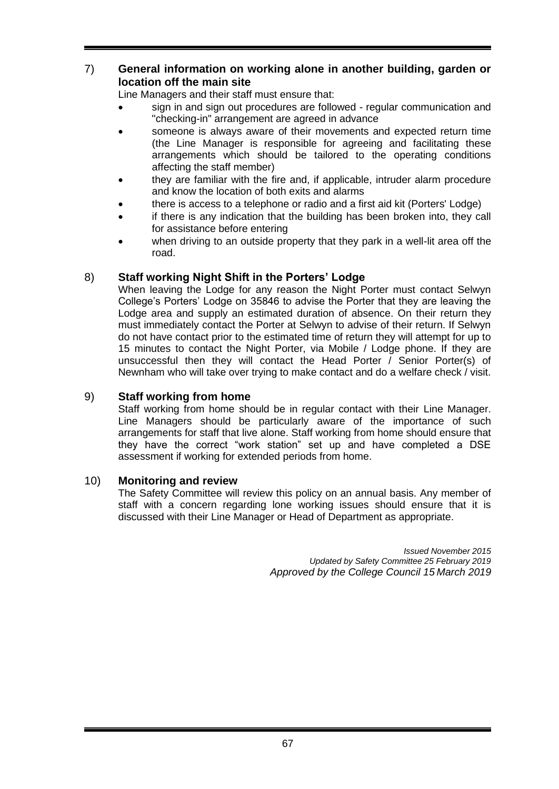## 7) **General information on working alone in another building, garden or location off the main site**

Line Managers and their staff must ensure that:

- sign in and sign out procedures are followed regular communication and "checking-in" arrangement are agreed in advance
- someone is always aware of their movements and expected return time (the Line Manager is responsible for agreeing and facilitating these arrangements which should be tailored to the operating conditions affecting the staff member)
- they are familiar with the fire and, if applicable, intruder alarm procedure and know the location of both exits and alarms
- there is access to a telephone or radio and a first aid kit (Porters' Lodge)
- if there is any indication that the building has been broken into, they call for assistance before entering
- when driving to an outside property that they park in a well-lit area off the road.

# 8) **Staff working Night Shift in the Porters' Lodge**

When leaving the Lodge for any reason the Night Porter must contact Selwyn College's Porters' Lodge on 35846 to advise the Porter that they are leaving the Lodge area and supply an estimated duration of absence. On their return they must immediately contact the Porter at Selwyn to advise of their return. If Selwyn do not have contact prior to the estimated time of return they will attempt for up to 15 minutes to contact the Night Porter, via Mobile / Lodge phone. If they are unsuccessful then they will contact the Head Porter / Senior Porter(s) of Newnham who will take over trying to make contact and do a welfare check / visit.

## 9) **Staff working from home**

Staff working from home should be in regular contact with their Line Manager. Line Managers should be particularly aware of the importance of such arrangements for staff that live alone. Staff working from home should ensure that they have the correct "work station" set up and have completed a DSE assessment if working for extended periods from home.

## 10) **Monitoring and review**

The Safety Committee will review this policy on an annual basis. Any member of staff with a concern regarding lone working issues should ensure that it is discussed with their Line Manager or Head of Department as appropriate.

> *Issued November 2015 Updated by Safety Committee 25 February 2019 Approved by the College Council 15 March 2019*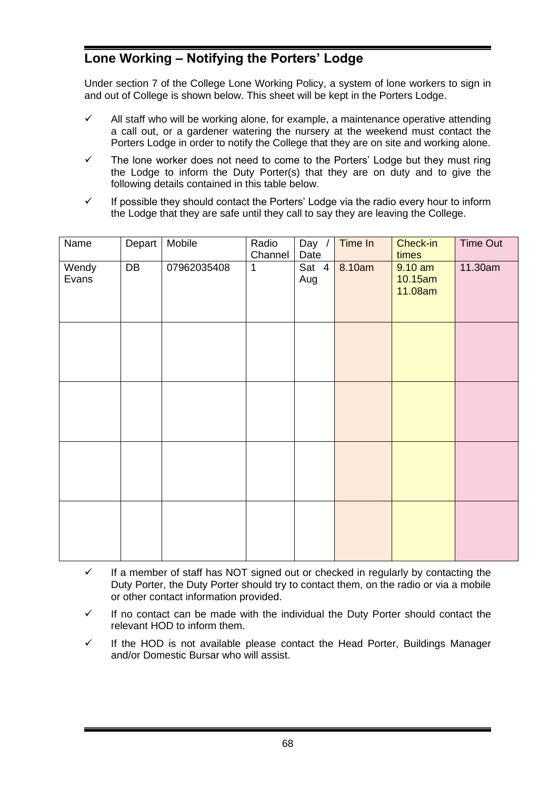# **Lone Working – Notifying the Porters' Lodge**

Under section 7 of the College Lone Working Policy, a system of lone workers to sign in and out of College is shown below. This sheet will be kept in the Porters Lodge.

- $\checkmark$  All staff who will be working alone, for example, a maintenance operative attending a call out, or a gardener watering the nursery at the weekend must contact the Porters Lodge in order to notify the College that they are on site and working alone.
- $\checkmark$  The lone worker does not need to come to the Porters' Lodge but they must ring the Lodge to inform the Duty Porter(s) that they are on duty and to give the following details contained in this table below.
- $\checkmark$  If possible they should contact the Porters' Lodge via the radio every hour to inform the Lodge that they are safe until they call to say they are leaving the College.

| Name           | Depart | Mobile      | Radio<br>Channel | Day /<br>Date | Time In | Check-in<br>times               | Time Out |
|----------------|--------|-------------|------------------|---------------|---------|---------------------------------|----------|
| Wendy<br>Evans | DB     | 07962035408 | $\mathbf{1}$     | Sat 4<br>Aug  | 8.10am  | $9.10$ am<br>10.15am<br>11.08am | 11.30am  |
|                |        |             |                  |               |         |                                 |          |
|                |        |             |                  |               |         |                                 |          |
|                |        |             |                  |               |         |                                 |          |
|                |        |             |                  |               |         |                                 |          |

- $\checkmark$  If a member of staff has NOT signed out or checked in regularly by contacting the Duty Porter, the Duty Porter should try to contact them, on the radio or via a mobile or other contact information provided.
- $\checkmark$  If no contact can be made with the individual the Duty Porter should contact the relevant HOD to inform them.
- $\checkmark$  If the HOD is not available please contact the Head Porter, Buildings Manager and/or Domestic Bursar who will assist.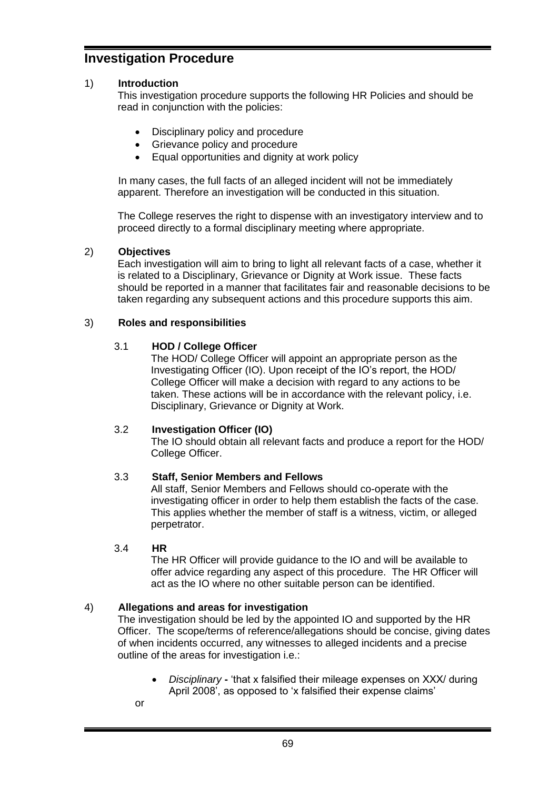# **Investigation Procedure**

## 1) **Introduction**

This investigation procedure supports the following HR Policies and should be read in conjunction with the policies:

- Disciplinary policy and procedure
- Grievance policy and procedure
- Equal opportunities and dignity at work policy

In many cases, the full facts of an alleged incident will not be immediately apparent. Therefore an investigation will be conducted in this situation.

The College reserves the right to dispense with an investigatory interview and to proceed directly to a formal disciplinary meeting where appropriate.

#### 2) **Objectives**

Each investigation will aim to bring to light all relevant facts of a case, whether it is related to a Disciplinary, Grievance or Dignity at Work issue. These facts should be reported in a manner that facilitates fair and reasonable decisions to be taken regarding any subsequent actions and this procedure supports this aim.

#### 3) **Roles and responsibilities**

#### 3.1 **HOD / College Officer**

The HOD/ College Officer will appoint an appropriate person as the Investigating Officer (IO). Upon receipt of the IO's report, the HOD/ College Officer will make a decision with regard to any actions to be taken. These actions will be in accordance with the relevant policy, i.e. Disciplinary, Grievance or Dignity at Work.

#### 3.2 **Investigation Officer (IO)**

The IO should obtain all relevant facts and produce a report for the HOD/ College Officer.

## 3.3 **Staff, Senior Members and Fellows**

All staff, Senior Members and Fellows should co-operate with the investigating officer in order to help them establish the facts of the case. This applies whether the member of staff is a witness, victim, or alleged perpetrator.

## 3.4 **HR**

The HR Officer will provide guidance to the IO and will be available to offer advice regarding any aspect of this procedure. The HR Officer will act as the IO where no other suitable person can be identified.

## 4) **Allegations and areas for investigation**

The investigation should be led by the appointed IO and supported by the HR Officer. The scope/terms of reference/allegations should be concise, giving dates of when incidents occurred, any witnesses to alleged incidents and a precise outline of the areas for investigation i.e.:

- *Disciplinary* **-** 'that x falsified their mileage expenses on XXX/ during April 2008', as opposed to 'x falsified their expense claims'
- or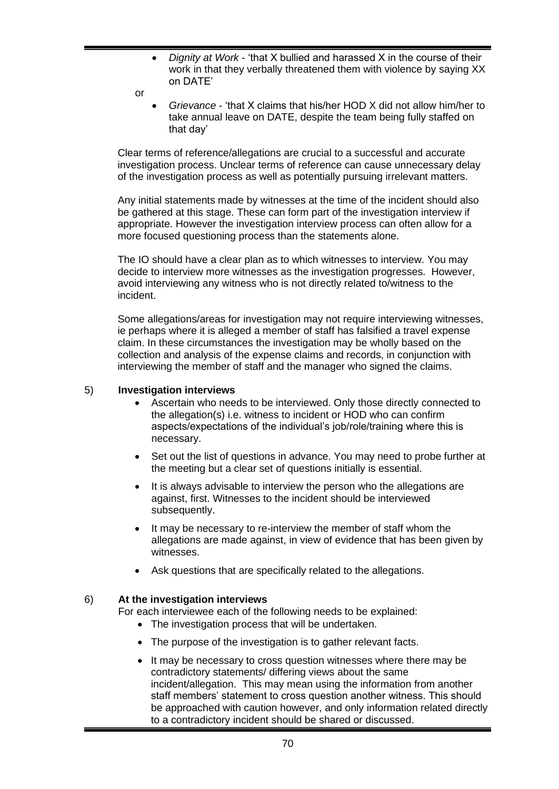- *Dignity at Work* 'that X bullied and harassed X in the course of their work in that they verbally threatened them with violence by saying XX on DATE'
- $\alpha$ r
	- *Grievance* 'that X claims that his/her HOD X did not allow him/her to take annual leave on DATE, despite the team being fully staffed on that day'

Clear terms of reference/allegations are crucial to a successful and accurate investigation process. Unclear terms of reference can cause unnecessary delay of the investigation process as well as potentially pursuing irrelevant matters.

Any initial statements made by witnesses at the time of the incident should also be gathered at this stage. These can form part of the investigation interview if appropriate. However the investigation interview process can often allow for a more focused questioning process than the statements alone.

The IO should have a clear plan as to which witnesses to interview. You may decide to interview more witnesses as the investigation progresses. However, avoid interviewing any witness who is not directly related to/witness to the incident.

Some allegations/areas for investigation may not require interviewing witnesses, ie perhaps where it is alleged a member of staff has falsified a travel expense claim. In these circumstances the investigation may be wholly based on the collection and analysis of the expense claims and records, in conjunction with interviewing the member of staff and the manager who signed the claims.

#### 5) **Investigation interviews**

- Ascertain who needs to be interviewed. Only those directly connected to the allegation(s) i.e. witness to incident or HOD who can confirm aspects/expectations of the individual's job/role/training where this is necessary.
- Set out the list of questions in advance. You may need to probe further at the meeting but a clear set of questions initially is essential.
- It is always advisable to interview the person who the allegations are against, first. Witnesses to the incident should be interviewed subsequently.
- It may be necessary to re-interview the member of staff whom the allegations are made against, in view of evidence that has been given by witnesses.
- Ask questions that are specifically related to the allegations.

## 6) **At the investigation interviews**

For each interviewee each of the following needs to be explained:

- The investigation process that will be undertaken.
- The purpose of the investigation is to gather relevant facts.
- It may be necessary to cross question witnesses where there may be contradictory statements/ differing views about the same incident/allegation. This may mean using the information from another staff members' statement to cross question another witness. This should be approached with caution however, and only information related directly to a contradictory incident should be shared or discussed.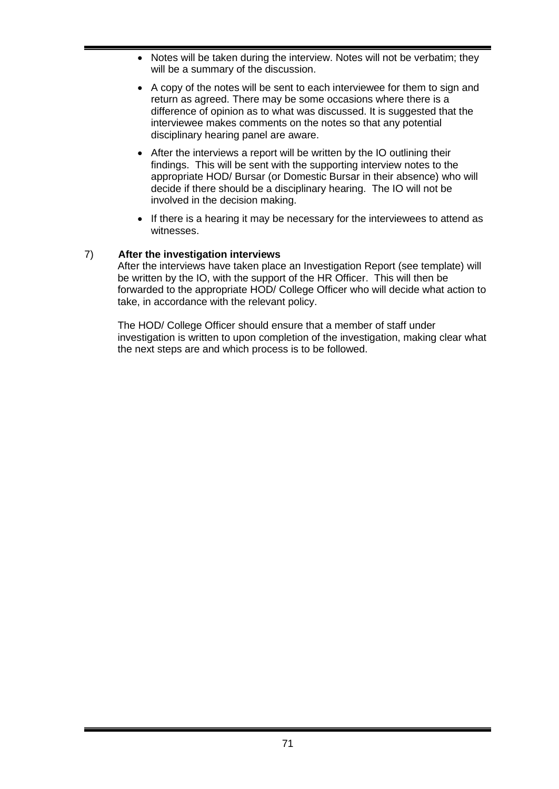- Notes will be taken during the interview. Notes will not be verbatim; they will be a summary of the discussion.
- A copy of the notes will be sent to each interviewee for them to sign and return as agreed. There may be some occasions where there is a difference of opinion as to what was discussed. It is suggested that the interviewee makes comments on the notes so that any potential disciplinary hearing panel are aware.
- After the interviews a report will be written by the IO outlining their findings. This will be sent with the supporting interview notes to the appropriate HOD/ Bursar (or Domestic Bursar in their absence) who will decide if there should be a disciplinary hearing. The IO will not be involved in the decision making.
- If there is a hearing it may be necessary for the interviewees to attend as witnesses.

# 7) **After the investigation interviews**

After the interviews have taken place an Investigation Report (see template) will be written by the IO, with the support of the HR Officer. This will then be forwarded to the appropriate HOD/ College Officer who will decide what action to take, in accordance with the relevant policy.

The HOD/ College Officer should ensure that a member of staff under investigation is written to upon completion of the investigation, making clear what the next steps are and which process is to be followed.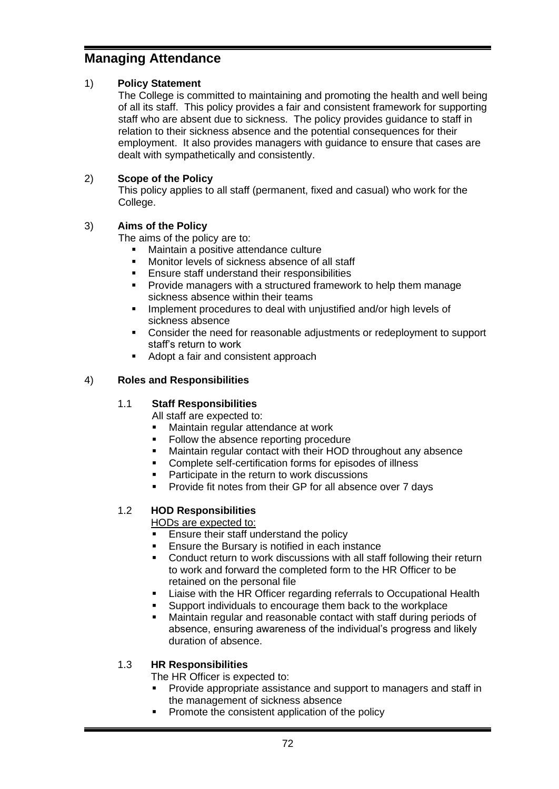# **Managing Attendance**

## 1) **Policy Statement**

The College is committed to maintaining and promoting the health and well being of all its staff. This policy provides a fair and consistent framework for supporting staff who are absent due to sickness. The policy provides guidance to staff in relation to their sickness absence and the potential consequences for their employment. It also provides managers with guidance to ensure that cases are dealt with sympathetically and consistently.

# 2) **Scope of the Policy**

This policy applies to all staff (permanent, fixed and casual) who work for the College.

# 3) **Aims of the Policy**

The aims of the policy are to:

- Maintain a positive attendance culture
- Monitor levels of sickness absence of all staff
- Ensure staff understand their responsibilities
- Provide managers with a structured framework to help them manage sickness absence within their teams
- **■** Implement procedures to deal with unjustified and/or high levels of sickness absence
- Consider the need for reasonable adjustments or redeployment to support staff's return to work
- Adopt a fair and consistent approach

# 4) **Roles and Responsibilities**

# 1.1 **Staff Responsibilities**

All staff are expected to:

- Maintain regular attendance at work
- Follow the absence reporting procedure
- Maintain regular contact with their HOD throughout any absence
- Complete self-certification forms for episodes of illness
- Participate in the return to work discussions
- Provide fit notes from their GP for all absence over 7 days

# 1.2 **HOD Responsibilities**

HODs are expected to:

- Ensure their staff understand the policy
- **Ensure the Bursary is notified in each instance**
- Conduct return to work discussions with all staff following their return to work and forward the completed form to the HR Officer to be retained on the personal file
- Liaise with the HR Officer regarding referrals to Occupational Health
- Support individuals to encourage them back to the workplace
- Maintain regular and reasonable contact with staff during periods of absence, ensuring awareness of the individual's progress and likely duration of absence.

## 1.3 **HR Responsibilities**

The HR Officer is expected to:

- **Provide appropriate assistance and support to managers and staff in** the management of sickness absence
- Promote the consistent application of the policy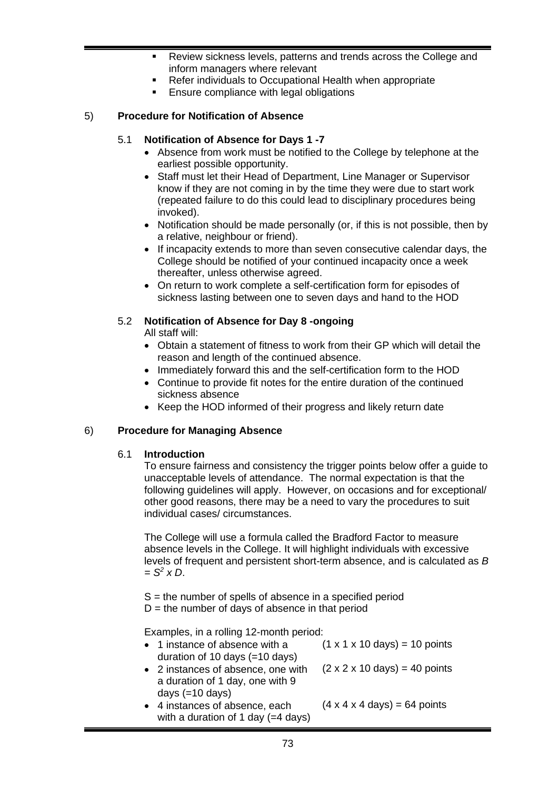- Review sickness levels, patterns and trends across the College and inform managers where relevant
- Refer individuals to Occupational Health when appropriate
- Ensure compliance with legal obligations

#### 5) **Procedure for Notification of Absence**

#### 5.1 **Notification of Absence for Days 1 -7**

- Absence from work must be notified to the College by telephone at the earliest possible opportunity.
- Staff must let their Head of Department, Line Manager or Supervisor know if they are not coming in by the time they were due to start work (repeated failure to do this could lead to disciplinary procedures being invoked).
- Notification should be made personally (or, if this is not possible, then by a relative, neighbour or friend).
- If incapacity extends to more than seven consecutive calendar days, the College should be notified of your continued incapacity once a week thereafter, unless otherwise agreed.
- On return to work complete a self-certification form for episodes of sickness lasting between one to seven days and hand to the HOD

#### 5.2 **Notification of Absence for Day 8 -ongoing**

All staff will:

- Obtain a statement of fitness to work from their GP which will detail the reason and length of the continued absence.
- Immediately forward this and the self-certification form to the HOD
- Continue to provide fit notes for the entire duration of the continued sickness absence
- Keep the HOD informed of their progress and likely return date

#### 6) **Procedure for Managing Absence**

#### 6.1 **Introduction**

To ensure fairness and consistency the trigger points below offer a guide to unacceptable levels of attendance. The normal expectation is that the following guidelines will apply. However, on occasions and for exceptional/ other good reasons, there may be a need to vary the procedures to suit individual cases/ circumstances.

The College will use a formula called the Bradford Factor to measure absence levels in the College. It will highlight individuals with excessive levels of frequent and persistent short-term absence, and is calculated as *B = S<sup>2</sup> x D*.

 $S =$  the number of spells of absence in a specified period  $D =$  the number of days of absence in that period

Examples, in a rolling 12-month period:

| • 1 instance of absence with a<br>duration of 10 days $(=10 \text{ days})$                          | $(1 \times 1 \times 10 \text{ days}) = 10 \text{ points}$ |
|-----------------------------------------------------------------------------------------------------|-----------------------------------------------------------|
| • 2 instances of absence, one with<br>a duration of 1 day, one with 9                               | $(2 \times 2 \times 10 \text{ days}) = 40 \text{ points}$ |
| days $(=10 \text{ days})$<br>• 4 instances of absence, each<br>with a duration of 1 day $(=4$ days) | $(4 \times 4 \times 4 \text{ days}) = 64 \text{ points}$  |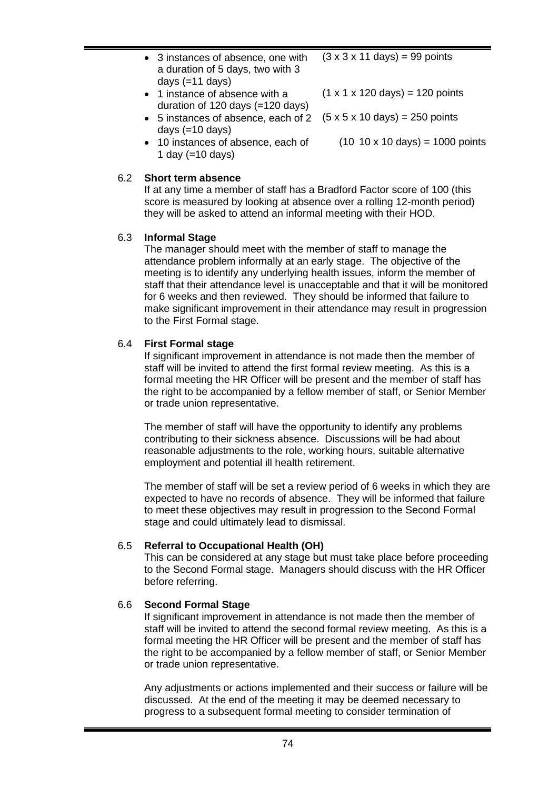| • 3 instances of absence, one with<br>a duration of 5 days, two with 3 | $(3 \times 3 \times 11 \text{ days}) = 99 \text{ points}$   |
|------------------------------------------------------------------------|-------------------------------------------------------------|
| days $(=11$ days)                                                      |                                                             |
| • 1 instance of absence with a                                         | $(1 \times 1 \times 120 \text{ days}) = 120 \text{ points}$ |
| duration of 120 days $(=120 \text{ days})$                             |                                                             |

- 5 instances of absence, each of 2  $(5 \times 5 \times 10 \text{ days}) = 250 \text{ points}$ days (=10 days)
- 10 instances of absence, each of 1 day  $(=10$  days)  $(10 10 x 10 \text{ days}) = 1000 \text{ points}$

#### 6.2 **Short term absence**

If at any time a member of staff has a Bradford Factor score of 100 (this score is measured by looking at absence over a rolling 12-month period) they will be asked to attend an informal meeting with their HOD.

#### 6.3 **Informal Stage**

The manager should meet with the member of staff to manage the attendance problem informally at an early stage. The objective of the meeting is to identify any underlying health issues, inform the member of staff that their attendance level is unacceptable and that it will be monitored for 6 weeks and then reviewed. They should be informed that failure to make significant improvement in their attendance may result in progression to the First Formal stage.

#### 6.4 **First Formal stage**

If significant improvement in attendance is not made then the member of staff will be invited to attend the first formal review meeting. As this is a formal meeting the HR Officer will be present and the member of staff has the right to be accompanied by a fellow member of staff, or Senior Member or trade union representative.

The member of staff will have the opportunity to identify any problems contributing to their sickness absence. Discussions will be had about reasonable adjustments to the role, working hours, suitable alternative employment and potential ill health retirement.

The member of staff will be set a review period of 6 weeks in which they are expected to have no records of absence. They will be informed that failure to meet these objectives may result in progression to the Second Formal stage and could ultimately lead to dismissal.

#### 6.5 **Referral to Occupational Health (OH)**

This can be considered at any stage but must take place before proceeding to the Second Formal stage. Managers should discuss with the HR Officer before referring.

#### 6.6 **Second Formal Stage**

If significant improvement in attendance is not made then the member of staff will be invited to attend the second formal review meeting. As this is a formal meeting the HR Officer will be present and the member of staff has the right to be accompanied by a fellow member of staff, or Senior Member or trade union representative.

Any adjustments or actions implemented and their success or failure will be discussed. At the end of the meeting it may be deemed necessary to progress to a subsequent formal meeting to consider termination of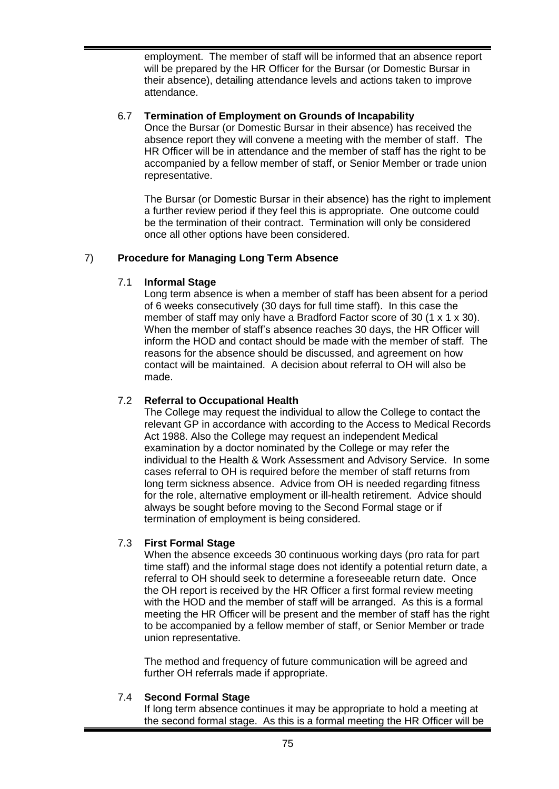employment. The member of staff will be informed that an absence report will be prepared by the HR Officer for the Bursar (or Domestic Bursar in their absence), detailing attendance levels and actions taken to improve attendance.

#### 6.7 **Termination of Employment on Grounds of Incapability**

Once the Bursar (or Domestic Bursar in their absence) has received the absence report they will convene a meeting with the member of staff. The HR Officer will be in attendance and the member of staff has the right to be accompanied by a fellow member of staff, or Senior Member or trade union representative.

The Bursar (or Domestic Bursar in their absence) has the right to implement a further review period if they feel this is appropriate. One outcome could be the termination of their contract. Termination will only be considered once all other options have been considered.

# 7) **Procedure for Managing Long Term Absence**

#### 7.1 **Informal Stage**

Long term absence is when a member of staff has been absent for a period of 6 weeks consecutively (30 days for full time staff). In this case the member of staff may only have a Bradford Factor score of 30 (1 x 1 x 30). When the member of staff's absence reaches 30 days, the HR Officer will inform the HOD and contact should be made with the member of staff. The reasons for the absence should be discussed, and agreement on how contact will be maintained. A decision about referral to OH will also be made.

#### 7.2 **Referral to Occupational Health**

The College may request the individual to allow the College to contact the relevant GP in accordance with according to the Access to Medical Records Act 1988. Also the College may request an independent Medical examination by a doctor nominated by the College or may refer the individual to the Health & Work Assessment and Advisory Service. In some cases referral to OH is required before the member of staff returns from long term sickness absence. Advice from OH is needed regarding fitness for the role, alternative employment or ill-health retirement. Advice should always be sought before moving to the Second Formal stage or if termination of employment is being considered.

#### 7.3 **First Formal Stage**

When the absence exceeds 30 continuous working days (pro rata for part time staff) and the informal stage does not identify a potential return date, a referral to OH should seek to determine a foreseeable return date. Once the OH report is received by the HR Officer a first formal review meeting with the HOD and the member of staff will be arranged. As this is a formal meeting the HR Officer will be present and the member of staff has the right to be accompanied by a fellow member of staff, or Senior Member or trade union representative.

The method and frequency of future communication will be agreed and further OH referrals made if appropriate.

#### 7.4 **Second Formal Stage**

If long term absence continues it may be appropriate to hold a meeting at the second formal stage. As this is a formal meeting the HR Officer will be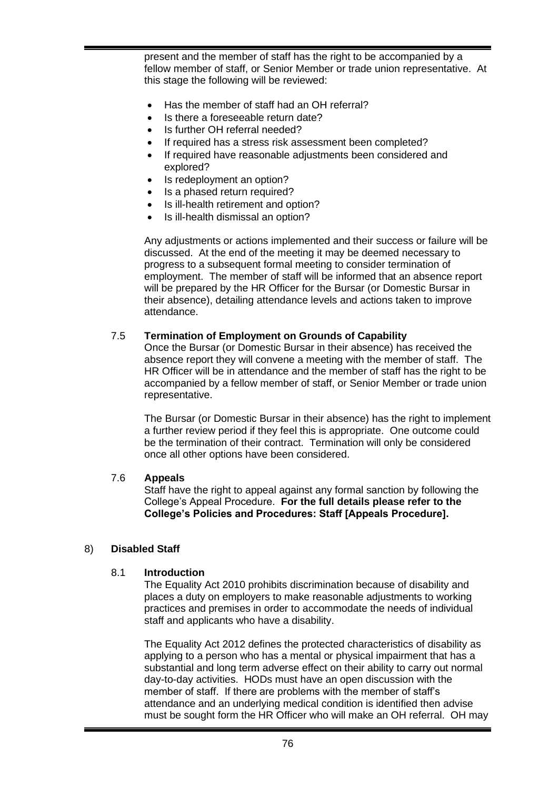present and the member of staff has the right to be accompanied by a fellow member of staff, or Senior Member or trade union representative. At this stage the following will be reviewed:

- Has the member of staff had an OH referral?
- Is there a foreseeable return date?
- Is further OH referral needed?
- If required has a stress risk assessment been completed?
- If required have reasonable adjustments been considered and explored?
- Is redeployment an option?
- Is a phased return required?
- Is ill-health retirement and option?
- Is ill-health dismissal an option?

Any adjustments or actions implemented and their success or failure will be discussed. At the end of the meeting it may be deemed necessary to progress to a subsequent formal meeting to consider termination of employment. The member of staff will be informed that an absence report will be prepared by the HR Officer for the Bursar (or Domestic Bursar in their absence), detailing attendance levels and actions taken to improve attendance.

#### 7.5 **Termination of Employment on Grounds of Capability**

Once the Bursar (or Domestic Bursar in their absence) has received the absence report they will convene a meeting with the member of staff. The HR Officer will be in attendance and the member of staff has the right to be accompanied by a fellow member of staff, or Senior Member or trade union representative.

The Bursar (or Domestic Bursar in their absence) has the right to implement a further review period if they feel this is appropriate. One outcome could be the termination of their contract. Termination will only be considered once all other options have been considered.

#### 7.6 **Appeals**

Staff have the right to appeal against any formal sanction by following the College's Appeal Procedure. **For the full details please refer to the College's Policies and Procedures: Staff [Appeals Procedure].**

#### 8) **Disabled Staff**

#### 8.1 **Introduction**

The Equality Act 2010 prohibits discrimination because of disability and places a duty on employers to make reasonable adjustments to working practices and premises in order to accommodate the needs of individual staff and applicants who have a disability.

The Equality Act 2012 defines the protected characteristics of disability as applying to a person who has a mental or physical impairment that has a substantial and long term adverse effect on their ability to carry out normal day-to-day activities. HODs must have an open discussion with the member of staff. If there are problems with the member of staff's attendance and an underlying medical condition is identified then advise must be sought form the HR Officer who will make an OH referral. OH may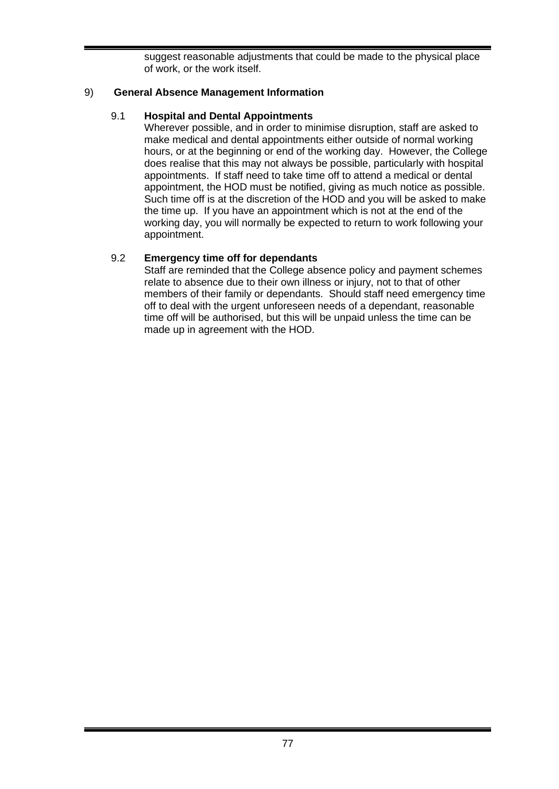suggest reasonable adjustments that could be made to the physical place of work, or the work itself.

### 9) **General Absence Management Information**

# 9.1 **Hospital and Dental Appointments**

Wherever possible, and in order to minimise disruption, staff are asked to make medical and dental appointments either outside of normal working hours, or at the beginning or end of the working day. However, the College does realise that this may not always be possible, particularly with hospital appointments. If staff need to take time off to attend a medical or dental appointment, the HOD must be notified, giving as much notice as possible. Such time off is at the discretion of the HOD and you will be asked to make the time up. If you have an appointment which is not at the end of the working day, you will normally be expected to return to work following your appointment.

# 9.2 **Emergency time off for dependants**

Staff are reminded that the College absence policy and payment schemes relate to absence due to their own illness or injury, not to that of other members of their family or dependants. Should staff need emergency time off to deal with the urgent unforeseen needs of a dependant, reasonable time off will be authorised, but this will be unpaid unless the time can be made up in agreement with the HOD.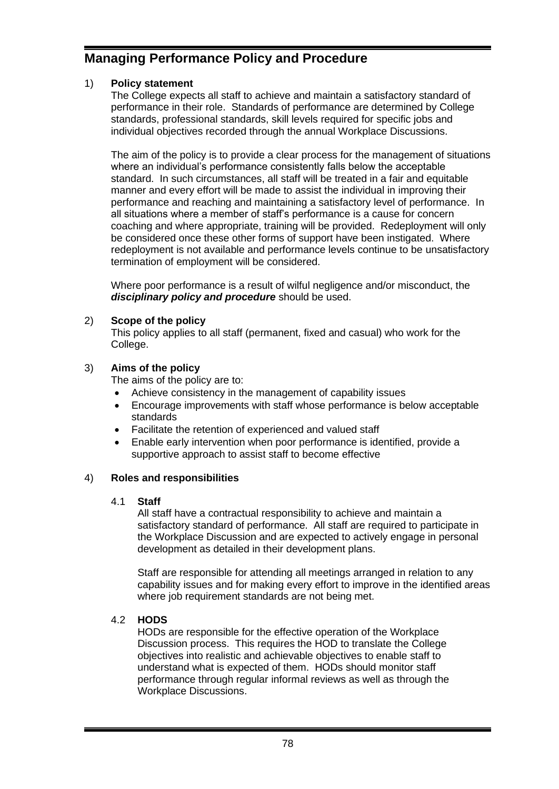# **Managing Performance Policy and Procedure**

# 1) **Policy statement**

The College expects all staff to achieve and maintain a satisfactory standard of performance in their role. Standards of performance are determined by College standards, professional standards, skill levels required for specific jobs and individual objectives recorded through the annual Workplace Discussions.

The aim of the policy is to provide a clear process for the management of situations where an individual's performance consistently falls below the acceptable standard. In such circumstances, all staff will be treated in a fair and equitable manner and every effort will be made to assist the individual in improving their performance and reaching and maintaining a satisfactory level of performance. In all situations where a member of staff's performance is a cause for concern coaching and where appropriate, training will be provided. Redeployment will only be considered once these other forms of support have been instigated. Where redeployment is not available and performance levels continue to be unsatisfactory termination of employment will be considered.

Where poor performance is a result of wilful negligence and/or misconduct, the *disciplinary policy and procedure* should be used.

# 2) **Scope of the policy**

This policy applies to all staff (permanent, fixed and casual) who work for the College.

# 3) **Aims of the policy**

The aims of the policy are to:

- Achieve consistency in the management of capability issues
- Encourage improvements with staff whose performance is below acceptable standards
- Facilitate the retention of experienced and valued staff
- Enable early intervention when poor performance is identified, provide a supportive approach to assist staff to become effective

#### 4) **Roles and responsibilities**

#### 4.1 **Staff**

All staff have a contractual responsibility to achieve and maintain a satisfactory standard of performance. All staff are required to participate in the Workplace Discussion and are expected to actively engage in personal development as detailed in their development plans.

Staff are responsible for attending all meetings arranged in relation to any capability issues and for making every effort to improve in the identified areas where job requirement standards are not being met.

#### 4.2 **HODS**

HODs are responsible for the effective operation of the Workplace Discussion process. This requires the HOD to translate the College objectives into realistic and achievable objectives to enable staff to understand what is expected of them. HODs should monitor staff performance through regular informal reviews as well as through the Workplace Discussions.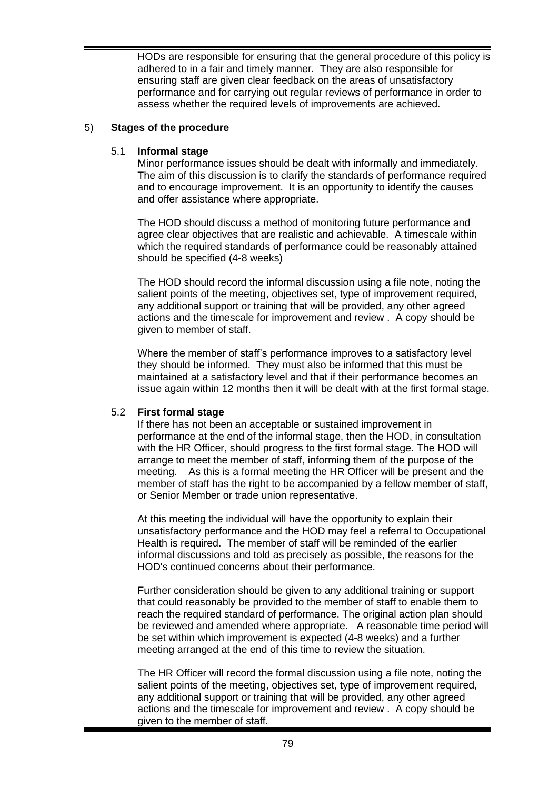HODs are responsible for ensuring that the general procedure of this policy is adhered to in a fair and timely manner. They are also responsible for ensuring staff are given clear feedback on the areas of unsatisfactory performance and for carrying out regular reviews of performance in order to assess whether the required levels of improvements are achieved.

#### 5) **Stages of the procedure**

#### 5.1 **Informal stage**

Minor performance issues should be dealt with informally and immediately. The aim of this discussion is to clarify the standards of performance required and to encourage improvement. It is an opportunity to identify the causes and offer assistance where appropriate.

The HOD should discuss a method of monitoring future performance and agree clear objectives that are realistic and achievable. A timescale within which the required standards of performance could be reasonably attained should be specified (4-8 weeks)

The HOD should record the informal discussion using a file note, noting the salient points of the meeting, objectives set, type of improvement required, any additional support or training that will be provided, any other agreed actions and the timescale for improvement and review . A copy should be given to member of staff.

Where the member of staff's performance improves to a satisfactory level they should be informed. They must also be informed that this must be maintained at a satisfactory level and that if their performance becomes an issue again within 12 months then it will be dealt with at the first formal stage.

#### 5.2 **First formal stage**

If there has not been an acceptable or sustained improvement in performance at the end of the informal stage, then the HOD, in consultation with the HR Officer, should progress to the first formal stage. The HOD will arrange to meet the member of staff, informing them of the purpose of the meeting. As this is a formal meeting the HR Officer will be present and the member of staff has the right to be accompanied by a fellow member of staff, or Senior Member or trade union representative.

At this meeting the individual will have the opportunity to explain their unsatisfactory performance and the HOD may feel a referral to Occupational Health is required. The member of staff will be reminded of the earlier informal discussions and told as precisely as possible, the reasons for the HOD's continued concerns about their performance.

Further consideration should be given to any additional training or support that could reasonably be provided to the member of staff to enable them to reach the required standard of performance. The original action plan should be reviewed and amended where appropriate. A reasonable time period will be set within which improvement is expected (4-8 weeks) and a further meeting arranged at the end of this time to review the situation.

The HR Officer will record the formal discussion using a file note, noting the salient points of the meeting, objectives set, type of improvement required, any additional support or training that will be provided, any other agreed actions and the timescale for improvement and review . A copy should be given to the member of staff.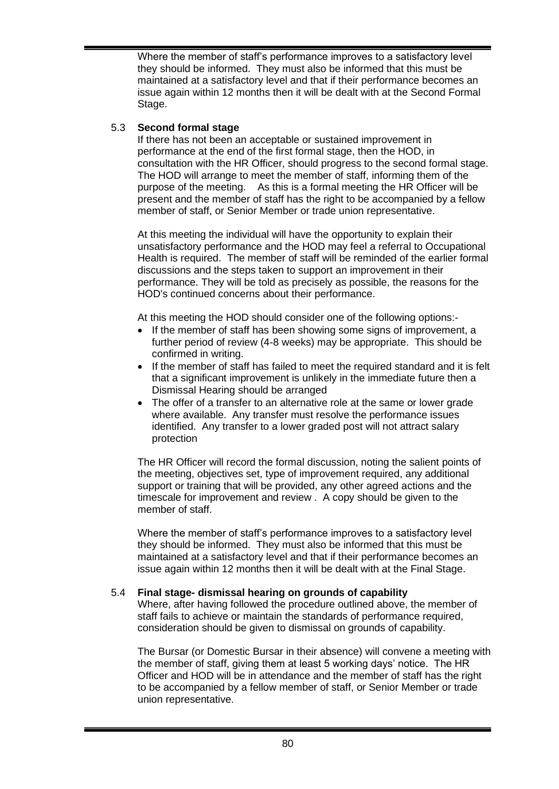Where the member of staff's performance improves to a satisfactory level they should be informed. They must also be informed that this must be maintained at a satisfactory level and that if their performance becomes an issue again within 12 months then it will be dealt with at the Second Formal Stage.

# 5.3 **Second formal stage**

If there has not been an acceptable or sustained improvement in performance at the end of the first formal stage, then the HOD, in consultation with the HR Officer, should progress to the second formal stage. The HOD will arrange to meet the member of staff, informing them of the purpose of the meeting. As this is a formal meeting the HR Officer will be present and the member of staff has the right to be accompanied by a fellow member of staff, or Senior Member or trade union representative.

At this meeting the individual will have the opportunity to explain their unsatisfactory performance and the HOD may feel a referral to Occupational Health is required. The member of staff will be reminded of the earlier formal discussions and the steps taken to support an improvement in their performance. They will be told as precisely as possible, the reasons for the HOD's continued concerns about their performance.

At this meeting the HOD should consider one of the following options:-

- If the member of staff has been showing some signs of improvement, a further period of review (4-8 weeks) may be appropriate. This should be confirmed in writing.
- If the member of staff has failed to meet the required standard and it is felt that a significant improvement is unlikely in the immediate future then a Dismissal Hearing should be arranged
- The offer of a transfer to an alternative role at the same or lower grade where available. Any transfer must resolve the performance issues identified. Any transfer to a lower graded post will not attract salary protection

The HR Officer will record the formal discussion, noting the salient points of the meeting, objectives set, type of improvement required, any additional support or training that will be provided, any other agreed actions and the timescale for improvement and review . A copy should be given to the member of staff.

Where the member of staff's performance improves to a satisfactory level they should be informed. They must also be informed that this must be maintained at a satisfactory level and that if their performance becomes an issue again within 12 months then it will be dealt with at the Final Stage.

#### 5.4 **Final stage- dismissal hearing on grounds of capability**

Where, after having followed the procedure outlined above, the member of staff fails to achieve or maintain the standards of performance required, consideration should be given to dismissal on grounds of capability.

The Bursar (or Domestic Bursar in their absence) will convene a meeting with the member of staff, giving them at least 5 working days' notice. The HR Officer and HOD will be in attendance and the member of staff has the right to be accompanied by a fellow member of staff, or Senior Member or trade union representative.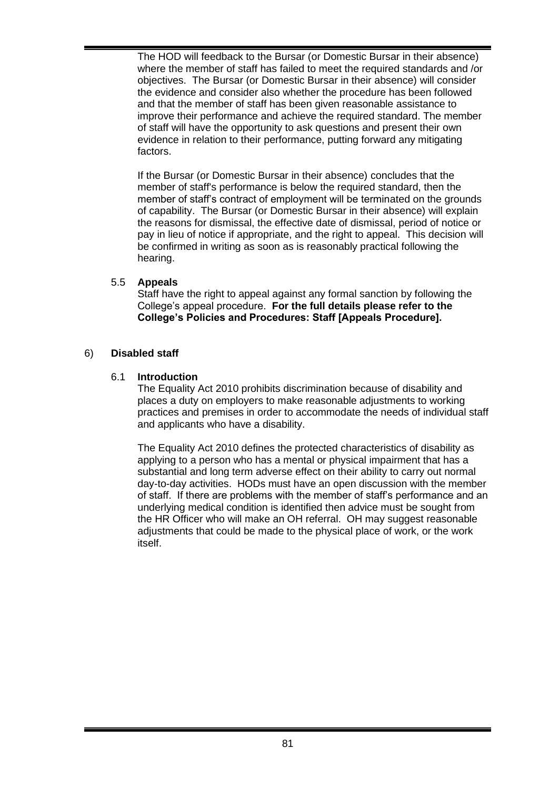The HOD will feedback to the Bursar (or Domestic Bursar in their absence) where the member of staff has failed to meet the required standards and /or objectives. The Bursar (or Domestic Bursar in their absence) will consider the evidence and consider also whether the procedure has been followed and that the member of staff has been given reasonable assistance to improve their performance and achieve the required standard. The member of staff will have the opportunity to ask questions and present their own evidence in relation to their performance, putting forward any mitigating factors.

If the Bursar (or Domestic Bursar in their absence) concludes that the member of staff's performance is below the required standard, then the member of staff's contract of employment will be terminated on the grounds of capability. The Bursar (or Domestic Bursar in their absence) will explain the reasons for dismissal, the effective date of dismissal, period of notice or pay in lieu of notice if appropriate, and the right to appeal. This decision will be confirmed in writing as soon as is reasonably practical following the hearing.

# 5.5 **Appeals**

Staff have the right to appeal against any formal sanction by following the College's appeal procedure. **For the full details please refer to the College's Policies and Procedures: Staff [Appeals Procedure].**

# 6) **Disabled staff**

# 6.1 **Introduction**

The Equality Act 2010 prohibits discrimination because of disability and places a duty on employers to make reasonable adjustments to working practices and premises in order to accommodate the needs of individual staff and applicants who have a disability.

The Equality Act 2010 defines the protected characteristics of disability as applying to a person who has a mental or physical impairment that has a substantial and long term adverse effect on their ability to carry out normal day-to-day activities. HODs must have an open discussion with the member of staff. If there are problems with the member of staff's performance and an underlying medical condition is identified then advice must be sought from the HR Officer who will make an OH referral. OH may suggest reasonable adjustments that could be made to the physical place of work, or the work itself.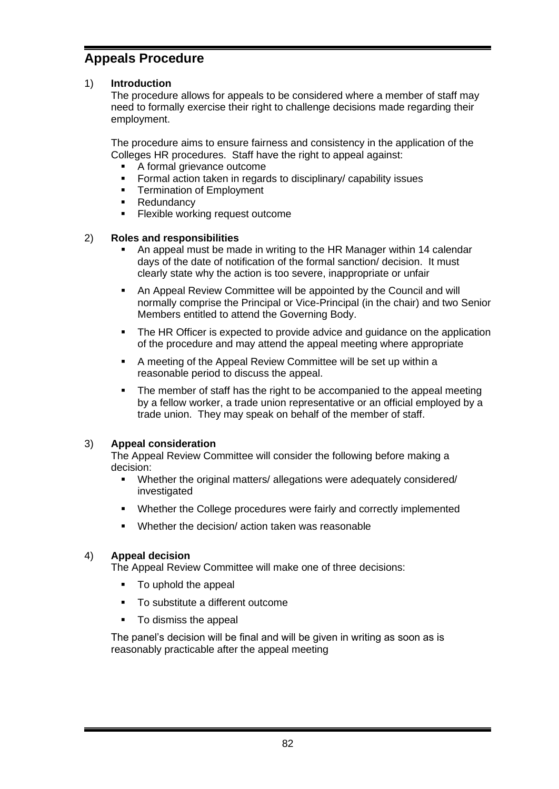# **Appeals Procedure**

# 1) **Introduction**

The procedure allows for appeals to be considered where a member of staff may need to formally exercise their right to challenge decisions made regarding their employment.

The procedure aims to ensure fairness and consistency in the application of the Colleges HR procedures. Staff have the right to appeal against:

- A formal grievance outcome
- Formal action taken in regards to disciplinary/ capability issues
- **•** Termination of Employment
- Redundancy
- Flexible working request outcome

#### 2) **Roles and responsibilities**

- An appeal must be made in writing to the HR Manager within 14 calendar days of the date of notification of the formal sanction/ decision. It must clearly state why the action is too severe, inappropriate or unfair
- An Appeal Review Committee will be appointed by the Council and will normally comprise the Principal or Vice-Principal (in the chair) and two Senior Members entitled to attend the Governing Body.
- **•** The HR Officer is expected to provide advice and guidance on the application of the procedure and may attend the appeal meeting where appropriate
- A meeting of the Appeal Review Committee will be set up within a reasonable period to discuss the appeal.
- **•** The member of staff has the right to be accompanied to the appeal meeting by a fellow worker, a trade union representative or an official employed by a trade union. They may speak on behalf of the member of staff.

#### 3) **Appeal consideration**

The Appeal Review Committee will consider the following before making a decision:

- Whether the original matters/ allegations were adequately considered/ investigated
- Whether the College procedures were fairly and correctly implemented
- Whether the decision/ action taken was reasonable

#### 4) **Appeal decision**

The Appeal Review Committee will make one of three decisions:

- To uphold the appeal
- To substitute a different outcome
- To dismiss the appeal

The panel's decision will be final and will be given in writing as soon as is reasonably practicable after the appeal meeting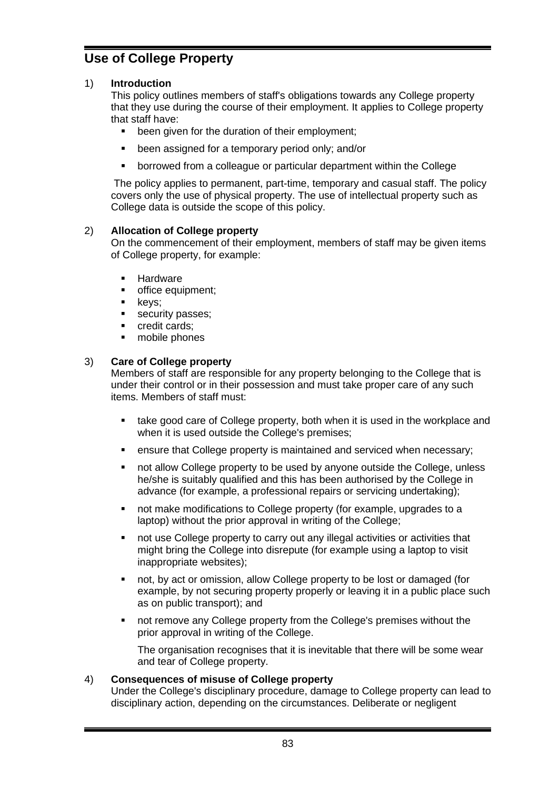# **Use of College Property**

# 1) **Introduction**

This policy outlines members of staff's obligations towards any College property that they use during the course of their employment. It applies to College property that staff have:

- been given for the duration of their employment;
- been assigned for a temporary period only; and/or
- borrowed from a colleague or particular department within the College

The policy applies to permanent, part-time, temporary and casual staff. The policy covers only the use of physical property. The use of intellectual property such as College data is outside the scope of this policy.

#### 2) **Allocation of College property**

On the commencement of their employment, members of staff may be given items of College property, for example:

- **■** Hardware
- office equipment;
- keys;
- **•** security passes;
- credit cards:
- mobile phones

#### 3) **Care of College property**

Members of staff are responsible for any property belonging to the College that is under their control or in their possession and must take proper care of any such items. Members of staff must:

- take good care of College property, both when it is used in the workplace and when it is used outside the College's premises;
- **EXE** ensure that College property is maintained and serviced when necessary;
- not allow College property to be used by anyone outside the College, unless he/she is suitably qualified and this has been authorised by the College in advance (for example, a professional repairs or servicing undertaking);
- not make modifications to College property (for example, upgrades to a laptop) without the prior approval in writing of the College;
- not use College property to carry out any illegal activities or activities that might bring the College into disrepute (for example using a laptop to visit inappropriate websites);
- not, by act or omission, allow College property to be lost or damaged (for example, by not securing property properly or leaving it in a public place such as on public transport); and
- not remove any College property from the College's premises without the prior approval in writing of the College.

The organisation recognises that it is inevitable that there will be some wear and tear of College property.

#### 4) **Consequences of misuse of College property**

Under the College's disciplinary procedure, damage to College property can lead to disciplinary action, depending on the circumstances. Deliberate or negligent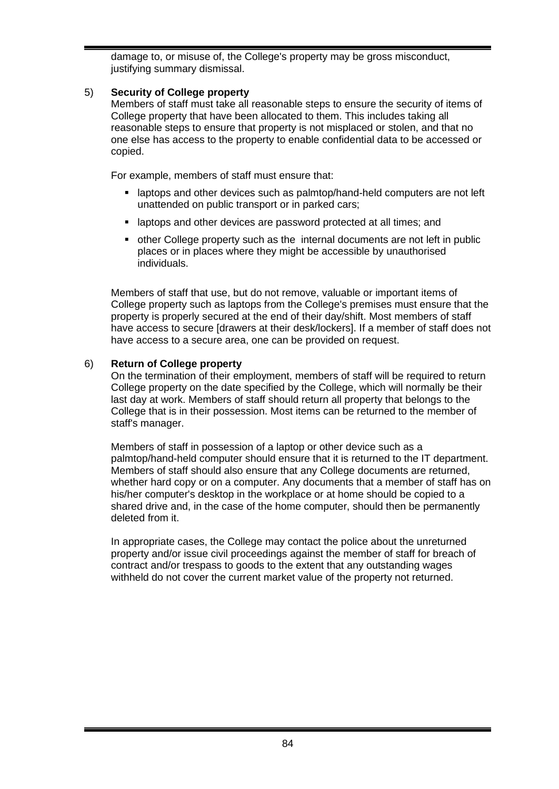damage to, or misuse of, the College's property may be gross misconduct, justifying summary dismissal.

#### 5) **Security of College property**

Members of staff must take all reasonable steps to ensure the security of items of College property that have been allocated to them. This includes taking all reasonable steps to ensure that property is not misplaced or stolen, and that no one else has access to the property to enable confidential data to be accessed or copied.

For example, members of staff must ensure that:

- **Example 2** laptops and other devices such as palmtop/hand-held computers are not left unattended on public transport or in parked cars;
- **EXEDENT A** laptops and other devices are password protected at all times; and
- other College property such as the internal documents are not left in public places or in places where they might be accessible by unauthorised individuals.

Members of staff that use, but do not remove, valuable or important items of College property such as laptops from the College's premises must ensure that the property is properly secured at the end of their day/shift. Most members of staff have access to secure [drawers at their desk/lockers]. If a member of staff does not have access to a secure area, one can be provided on request.

#### 6) **Return of College property**

On the termination of their employment, members of staff will be required to return College property on the date specified by the College, which will normally be their last day at work. Members of staff should return all property that belongs to the College that is in their possession. Most items can be returned to the member of staff's manager.

Members of staff in possession of a laptop or other device such as a palmtop/hand-held computer should ensure that it is returned to the IT department. Members of staff should also ensure that any College documents are returned, whether hard copy or on a computer. Any documents that a member of staff has on his/her computer's desktop in the workplace or at home should be copied to a shared drive and, in the case of the home computer, should then be permanently deleted from it.

In appropriate cases, the College may contact the police about the unreturned property and/or issue civil proceedings against the member of staff for breach of contract and/or trespass to goods to the extent that any outstanding wages withheld do not cover the current market value of the property not returned.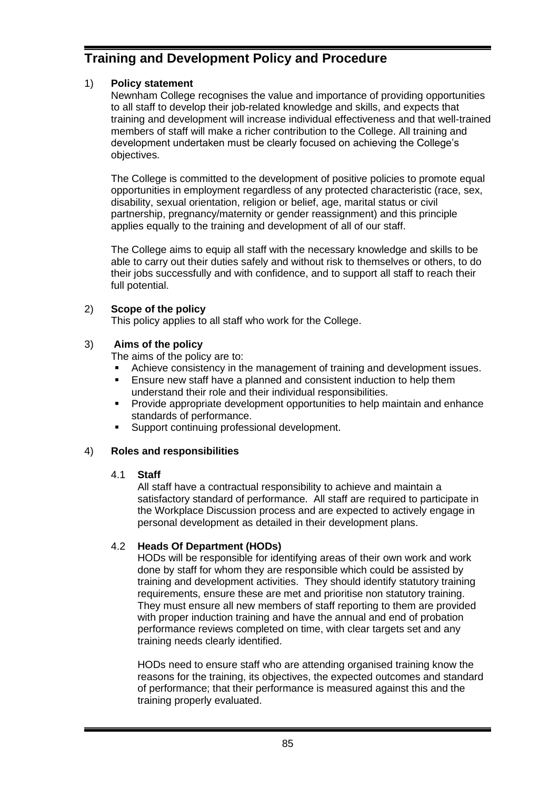# **Training and Development Policy and Procedure**

# 1) **Policy statement**

Newnham College recognises the value and importance of providing opportunities to all staff to develop their job-related knowledge and skills, and expects that training and development will increase individual effectiveness and that well-trained members of staff will make a richer contribution to the College. All training and development undertaken must be clearly focused on achieving the College's objectives.

The College is committed to the development of positive policies to promote equal opportunities in employment regardless of any protected characteristic (race, sex, disability, sexual orientation, religion or belief, age, marital status or civil partnership, pregnancy/maternity or gender reassignment) and this principle applies equally to the training and development of all of our staff.

The College aims to equip all staff with the necessary knowledge and skills to be able to carry out their duties safely and without risk to themselves or others, to do their jobs successfully and with confidence, and to support all staff to reach their full potential.

# 2) **Scope of the policy**

This policy applies to all staff who work for the College.

# 3) **Aims of the policy**

The aims of the policy are to:

- Achieve consistency in the management of training and development issues.
- Ensure new staff have a planned and consistent induction to help them understand their role and their individual responsibilities.
- **•** Provide appropriate development opportunities to help maintain and enhance standards of performance.
- Support continuing professional development.

# 4) **Roles and responsibilities**

# 4.1 **Staff**

All staff have a contractual responsibility to achieve and maintain a satisfactory standard of performance. All staff are required to participate in the Workplace Discussion process and are expected to actively engage in personal development as detailed in their development plans.

# 4.2 **Heads Of Department (HODs)**

HODs will be responsible for identifying areas of their own work and work done by staff for whom they are responsible which could be assisted by training and development activities. They should identify statutory training requirements, ensure these are met and prioritise non statutory training. They must ensure all new members of staff reporting to them are provided with proper induction training and have the annual and end of probation performance reviews completed on time, with clear targets set and any training needs clearly identified.

HODs need to ensure staff who are attending organised training know the reasons for the training, its objectives, the expected outcomes and standard of performance; that their performance is measured against this and the training properly evaluated.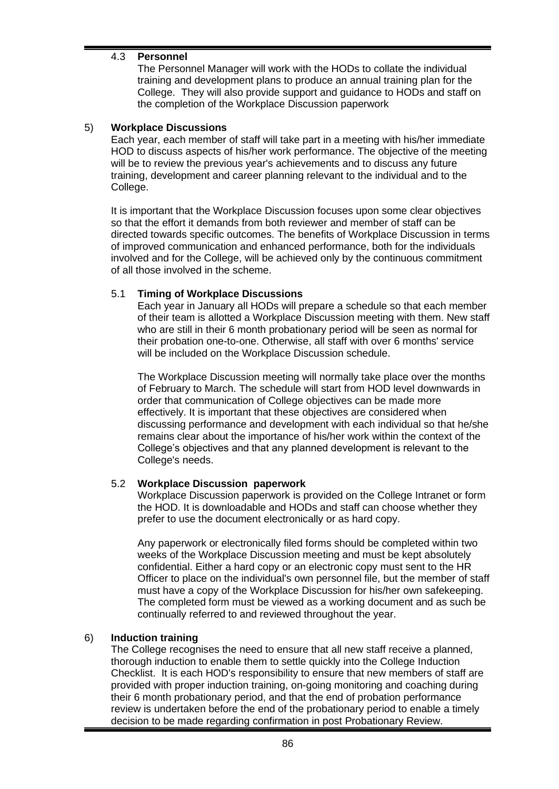### 4.3 **Personnel**

The Personnel Manager will work with the HODs to collate the individual training and development plans to produce an annual training plan for the College. They will also provide support and guidance to HODs and staff on the completion of the Workplace Discussion paperwork

#### 5) **Workplace Discussions**

Each year, each member of staff will take part in a meeting with his/her immediate HOD to discuss aspects of his/her work performance. The objective of the meeting will be to review the previous year's achievements and to discuss any future training, development and career planning relevant to the individual and to the College.

It is important that the Workplace Discussion focuses upon some clear objectives so that the effort it demands from both reviewer and member of staff can be directed towards specific outcomes. The benefits of Workplace Discussion in terms of improved communication and enhanced performance, both for the individuals involved and for the College, will be achieved only by the continuous commitment of all those involved in the scheme.

#### 5.1 **Timing of Workplace Discussions**

Each year in January all HODs will prepare a schedule so that each member of their team is allotted a Workplace Discussion meeting with them. New staff who are still in their 6 month probationary period will be seen as normal for their probation one-to-one. Otherwise, all staff with over 6 months' service will be included on the Workplace Discussion schedule.

The Workplace Discussion meeting will normally take place over the months of February to March. The schedule will start from HOD level downwards in order that communication of College objectives can be made more effectively. It is important that these objectives are considered when discussing performance and development with each individual so that he/she remains clear about the importance of his/her work within the context of the College's objectives and that any planned development is relevant to the College's needs.

#### 5.2 **Workplace Discussion paperwork**

Workplace Discussion paperwork is provided on the College Intranet or form the HOD. It is downloadable and HODs and staff can choose whether they prefer to use the document electronically or as hard copy.

Any paperwork or electronically filed forms should be completed within two weeks of the Workplace Discussion meeting and must be kept absolutely confidential. Either a hard copy or an electronic copy must sent to the HR Officer to place on the individual's own personnel file, but the member of staff must have a copy of the Workplace Discussion for his/her own safekeeping. The completed form must be viewed as a working document and as such be continually referred to and reviewed throughout the year.

#### 6) **Induction training**

The College recognises the need to ensure that all new staff receive a planned, thorough induction to enable them to settle quickly into the College Induction Checklist. It is each HOD's responsibility to ensure that new members of staff are provided with proper induction training, on-going monitoring and coaching during their 6 month probationary period, and that the end of probation performance review is undertaken before the end of the probationary period to enable a timely decision to be made regarding confirmation in post Probationary Review.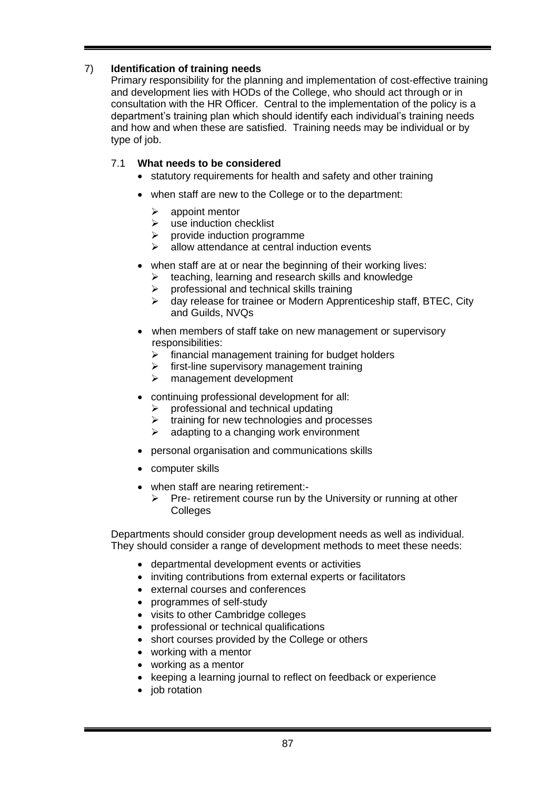# 7) **Identification of training needs**

Primary responsibility for the planning and implementation of cost-effective training and development lies with HODs of the College, who should act through or in consultation with the HR Officer. Central to the implementation of the policy is a department's training plan which should identify each individual's training needs and how and when these are satisfied. Training needs may be individual or by type of iob.

# 7.1 **What needs to be considered**

- statutory requirements for health and safety and other training
- when staff are new to the College or to the department:
	- ➢ appoint mentor
	- $\triangleright$  use induction checklist
	- $\triangleright$  provide induction programme
	- ➢ allow attendance at central induction events
- when staff are at or near the beginning of their working lives:
	- $\triangleright$  teaching, learning and research skills and knowledge
	- ➢ professional and technical skills training
	- ➢ day release for trainee or Modern Apprenticeship staff, BTEC, City and Guilds, NVQs
- when members of staff take on new management or supervisory responsibilities:
	- ➢ financial management training for budget holders
	- $\triangleright$  first-line supervisory management training
	- ➢ management development
- continuing professional development for all:
	- $\triangleright$  professional and technical updating
	- $\triangleright$  training for new technologies and processes
	- $\triangleright$  adapting to a changing work environment
- personal organisation and communications skills
- computer skills
- when staff are nearing retirement:-
	- $\triangleright$  Pre- retirement course run by the University or running at other **Colleges**

Departments should consider group development needs as well as individual. They should consider a range of development methods to meet these needs:

- departmental development events or activities
- inviting contributions from external experts or facilitators
- external courses and conferences
- programmes of self-study
- visits to other Cambridge colleges
- professional or technical qualifications
- short courses provided by the College or others
- working with a mentor
- working as a mentor
- keeping a learning journal to reflect on feedback or experience
- job rotation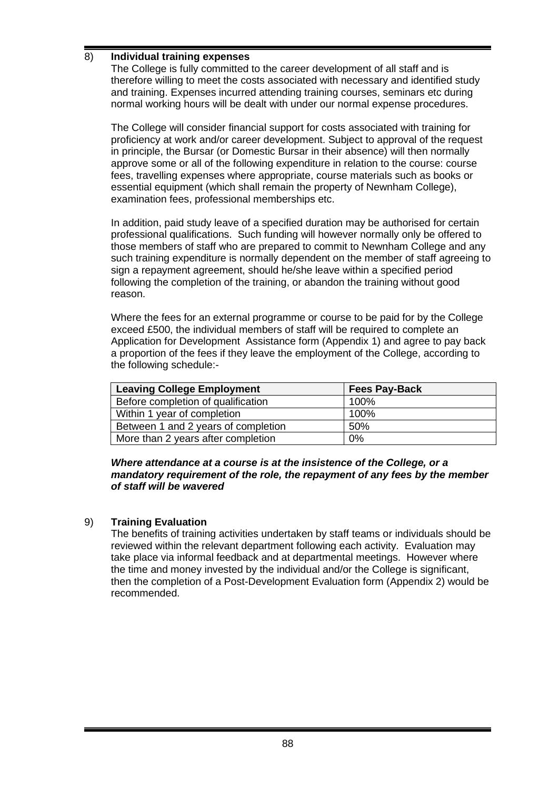### 8) **Individual training expenses**

The College is fully committed to the career development of all staff and is therefore willing to meet the costs associated with necessary and identified study and training. Expenses incurred attending training courses, seminars etc during normal working hours will be dealt with under our normal expense procedures.

The College will consider financial support for costs associated with training for proficiency at work and/or career development. Subject to approval of the request in principle, the Bursar (or Domestic Bursar in their absence) will then normally approve some or all of the following expenditure in relation to the course: course fees, travelling expenses where appropriate, course materials such as books or essential equipment (which shall remain the property of Newnham College), examination fees, professional memberships etc.

In addition, paid study leave of a specified duration may be authorised for certain professional qualifications. Such funding will however normally only be offered to those members of staff who are prepared to commit to Newnham College and any such training expenditure is normally dependent on the member of staff agreeing to sign a repayment agreement, should he/she leave within a specified period following the completion of the training, or abandon the training without good reason.

Where the fees for an external programme or course to be paid for by the College exceed £500, the individual members of staff will be required to complete an Application for Development Assistance form (Appendix 1) and agree to pay back a proportion of the fees if they leave the employment of the College, according to the following schedule:-

| <b>Leaving College Employment</b>   | <b>Fees Pay-Back</b> |
|-------------------------------------|----------------------|
| Before completion of qualification  | 100%                 |
| Within 1 year of completion         | 100%                 |
| Between 1 and 2 years of completion | 50%                  |
| More than 2 years after completion  | 0%                   |

#### *Where attendance at a course is at the insistence of the College, or a mandatory requirement of the role, the repayment of any fees by the member of staff will be wavered*

#### 9) **Training Evaluation**

The benefits of training activities undertaken by staff teams or individuals should be reviewed within the relevant department following each activity. Evaluation may take place via informal feedback and at departmental meetings. However where the time and money invested by the individual and/or the College is significant, then the completion of a Post-Development Evaluation form (Appendix 2) would be recommended.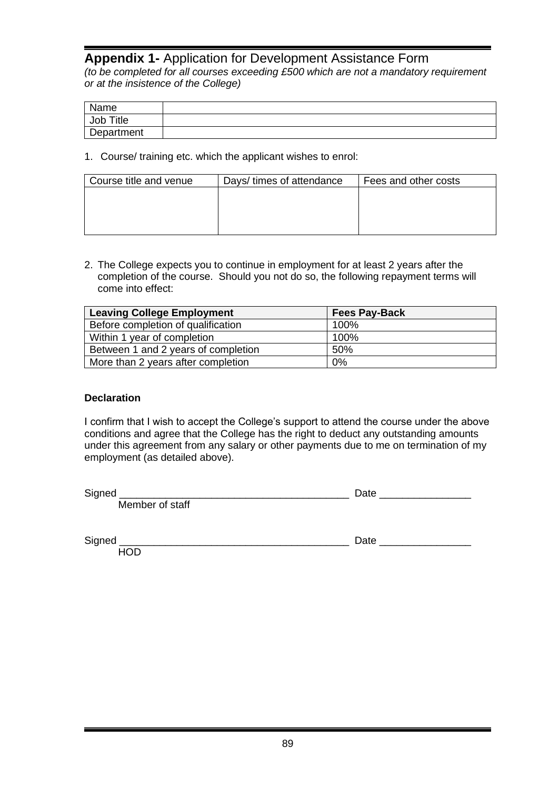# **Appendix 1-** Application for Development Assistance Form

*(to be completed for all courses exceeding £500 which are not a mandatory requirement or at the insistence of the College)*

| Name       |  |
|------------|--|
| Job Title  |  |
| Department |  |

1. Course/ training etc. which the applicant wishes to enrol:

| Course title and venue | Days/ times of attendance | Fees and other costs |
|------------------------|---------------------------|----------------------|
|                        |                           |                      |
|                        |                           |                      |
|                        |                           |                      |
|                        |                           |                      |

2. The College expects you to continue in employment for at least 2 years after the completion of the course. Should you not do so, the following repayment terms will come into effect:

| <b>Leaving College Employment</b>   | <b>Fees Pay-Back</b> |
|-------------------------------------|----------------------|
| Before completion of qualification  | 100%                 |
| Within 1 year of completion         | 100%                 |
| Between 1 and 2 years of completion | 50%                  |
| More than 2 years after completion  | 0%                   |

#### **Declaration**

I confirm that I wish to accept the College's support to attend the course under the above conditions and agree that the College has the right to deduct any outstanding amounts under this agreement from any salary or other payments due to me on termination of my employment (as detailed above).

Member of staff

Signed \_\_\_\_\_\_\_\_\_\_\_\_\_\_\_\_\_\_\_\_\_\_\_\_\_\_\_\_\_\_\_\_\_\_\_\_\_\_\_\_ Date \_\_\_\_\_\_\_\_\_\_\_\_\_\_\_\_

**HOD** 

Signed \_\_\_\_\_\_\_\_\_\_\_\_\_\_\_\_\_\_\_\_\_\_\_\_\_\_\_\_\_\_\_\_\_\_\_\_\_\_\_\_ Date \_\_\_\_\_\_\_\_\_\_\_\_\_\_\_\_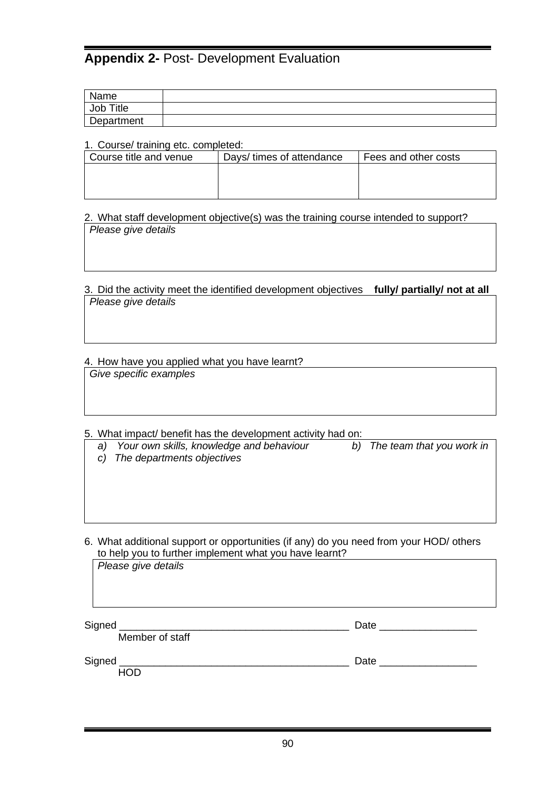# **Appendix 2-** Post- Development Evaluation

| Name                      |  |
|---------------------------|--|
| Job <sup>-</sup><br>Title |  |
| Department                |  |

#### 1. Course/ training etc. completed:

| Course title and venue | Days/ times of attendance | Fees and other costs |  |
|------------------------|---------------------------|----------------------|--|
|                        |                           |                      |  |
|                        |                           |                      |  |
|                        |                           |                      |  |

2. What staff development objective(s) was the training course intended to support? *Please give details*

3. Did the activity meet the identified development objectives **fully/ partially/ not at all** *Please give details*

4. How have you applied what you have learnt? *Give specific examples*

5. What impact/ benefit has the development activity had on:

*a) Your own skills, knowledge and behaviour b) The team that you work in*

*c) The departments objectives*

6. What additional support or opportunities (if any) do you need from your HOD/ others to help you to further implement what you have learnt?

*Please give details* Signed \_\_\_\_\_\_\_\_\_\_\_\_\_\_\_\_\_\_\_\_\_\_\_\_\_\_\_\_\_\_\_\_\_\_\_\_\_\_\_\_ Date \_\_\_\_\_\_\_\_\_\_\_\_\_\_\_\_\_ Member of staff Signed **Example 2** Date  $\overline{a}$ 

HOD